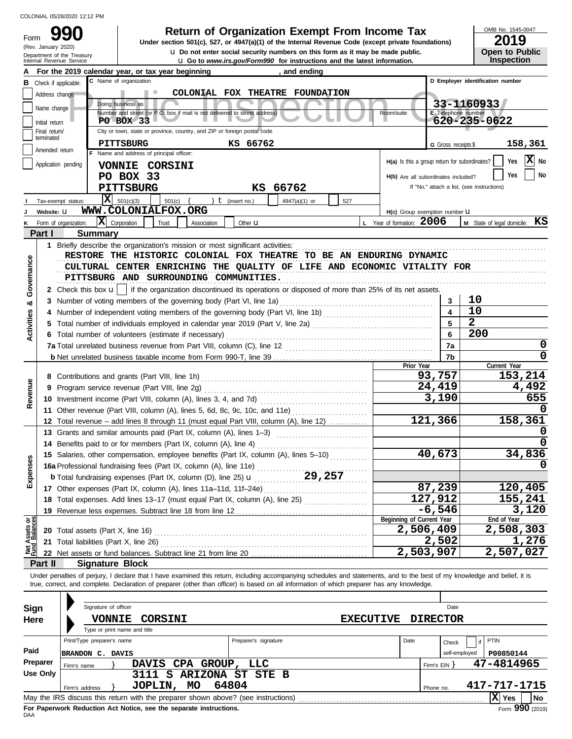Form

(Rev. January 2020)

**u** Go to *www.irs.gov/Form990* for instructions and the latest information. **u** Do not enter social security numbers on this form as it may be made public. **990 2000 2019 2019 Depending Solution Solution Solution Script Script Script Script Prom Income Tax 2019 2019** 

OMB No. 1545-0047

| 20 I Y                |  |
|-----------------------|--|
| <b>Open to Public</b> |  |
| <b>Inspection</b>     |  |

|                                |                                 | Department of the Treasury<br>Internal Revenue Service                        |                              |                                                                            |             |                      | <b>U.</b> Do not enter social security numbers on this form as it may be made public.<br><b>u</b> Go to www.irs.gov/Form990 for instructions and the latest information. |     |                                     |                 |                     | <b>Open to Public</b><br><b>Inspection</b>                                                                                                                                 |  |  |
|--------------------------------|---------------------------------|-------------------------------------------------------------------------------|------------------------------|----------------------------------------------------------------------------|-------------|----------------------|--------------------------------------------------------------------------------------------------------------------------------------------------------------------------|-----|-------------------------------------|-----------------|---------------------|----------------------------------------------------------------------------------------------------------------------------------------------------------------------------|--|--|
|                                |                                 | For the 2019 calendar year, or tax year beginning                             |                              |                                                                            |             |                      | , and ending                                                                                                                                                             |     |                                     |                 |                     |                                                                                                                                                                            |  |  |
|                                | <b>B</b> Check if applicable:   |                                                                               | C Name of organization       |                                                                            |             |                      |                                                                                                                                                                          |     |                                     |                 |                     | D Employer identification number                                                                                                                                           |  |  |
|                                | Address change                  |                                                                               |                              |                                                                            |             |                      | COLONIAL FOX THEATRE FOUNDATION                                                                                                                                          |     |                                     |                 |                     |                                                                                                                                                                            |  |  |
|                                | Name change                     |                                                                               | Doing business as            |                                                                            |             |                      |                                                                                                                                                                          |     |                                     |                 |                     | 33-1160933                                                                                                                                                                 |  |  |
|                                |                                 |                                                                               |                              | Number and street (or P.O. box if mail is not delivered to street address) |             |                      |                                                                                                                                                                          |     | Room/suite                          |                 |                     | E Telephone number                                                                                                                                                         |  |  |
|                                | Initial return<br>Final return/ |                                                                               | PO BOX 33                    | City or town, state or province, country, and ZIP or foreign postal code   |             |                      |                                                                                                                                                                          |     |                                     |                 |                     | 620-235-0622                                                                                                                                                               |  |  |
|                                | terminated                      |                                                                               | <b>PITTSBURG</b>             |                                                                            |             |                      |                                                                                                                                                                          |     |                                     |                 |                     |                                                                                                                                                                            |  |  |
|                                | Amended return                  |                                                                               |                              | Name and address of principal officer:                                     |             | KS 66762             |                                                                                                                                                                          |     |                                     |                 | G Gross receipts \$ | 158,361                                                                                                                                                                    |  |  |
|                                |                                 | Application pending                                                           |                              | VONNIE CORSINI                                                             |             |                      |                                                                                                                                                                          |     |                                     |                 |                     | X No<br>H(a) Is this a group return for subordinates?<br>Yes                                                                                                               |  |  |
|                                |                                 |                                                                               | PO BOX 33                    |                                                                            |             |                      |                                                                                                                                                                          |     | H(b) Are all subordinates included? |                 |                     | Yes<br>No                                                                                                                                                                  |  |  |
|                                |                                 |                                                                               | <b>PITTSBURG</b>             |                                                                            |             |                      | KS 66762                                                                                                                                                                 |     |                                     |                 |                     | If "No," attach a list. (see instructions)                                                                                                                                 |  |  |
|                                |                                 | Tax-exempt status:                                                            | $ \mathbf{X} $ 501(c)(3)     | 501(c)                                                                     |             | $t$ (insert no.)     | 4947(a)(1) or                                                                                                                                                            | 527 |                                     |                 |                     |                                                                                                                                                                            |  |  |
|                                | Website: U                      |                                                                               |                              | WWW.COLONIALFOX.ORG                                                        |             |                      |                                                                                                                                                                          |     | H(c) Group exemption number U       |                 |                     |                                                                                                                                                                            |  |  |
|                                |                                 | Form of organization:                                                         | $ \mathbf{X} $ Corporation   | Trust                                                                      | Association | Other $\mathbf u$    |                                                                                                                                                                          |     | L Year of formation: 2006           |                 |                     | M State of legal domicile: KS                                                                                                                                              |  |  |
|                                | Part I                          | <b>Summary</b>                                                                |                              |                                                                            |             |                      |                                                                                                                                                                          |     |                                     |                 |                     |                                                                                                                                                                            |  |  |
|                                |                                 | 1 Briefly describe the organization's mission or most significant activities: |                              |                                                                            |             |                      |                                                                                                                                                                          |     |                                     |                 |                     |                                                                                                                                                                            |  |  |
|                                |                                 |                                                                               |                              |                                                                            |             |                      | RESTORE THE HISTORIC COLONIAL FOX THEATRE TO BE AN ENDURING DYNAMIC                                                                                                      |     |                                     |                 |                     |                                                                                                                                                                            |  |  |
| Governance                     |                                 |                                                                               |                              |                                                                            |             |                      | CULTURAL CENTER ENRICHING THE QUALITY OF LIFE AND ECONOMIC VITALITY FOR                                                                                                  |     |                                     |                 |                     |                                                                                                                                                                            |  |  |
|                                |                                 |                                                                               |                              | PITTSBURG AND SURROUNDING COMMUNITIES.                                     |             |                      |                                                                                                                                                                          |     |                                     |                 |                     |                                                                                                                                                                            |  |  |
|                                |                                 |                                                                               |                              |                                                                            |             |                      | 2 Check this box $\mathbf{u}$   if the organization discontinued its operations or disposed of more than 25% of its net assets.                                          |     |                                     |                 |                     |                                                                                                                                                                            |  |  |
| ఱ                              |                                 | 3 Number of voting members of the governing body (Part VI, line 1a)           |                              |                                                                            |             |                      |                                                                                                                                                                          |     |                                     |                 | 3                   | 10                                                                                                                                                                         |  |  |
|                                | 4                               |                                                                               |                              |                                                                            |             |                      |                                                                                                                                                                          |     |                                     |                 | 4                   | 10                                                                                                                                                                         |  |  |
|                                | 5.                              |                                                                               |                              |                                                                            |             |                      | Total number of individuals employed in calendar year 2019 (Part V, line 2a) [[[[[[[[[[[[[[[[[[[[[[[[[[[[[[[[                                                            |     |                                     |                 | 5                   | $\overline{2}$                                                                                                                                                             |  |  |
| Activities                     |                                 | 6 Total number of volunteers (estimate if necessary)                          |                              |                                                                            |             |                      |                                                                                                                                                                          |     |                                     |                 | 6                   | 200                                                                                                                                                                        |  |  |
|                                |                                 |                                                                               |                              |                                                                            |             |                      |                                                                                                                                                                          |     |                                     |                 | 7a                  | 0                                                                                                                                                                          |  |  |
|                                |                                 |                                                                               |                              |                                                                            |             |                      |                                                                                                                                                                          |     |                                     |                 | 7b                  | 0                                                                                                                                                                          |  |  |
|                                |                                 |                                                                               |                              |                                                                            |             |                      |                                                                                                                                                                          |     |                                     | Prior Year      |                     | Current Year                                                                                                                                                               |  |  |
|                                |                                 |                                                                               |                              |                                                                            |             |                      |                                                                                                                                                                          |     |                                     |                 | 93,757              | 153,214                                                                                                                                                                    |  |  |
| Revenue                        | 9                               |                                                                               |                              |                                                                            |             |                      |                                                                                                                                                                          |     | 24,419                              | 4,492           |                     |                                                                                                                                                                            |  |  |
|                                |                                 |                                                                               |                              |                                                                            |             |                      |                                                                                                                                                                          |     |                                     |                 | 3,190               | 655                                                                                                                                                                        |  |  |
|                                |                                 |                                                                               |                              |                                                                            |             |                      | 11 Other revenue (Part VIII, column (A), lines 5, 6d, 8c, 9c, 10c, and 11e)                                                                                              |     |                                     |                 |                     |                                                                                                                                                                            |  |  |
|                                |                                 |                                                                               |                              |                                                                            |             |                      | 12 Total revenue – add lines 8 through 11 (must equal Part VIII, column (A), line 12)                                                                                    |     |                                     | 121,366         |                     | 158,361                                                                                                                                                                    |  |  |
|                                |                                 |                                                                               |                              |                                                                            |             |                      | 13 Grants and similar amounts paid (Part IX, column (A), lines 1-3)                                                                                                      |     |                                     |                 |                     |                                                                                                                                                                            |  |  |
|                                |                                 |                                                                               |                              |                                                                            |             |                      |                                                                                                                                                                          |     |                                     |                 | 40,673              | 34,836                                                                                                                                                                     |  |  |
| ses                            |                                 |                                                                               |                              |                                                                            |             |                      | 15 Salaries, other compensation, employee benefits (Part IX, column (A), lines 5-10)                                                                                     |     |                                     |                 |                     |                                                                                                                                                                            |  |  |
|                                |                                 | 16a Professional fundraising fees (Part IX, column (A), line 11e)             |                              |                                                                            |             |                      |                                                                                                                                                                          |     |                                     |                 |                     |                                                                                                                                                                            |  |  |
| Exper                          |                                 |                                                                               |                              |                                                                            |             |                      | <b>b</b> Total fundraising expenses (Part IX, column (D), line 25) <b>u</b> 29, 257                                                                                      |     |                                     | 87,239          |                     | 120,405                                                                                                                                                                    |  |  |
|                                |                                 |                                                                               |                              |                                                                            |             |                      | 18 Total expenses. Add lines 13-17 (must equal Part IX, column (A), line 25)                                                                                             |     |                                     | 127,912         |                     | 155,241                                                                                                                                                                    |  |  |
|                                |                                 | 19 Revenue less expenses. Subtract line 18 from line 12                       |                              |                                                                            |             |                      |                                                                                                                                                                          |     |                                     |                 | $-6,546$            | 3,120                                                                                                                                                                      |  |  |
|                                |                                 |                                                                               |                              |                                                                            |             |                      |                                                                                                                                                                          |     | Beginning of Current Year           |                 |                     | End of Year                                                                                                                                                                |  |  |
| Net Assets or<br>Fund Balances |                                 |                                                                               |                              |                                                                            |             |                      |                                                                                                                                                                          |     |                                     | 2,506,409       |                     | 2,508,303                                                                                                                                                                  |  |  |
|                                | 21                              | Total liabilities (Part X, line 26)                                           |                              |                                                                            |             |                      |                                                                                                                                                                          |     |                                     |                 | 2,502               | 1,276                                                                                                                                                                      |  |  |
|                                |                                 |                                                                               |                              |                                                                            |             |                      |                                                                                                                                                                          |     |                                     | 2,503,907       |                     | $\overline{2,507,027}$                                                                                                                                                     |  |  |
|                                | Part II                         |                                                                               | <b>Signature Block</b>       |                                                                            |             |                      |                                                                                                                                                                          |     |                                     |                 |                     |                                                                                                                                                                            |  |  |
|                                |                                 |                                                                               |                              |                                                                            |             |                      |                                                                                                                                                                          |     |                                     |                 |                     | Under penalties of perjury, I declare that I have examined this return, including accompanying schedules and statements, and to the best of my knowledge and belief, it is |  |  |
|                                |                                 |                                                                               |                              |                                                                            |             |                      | true, correct, and complete. Declaration of preparer (other than officer) is based on all information of which preparer has any knowledge.                               |     |                                     |                 |                     |                                                                                                                                                                            |  |  |
|                                |                                 |                                                                               |                              |                                                                            |             |                      |                                                                                                                                                                          |     |                                     |                 |                     |                                                                                                                                                                            |  |  |
| Sign                           |                                 |                                                                               | Signature of officer         |                                                                            |             |                      |                                                                                                                                                                          |     |                                     |                 | Date                |                                                                                                                                                                            |  |  |
| Here                           |                                 |                                                                               | <b>VONNIE</b>                | <b>CORSINI</b>                                                             |             |                      |                                                                                                                                                                          |     | <b>EXECUTIVE</b>                    | <b>DIRECTOR</b> |                     |                                                                                                                                                                            |  |  |
|                                |                                 |                                                                               | Type or print name and title |                                                                            |             |                      |                                                                                                                                                                          |     |                                     |                 |                     |                                                                                                                                                                            |  |  |
|                                |                                 | Print/Type preparer's name                                                    |                              |                                                                            |             | Preparer's signature |                                                                                                                                                                          |     | Date                                |                 | Check               | <b>PTIN</b>                                                                                                                                                                |  |  |
| Paid                           |                                 | BRANDON C. DAVIS                                                              |                              |                                                                            |             |                      |                                                                                                                                                                          |     |                                     |                 | self-employed       | P00850144                                                                                                                                                                  |  |  |
|                                | Preparer<br><b>Use Only</b>     | Firm's name                                                                   |                              | DAVIS CPA GROUP,                                                           |             | LLC                  |                                                                                                                                                                          |     |                                     |                 | Firm's $EIN$ }      | 47-4814965                                                                                                                                                                 |  |  |
|                                |                                 |                                                                               |                              | 3111                                                                       |             | S ARIZONA ST STE B   |                                                                                                                                                                          |     |                                     |                 |                     |                                                                                                                                                                            |  |  |
|                                |                                 | Firm's address                                                                |                              | JOPLIN, MO                                                                 |             | 64804                |                                                                                                                                                                          |     |                                     | Phone no.       |                     | 417-717-1715                                                                                                                                                               |  |  |
|                                |                                 |                                                                               |                              |                                                                            |             |                      | May the IRS discuss this return with the preparer shown above? (see instructions)                                                                                        |     |                                     |                 |                     | $ X $ Yes<br>No                                                                                                                                                            |  |  |

| Sign       |                                                                                       | Signature of officer       |                              |                                                                                   |                      |                                     |      |               | Date  |           |                  |
|------------|---------------------------------------------------------------------------------------|----------------------------|------------------------------|-----------------------------------------------------------------------------------|----------------------|-------------------------------------|------|---------------|-------|-----------|------------------|
| Here       |                                                                                       |                            | <b>VONNIE</b>                | CORSINI                                                                           |                      | <b>DIRECTOR</b><br><b>EXECUTIVE</b> |      |               |       |           |                  |
|            |                                                                                       |                            | Type or print name and title |                                                                                   |                      |                                     |      |               |       |           |                  |
|            |                                                                                       | Print/Type preparer's name |                              |                                                                                   | Preparer's signature |                                     | Date |               | Check |           | PTIN             |
| Paid       |                                                                                       | BRANDON C. DAVIS           |                              |                                                                                   |                      |                                     |      | self-employed |       | P00850144 |                  |
| Preparer   |                                                                                       | Firm's name                |                              | DAVIS CPA GROUP, LLC                                                              |                      |                                     |      | Firm's $EIN$  |       |           | 47-4814965       |
| Use Only   |                                                                                       |                            |                              | 3111 S                                                                            | ARIZONA ST STE B     |                                     |      |               |       |           |                  |
|            |                                                                                       | Firm's address             |                              | MO.<br><b>JOPLIN,</b>                                                             | 64804                |                                     |      | Phone no.     |       |           | 417-717-1715     |
|            |                                                                                       |                            |                              | May the IRS discuss this return with the preparer shown above? (see instructions) |                      |                                     |      |               |       |           | ΙxΙ<br>No<br>Yes |
| <b>DAA</b> | Form 990 (2019)<br>For Paperwork Reduction Act Notice, see the separate instructions. |                            |                              |                                                                                   |                      |                                     |      |               |       |           |                  |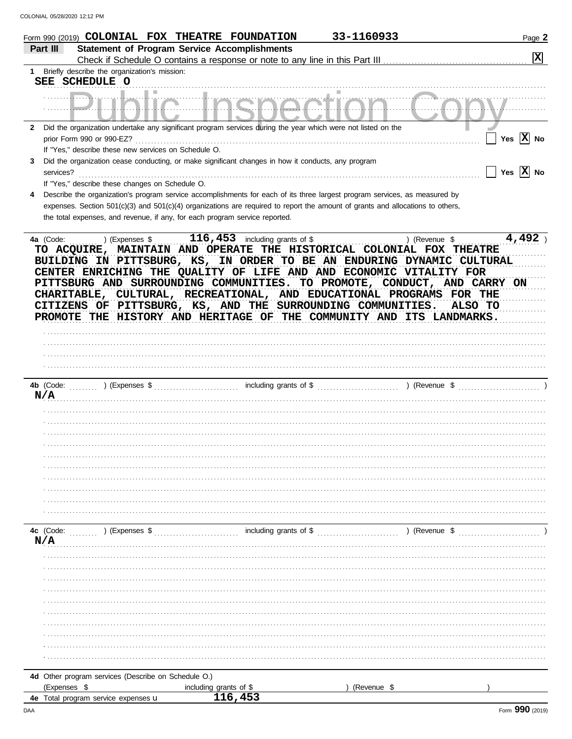|              | Form 990 (2019) <b>COLONIAL FOX THEATRE FOUNDATION</b>                                                                                                                                                                                                                                                                                                                                                                                                                                                          |                                                 | 33-1160933  | Page 2                 |
|--------------|-----------------------------------------------------------------------------------------------------------------------------------------------------------------------------------------------------------------------------------------------------------------------------------------------------------------------------------------------------------------------------------------------------------------------------------------------------------------------------------------------------------------|-------------------------------------------------|-------------|------------------------|
|              | Part III<br><b>Statement of Program Service Accomplishments</b>                                                                                                                                                                                                                                                                                                                                                                                                                                                 |                                                 |             |                        |
|              |                                                                                                                                                                                                                                                                                                                                                                                                                                                                                                                 |                                                 |             | $\vert x \vert$        |
| $1 \quad$    | Briefly describe the organization's mission:<br>SEE SCHEDULE O                                                                                                                                                                                                                                                                                                                                                                                                                                                  |                                                 |             |                        |
|              | .                                                                                                                                                                                                                                                                                                                                                                                                                                                                                                               | $\blacksquare$                                  |             |                        |
| $\mathbf{2}$ | Did the organization undertake any significant program services during the year which were not listed on the                                                                                                                                                                                                                                                                                                                                                                                                    |                                                 |             |                        |
|              | prior Form 990 or 990-EZ?                                                                                                                                                                                                                                                                                                                                                                                                                                                                                       |                                                 |             | Yes $\overline{X}$ No  |
|              | If "Yes," describe these new services on Schedule O.                                                                                                                                                                                                                                                                                                                                                                                                                                                            |                                                 |             |                        |
| 3            | Did the organization cease conducting, or make significant changes in how it conducts, any program<br>services?                                                                                                                                                                                                                                                                                                                                                                                                 |                                                 |             | Yes $\overline{X}$ No  |
|              | If "Yes," describe these changes on Schedule O.                                                                                                                                                                                                                                                                                                                                                                                                                                                                 |                                                 |             |                        |
| 4            | Describe the organization's program service accomplishments for each of its three largest program services, as measured by<br>expenses. Section 501(c)(3) and 501(c)(4) organizations are required to report the amount of grants and allocations to others,<br>the total expenses, and revenue, if any, for each program service reported.                                                                                                                                                                     |                                                 |             |                        |
|              | 4a (Code:                                                                                                                                                                                                                                                                                                                                                                                                                                                                                                       | ) (Expenses $$$ 116, 453 including grants of \$ |             | 4,492<br>) (Revenue \$ |
|              | TO ACQUIRE, MAINTAIN AND OPERATE THE HISTORICAL COLONIAL FOX THEATRE<br>BUILDING IN PITTSBURG, KS, IN ORDER TO BE AN ENDURING DYNAMIC CULTURAL<br>CENTER ENRICHING THE QUALITY OF LIFE AND AND ECONOMIC VITALITY FOR<br>PITTSBURG AND SURROUNDING COMMUNITIES. TO PROMOTE, CONDUCT, AND CARRY ON<br>CHARITABLE, CULTURAL, RECREATIONAL, AND EDUCATIONAL PROGRAMS FOR THE<br>CITIZENS OF PITTSBURG, KS, AND THE SURROUNDING COMMUNITIES.<br>PROMOTE THE HISTORY AND HERITAGE OF THE COMMUNITY AND ITS LANDMARKS. |                                                 |             | ALSO TO                |
|              |                                                                                                                                                                                                                                                                                                                                                                                                                                                                                                                 |                                                 |             |                        |
|              |                                                                                                                                                                                                                                                                                                                                                                                                                                                                                                                 |                                                 |             |                        |
|              | N/A                                                                                                                                                                                                                                                                                                                                                                                                                                                                                                             |                                                 |             |                        |
|              |                                                                                                                                                                                                                                                                                                                                                                                                                                                                                                                 |                                                 |             |                        |
|              |                                                                                                                                                                                                                                                                                                                                                                                                                                                                                                                 |                                                 |             |                        |
|              |                                                                                                                                                                                                                                                                                                                                                                                                                                                                                                                 |                                                 |             |                        |
|              |                                                                                                                                                                                                                                                                                                                                                                                                                                                                                                                 |                                                 |             |                        |
|              |                                                                                                                                                                                                                                                                                                                                                                                                                                                                                                                 |                                                 |             |                        |
|              | N/A                                                                                                                                                                                                                                                                                                                                                                                                                                                                                                             |                                                 |             |                        |
|              |                                                                                                                                                                                                                                                                                                                                                                                                                                                                                                                 |                                                 |             |                        |
|              |                                                                                                                                                                                                                                                                                                                                                                                                                                                                                                                 |                                                 |             |                        |
|              |                                                                                                                                                                                                                                                                                                                                                                                                                                                                                                                 |                                                 |             |                        |
|              |                                                                                                                                                                                                                                                                                                                                                                                                                                                                                                                 |                                                 |             |                        |
|              |                                                                                                                                                                                                                                                                                                                                                                                                                                                                                                                 |                                                 |             |                        |
|              |                                                                                                                                                                                                                                                                                                                                                                                                                                                                                                                 |                                                 |             |                        |
|              |                                                                                                                                                                                                                                                                                                                                                                                                                                                                                                                 |                                                 |             |                        |
|              |                                                                                                                                                                                                                                                                                                                                                                                                                                                                                                                 |                                                 |             |                        |
|              |                                                                                                                                                                                                                                                                                                                                                                                                                                                                                                                 |                                                 |             |                        |
|              |                                                                                                                                                                                                                                                                                                                                                                                                                                                                                                                 |                                                 |             |                        |
|              | 4d Other program services (Describe on Schedule O.)                                                                                                                                                                                                                                                                                                                                                                                                                                                             |                                                 |             |                        |
|              | (Expenses \$                                                                                                                                                                                                                                                                                                                                                                                                                                                                                                    | including grants of \$                          | (Revenue \$ |                        |
|              | 4e Total program service expenses u                                                                                                                                                                                                                                                                                                                                                                                                                                                                             | 116,453                                         |             |                        |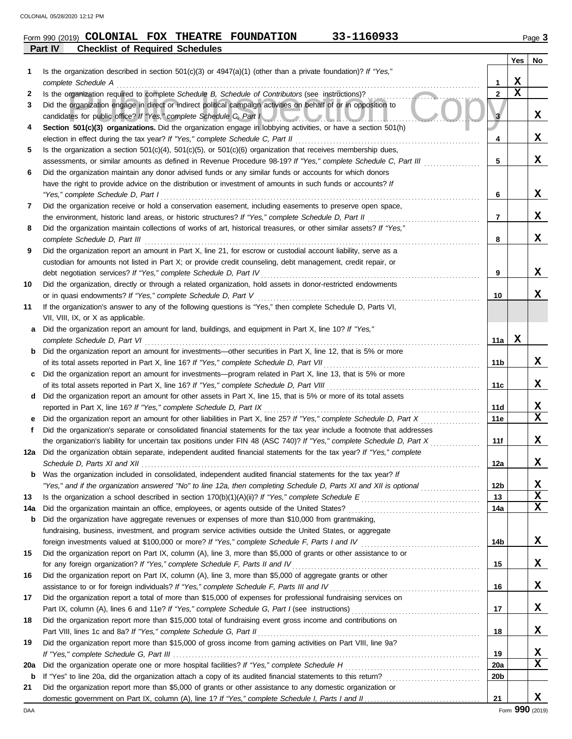# **Part IV Checklist of Required Schedules Form 990 (2019) COLONIAL FOX THEATRE FOUNDATION** 33-1160933 Page 3

|     |                                                                                                                                                                                          |                 | Yes | No. |
|-----|------------------------------------------------------------------------------------------------------------------------------------------------------------------------------------------|-----------------|-----|-----|
| 1   | Is the organization described in section $501(c)(3)$ or $4947(a)(1)$ (other than a private foundation)? If "Yes,"                                                                        |                 |     |     |
|     | complete Schedule A                                                                                                                                                                      | 1               | х   |     |
| 2   | Is the organization required to complete Schedule B, Schedule of Contributors (see instructions)?                                                                                        | $\mathbf{2}$    | X   |     |
| 3   | Did the organization engage in direct or indirect political campaign activities on behalf of or in opposition to                                                                         |                 |     |     |
|     | candidates for public office? If "Yes," complete Schedule C, Part I                                                                                                                      | 3               |     | x   |
| 4   | Section 501(c)(3) organizations. Did the organization engage in lobbying activities, or have a section 501(h)                                                                            |                 |     |     |
|     | election in effect during the tax year? If "Yes," complete Schedule C, Part II                                                                                                           | 4               |     | x   |
| 5   | Is the organization a section $501(c)(4)$ , $501(c)(5)$ , or $501(c)(6)$ organization that receives membership dues,                                                                     |                 |     |     |
|     | assessments, or similar amounts as defined in Revenue Procedure 98-19? If "Yes," complete Schedule C, Part III                                                                           | 5               |     | x   |
| 6   | Did the organization maintain any donor advised funds or any similar funds or accounts for which donors                                                                                  |                 |     |     |
|     | have the right to provide advice on the distribution or investment of amounts in such funds or accounts? If                                                                              |                 |     |     |
|     | "Yes," complete Schedule D, Part I                                                                                                                                                       | 6               |     | x   |
| 7   | Did the organization receive or hold a conservation easement, including easements to preserve open space,                                                                                |                 |     |     |
|     | the environment, historic land areas, or historic structures? If "Yes," complete Schedule D, Part II                                                                                     | 7               |     | x   |
| 8   | Did the organization maintain collections of works of art, historical treasures, or other similar assets? If "Yes,"                                                                      |                 |     |     |
|     | complete Schedule D, Part III                                                                                                                                                            | 8               |     | x   |
| 9   | Did the organization report an amount in Part X, line 21, for escrow or custodial account liability, serve as a                                                                          |                 |     |     |
|     | custodian for amounts not listed in Part X; or provide credit counseling, debt management, credit repair, or                                                                             |                 |     |     |
|     | debt negotiation services? If "Yes," complete Schedule D, Part IV                                                                                                                        | 9               |     | x   |
| 10  | Did the organization, directly or through a related organization, hold assets in donor-restricted endowments                                                                             |                 |     |     |
|     | or in quasi endowments? If "Yes," complete Schedule D, Part V                                                                                                                            | 10              |     | x   |
| 11  | If the organization's answer to any of the following questions is "Yes," then complete Schedule D, Parts VI,                                                                             |                 |     |     |
|     | VII, VIII, IX, or X as applicable.                                                                                                                                                       |                 |     |     |
| a   | Did the organization report an amount for land, buildings, and equipment in Part X, line 10? If "Yes,"                                                                                   |                 |     |     |
|     | complete Schedule D, Part VI                                                                                                                                                             | 11a             | х   |     |
| b   | Did the organization report an amount for investments—other securities in Part X, line 12, that is 5% or more                                                                            |                 |     |     |
|     | of its total assets reported in Part X, line 16? If "Yes," complete Schedule D, Part VII                                                                                                 | 11b             |     | x   |
| c   | Did the organization report an amount for investments—program related in Part X, line 13, that is 5% or more                                                                             |                 |     | x   |
|     |                                                                                                                                                                                          | 11c             |     |     |
| d   | Did the organization report an amount for other assets in Part X, line 15, that is 5% or more of its total assets<br>reported in Part X, line 16? If "Yes," complete Schedule D, Part IX | 11d             |     | x   |
| е   | Did the organization report an amount for other liabilities in Part X, line 25? If "Yes," complete Schedule D, Part X                                                                    | 11e             |     | X   |
| f   | Did the organization's separate or consolidated financial statements for the tax year include a footnote that addresses                                                                  |                 |     |     |
|     | the organization's liability for uncertain tax positions under FIN 48 (ASC 740)? If "Yes," complete Schedule D, Part X                                                                   | 11f             |     | x   |
| 12a | Did the organization obtain separate, independent audited financial statements for the tax year? If "Yes," complete                                                                      |                 |     |     |
|     |                                                                                                                                                                                          | 12a             |     | x   |
| b   | Was the organization included in consolidated, independent audited financial statements for the tax year? If                                                                             |                 |     |     |
|     | "Yes," and if the organization answered "No" to line 12a, then completing Schedule D, Parts XI and XII is optional                                                                       | 12 <sub>b</sub> |     | x   |
| 13  |                                                                                                                                                                                          | 13              |     | X   |
| 14a |                                                                                                                                                                                          | 14a             |     | x   |
| b   | Did the organization have aggregate revenues or expenses of more than \$10,000 from grantmaking,                                                                                         |                 |     |     |
|     | fundraising, business, investment, and program service activities outside the United States, or aggregate                                                                                |                 |     |     |
|     |                                                                                                                                                                                          | 14b             |     | x   |
| 15  | Did the organization report on Part IX, column (A), line 3, more than \$5,000 of grants or other assistance to or                                                                        |                 |     |     |
|     | for any foreign organization? If "Yes," complete Schedule F, Parts II and IV                                                                                                             | 15              |     | x   |
| 16  | Did the organization report on Part IX, column (A), line 3, more than \$5,000 of aggregate grants or other                                                                               |                 |     |     |
|     | assistance to or for foreign individuals? If "Yes," complete Schedule F, Parts III and IV [[[[[[[[[[[[[[[[[[[                                                                            | 16              |     | x   |
| 17  | Did the organization report a total of more than \$15,000 of expenses for professional fundraising services on                                                                           |                 |     |     |
|     |                                                                                                                                                                                          | 17              |     | x   |
| 18  | Did the organization report more than \$15,000 total of fundraising event gross income and contributions on                                                                              |                 |     |     |
|     | Part VIII, lines 1c and 8a? If "Yes," complete Schedule G, Part II                                                                                                                       | 18              |     | x   |
| 19  | Did the organization report more than \$15,000 of gross income from gaming activities on Part VIII, line 9a?                                                                             |                 |     |     |
|     |                                                                                                                                                                                          | 19              |     | x   |
| 20a |                                                                                                                                                                                          | <b>20a</b>      |     | X   |
| b   |                                                                                                                                                                                          | 20 <sub>b</sub> |     |     |
| 21  | Did the organization report more than \$5,000 of grants or other assistance to any domestic organization or                                                                              |                 |     |     |
|     |                                                                                                                                                                                          | 21              |     | x   |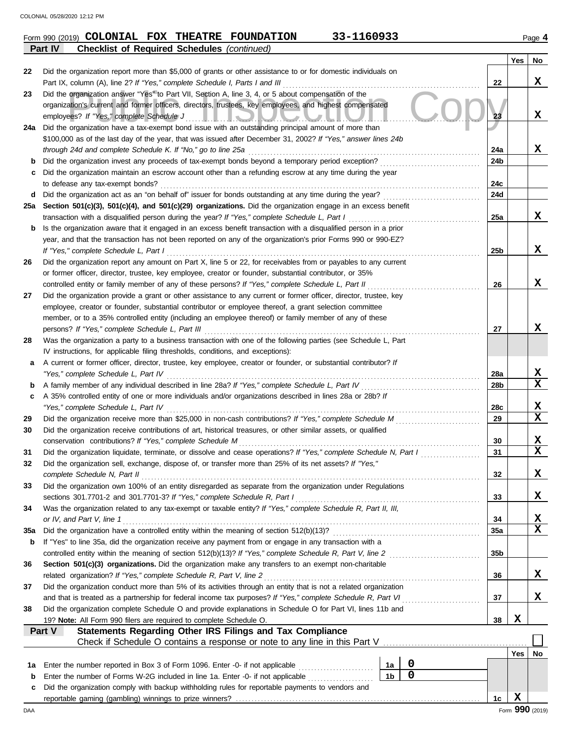| Form<br>(2019)<br>990 | COLONIAL                                           | <b>FOX</b> | <b>THEATRE</b> | FOUNDATION | .60933<br>5 — I |  | Page |
|-----------------------|----------------------------------------------------|------------|----------------|------------|-----------------|--|------|
| Part IV               | <b>Checklist of Required Schedules (continued)</b> |            |                |            |                 |  |      |

|     |                                                                                                                                                                                                     |                 | <b>Yes</b>  | No          |
|-----|-----------------------------------------------------------------------------------------------------------------------------------------------------------------------------------------------------|-----------------|-------------|-------------|
| 22  | Did the organization report more than \$5,000 of grants or other assistance to or for domestic individuals on                                                                                       |                 |             |             |
|     | Part IX, column (A), line 2? If "Yes," complete Schedule I, Parts I and III                                                                                                                         | 22              |             | X           |
| 23  | Did the organization answer "Yes" to Part VII, Section A, line 3, 4, or 5 about compensation of the                                                                                                 |                 |             |             |
|     | organization's current and former officers, directors, trustees, key employees, and highest compensated                                                                                             |                 |             |             |
|     | employees? If "Yes," complete Schedule J<br><u> HELIOIULUA I</u>                                                                                                                                    | 23              |             | x           |
| 24a | Did the organization have a tax-exempt bond issue with an outstanding principal amount of more than                                                                                                 |                 |             |             |
|     | \$100,000 as of the last day of the year, that was issued after December 31, 2002? If "Yes," answer lines 24b                                                                                       |                 |             |             |
|     | through 24d and complete Schedule K. If "No," go to line 25a                                                                                                                                        | 24a             |             | x           |
| b   | Did the organization invest any proceeds of tax-exempt bonds beyond a temporary period exception?                                                                                                   | 24b             |             |             |
| c   | Did the organization maintain an escrow account other than a refunding escrow at any time during the year                                                                                           |                 |             |             |
|     | to defease any tax-exempt bonds?                                                                                                                                                                    | 24c             |             |             |
| d   | Did the organization act as an "on behalf of" issuer for bonds outstanding at any time during the year?                                                                                             | 24d             |             |             |
| 25a | Section 501(c)(3), 501(c)(4), and 501(c)(29) organizations. Did the organization engage in an excess benefit                                                                                        |                 |             |             |
|     | transaction with a disqualified person during the year? If "Yes," complete Schedule L, Part I                                                                                                       | 25a             |             | x           |
| b   | Is the organization aware that it engaged in an excess benefit transaction with a disqualified person in a prior                                                                                    |                 |             |             |
|     | year, and that the transaction has not been reported on any of the organization's prior Forms 990 or 990-EZ?                                                                                        |                 |             |             |
|     | If "Yes," complete Schedule L, Part I                                                                                                                                                               | 25b             |             | x           |
| 26  | Did the organization report any amount on Part X, line 5 or 22, for receivables from or payables to any current                                                                                     |                 |             |             |
|     | or former officer, director, trustee, key employee, creator or founder, substantial contributor, or 35%                                                                                             |                 |             |             |
|     | controlled entity or family member of any of these persons? If "Yes," complete Schedule L, Part II                                                                                                  | 26              |             | x           |
| 27  | Did the organization provide a grant or other assistance to any current or former officer, director, trustee, key                                                                                   |                 |             |             |
|     | employee, creator or founder, substantial contributor or employee thereof, a grant selection committee                                                                                              |                 |             |             |
|     | member, or to a 35% controlled entity (including an employee thereof) or family member of any of these                                                                                              |                 |             |             |
|     | persons? If "Yes," complete Schedule L, Part III                                                                                                                                                    | 27              |             | x           |
| 28  | Was the organization a party to a business transaction with one of the following parties (see Schedule L, Part                                                                                      |                 |             |             |
|     | IV instructions, for applicable filing thresholds, conditions, and exceptions):<br>A current or former officer, director, trustee, key employee, creator or founder, or substantial contributor? If |                 |             |             |
| a   | "Yes," complete Schedule L, Part IV                                                                                                                                                                 | 28a             |             | х           |
| b   |                                                                                                                                                                                                     | 28 <sub>b</sub> |             | $\mathbf x$ |
| c   | A 35% controlled entity of one or more individuals and/or organizations described in lines 28a or 28b? If                                                                                           |                 |             |             |
|     | "Yes," complete Schedule L, Part IV                                                                                                                                                                 | 28c             |             | х           |
| 29  | Did the organization receive more than \$25,000 in non-cash contributions? If "Yes," complete Schedule M                                                                                            | 29              |             | $\mathbf x$ |
| 30  | Did the organization receive contributions of art, historical treasures, or other similar assets, or qualified                                                                                      |                 |             |             |
|     | conservation contributions? If "Yes," complete Schedule M                                                                                                                                           | 30              |             | х           |
| 31  | Did the organization liquidate, terminate, or dissolve and cease operations? If "Yes," complete Schedule N, Part I                                                                                  | 31              |             | $\mathbf x$ |
| 32  | Did the organization sell, exchange, dispose of, or transfer more than 25% of its net assets? If "Yes,"                                                                                             |                 |             |             |
|     | complete Schedule N, Part II                                                                                                                                                                        | 32              |             | x           |
| 33  | Did the organization own 100% of an entity disregarded as separate from the organization under Regulations                                                                                          |                 |             |             |
|     | sections 301.7701-2 and 301.7701-3? If "Yes," complete Schedule R, Part I                                                                                                                           | 33              |             | X           |
| 34  | Was the organization related to any tax-exempt or taxable entity? If "Yes," complete Schedule R, Part II, III,                                                                                      |                 |             |             |
|     | or IV, and Part V, line 1                                                                                                                                                                           | 34              |             | х           |
| 35a |                                                                                                                                                                                                     | 35a             |             | $\mathbf x$ |
| b   | If "Yes" to line 35a, did the organization receive any payment from or engage in any transaction with a                                                                                             |                 |             |             |
|     |                                                                                                                                                                                                     | 35b             |             |             |
| 36  | Section 501(c)(3) organizations. Did the organization make any transfers to an exempt non-charitable                                                                                                |                 |             |             |
|     | related organization? If "Yes," complete Schedule R, Part V, line 2                                                                                                                                 | 36              |             | X           |
| 37  | Did the organization conduct more than 5% of its activities through an entity that is not a related organization                                                                                    |                 |             |             |
|     |                                                                                                                                                                                                     | 37              |             | X           |
| 38  | Did the organization complete Schedule O and provide explanations in Schedule O for Part VI, lines 11b and                                                                                          |                 |             |             |
|     | 19? Note: All Form 990 filers are required to complete Schedule O.                                                                                                                                  | 38              | $\mathbf x$ |             |
|     | Part V<br><b>Statements Regarding Other IRS Filings and Tax Compliance</b>                                                                                                                          |                 |             |             |
|     | Check if Schedule O contains a response or note to any line in this Part V [11] Check if Schedule O contains a response or note to any line in this Part V                                          |                 |             |             |
|     |                                                                                                                                                                                                     |                 | Yes         | No          |
| 1а  | 0<br>Enter the number reported in Box 3 of Form 1096. Enter -0- if not applicable<br>1a                                                                                                             |                 |             |             |
| b   | $\overline{0}$<br>1 <sub>b</sub>                                                                                                                                                                    |                 |             |             |
| c   | Did the organization comply with backup withholding rules for reportable payments to vendors and                                                                                                    |                 |             |             |
|     |                                                                                                                                                                                                     | 1c              | $\mathbf x$ |             |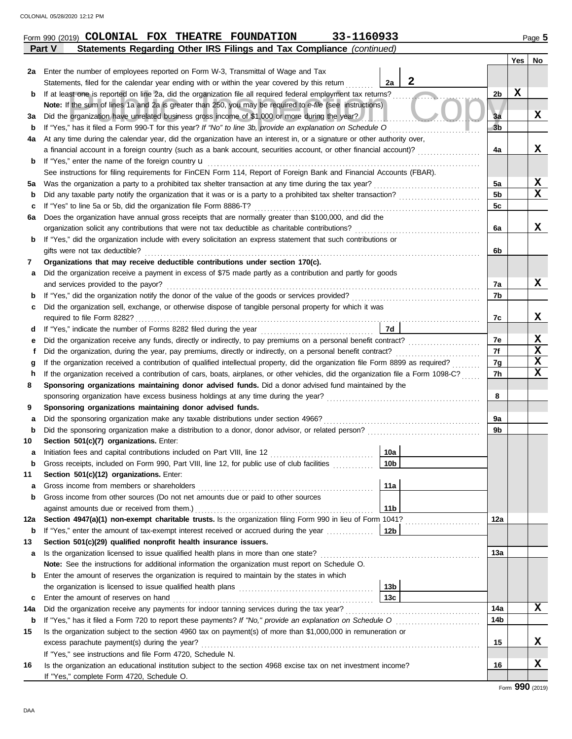|         |                                                                                                                                         |                 |   |                | Yes | No |  |  |  |  |
|---------|-----------------------------------------------------------------------------------------------------------------------------------------|-----------------|---|----------------|-----|----|--|--|--|--|
| 2a      | Enter the number of employees reported on Form W-3, Transmittal of Wage and Tax                                                         |                 |   |                |     |    |  |  |  |  |
|         | Statements, filed for the calendar year ending with or within the year covered by this return                                           | 2a              | 2 |                |     |    |  |  |  |  |
| b       | If at least one is reported on line 2a, did the organization file all required federal employment tax returns?                          |                 |   | 2b             | X   |    |  |  |  |  |
|         | Note: If the sum of lines 1a and 2a is greater than 250, you may be required to e-file (see instructions)                               |                 |   |                |     |    |  |  |  |  |
| за      | Did the organization have unrelated business gross income of \$1,000 or more during the year?                                           |                 |   | 3a             |     | x  |  |  |  |  |
| b       | If "Yes," has it filed a Form 990-T for this year? If "No" to line 3b, provide an explanation on Schedule O                             |                 |   |                |     |    |  |  |  |  |
| 4a      | At any time during the calendar year, did the organization have an interest in, or a signature or other authority over,                 |                 |   |                |     |    |  |  |  |  |
|         | a financial account in a foreign country (such as a bank account, securities account, or other financial account)?                      |                 |   | 4a             |     | x  |  |  |  |  |
| b       | If "Yes," enter the name of the foreign country <b>u</b>                                                                                |                 |   |                |     |    |  |  |  |  |
|         | See instructions for filing requirements for FinCEN Form 114, Report of Foreign Bank and Financial Accounts (FBAR).                     |                 |   |                |     |    |  |  |  |  |
| 5а      | Was the organization a party to a prohibited tax shelter transaction at any time during the tax year?                                   |                 |   | 5a             |     | X  |  |  |  |  |
| b       |                                                                                                                                         |                 |   | 5 <sub>b</sub> |     | X  |  |  |  |  |
| c       | If "Yes" to line 5a or 5b, did the organization file Form 8886-T?                                                                       |                 |   | 5c             |     |    |  |  |  |  |
| 6a      | Does the organization have annual gross receipts that are normally greater than \$100,000, and did the                                  |                 |   |                |     |    |  |  |  |  |
|         | organization solicit any contributions that were not tax deductible as charitable contributions?                                        |                 |   | 6a             |     | x  |  |  |  |  |
| b       | If "Yes," did the organization include with every solicitation an express statement that such contributions or                          |                 |   |                |     |    |  |  |  |  |
|         | gifts were not tax deductible?                                                                                                          |                 |   | 6b             |     |    |  |  |  |  |
| 7       | Organizations that may receive deductible contributions under section 170(c).                                                           |                 |   |                |     |    |  |  |  |  |
| а       | Did the organization receive a payment in excess of \$75 made partly as a contribution and partly for goods                             |                 |   |                |     |    |  |  |  |  |
|         | and services provided to the payor?                                                                                                     |                 |   | 7a             |     | x  |  |  |  |  |
| b       |                                                                                                                                         |                 |   | 7b             |     |    |  |  |  |  |
| c       | Did the organization sell, exchange, or otherwise dispose of tangible personal property for which it was                                |                 |   |                |     |    |  |  |  |  |
|         | required to file Form 8282?                                                                                                             |                 |   | 7c             |     | x  |  |  |  |  |
| d       |                                                                                                                                         | 7d              |   | 7e             |     | X  |  |  |  |  |
| е       |                                                                                                                                         |                 |   |                |     |    |  |  |  |  |
|         | Did the organization, during the year, pay premiums, directly or indirectly, on a personal benefit contract?<br>f                       |                 |   |                |     |    |  |  |  |  |
| g       | If the organization received a contribution of qualified intellectual property, did the organization file Form 8899 as required?        |                 |   |                |     |    |  |  |  |  |
|         | If the organization received a contribution of cars, boats, airplanes, or other vehicles, did the organization file a Form 1098-C?<br>h |                 |   |                |     |    |  |  |  |  |
| 8       | Sponsoring organizations maintaining donor advised funds. Did a donor advised fund maintained by the                                    |                 |   |                |     |    |  |  |  |  |
|         | sponsoring organization have excess business holdings at any time during the year?                                                      |                 |   | 8              |     |    |  |  |  |  |
| 9       | Sponsoring organizations maintaining donor advised funds.                                                                               |                 |   |                |     |    |  |  |  |  |
| а       | Did the sponsoring organization make any taxable distributions under section 4966?                                                      |                 |   | 9a<br>9b       |     |    |  |  |  |  |
| b       | Did the sponsoring organization make a distribution to a donor, donor advisor, or related person?                                       |                 |   |                |     |    |  |  |  |  |
| 10      | Section 501(c)(7) organizations. Enter:<br>Initiation fees and capital contributions included on Part VIII, line 12                     | 10a             |   |                |     |    |  |  |  |  |
| а       | Gross receipts, included on Form 990, Part VIII, line 12, for public use of club facilities                                             | 10 <sub>b</sub> |   |                |     |    |  |  |  |  |
| b<br>11 | Section 501(c)(12) organizations. Enter:                                                                                                |                 |   |                |     |    |  |  |  |  |
| a       | Gross income from members or shareholders                                                                                               | 11a             |   |                |     |    |  |  |  |  |
| b       | Gross income from other sources (Do not net amounts due or paid to other sources                                                        |                 |   |                |     |    |  |  |  |  |
|         |                                                                                                                                         | 11 <sub>b</sub> |   |                |     |    |  |  |  |  |
| 12a     | Section 4947(a)(1) non-exempt charitable trusts. Is the organization filing Form 990 in lieu of Form 1041?                              |                 |   | 12a            |     |    |  |  |  |  |
| b       | If "Yes," enter the amount of tax-exempt interest received or accrued during the year                                                   | 12b             |   |                |     |    |  |  |  |  |
| 13      | Section 501(c)(29) qualified nonprofit health insurance issuers.                                                                        |                 |   |                |     |    |  |  |  |  |
| a       | Is the organization licensed to issue qualified health plans in more than one state?                                                    |                 |   | 13а            |     |    |  |  |  |  |
|         | Note: See the instructions for additional information the organization must report on Schedule O.                                       |                 |   |                |     |    |  |  |  |  |
| b       | Enter the amount of reserves the organization is required to maintain by the states in which                                            |                 |   |                |     |    |  |  |  |  |
|         |                                                                                                                                         | 13 <sub>b</sub> |   |                |     |    |  |  |  |  |
| c       | Enter the amount of reserves on hand                                                                                                    | 13 <sub>c</sub> |   |                |     |    |  |  |  |  |
| 14a     | Did the organization receive any payments for indoor tanning services during the tax year?                                              |                 |   | 14a            |     | x  |  |  |  |  |
| b       | If "Yes," has it filed a Form 720 to report these payments? If "No," provide an explanation on Schedule O                               |                 |   | 14b            |     |    |  |  |  |  |
| 15      | Is the organization subject to the section 4960 tax on payment(s) of more than \$1,000,000 in remuneration or                           |                 |   |                |     |    |  |  |  |  |
|         | excess parachute payment(s) during the year?                                                                                            |                 |   | 15             |     | X. |  |  |  |  |
|         | If "Yes," see instructions and file Form 4720, Schedule N.                                                                              |                 |   |                |     |    |  |  |  |  |
| 16      | Is the organization an educational institution subject to the section 4968 excise tax on net investment income?                         |                 |   | 16             |     | x  |  |  |  |  |
|         | If "Yes," complete Form 4720, Schedule O.                                                                                               |                 |   |                |     |    |  |  |  |  |
|         |                                                                                                                                         |                 |   |                | റററ |    |  |  |  |  |

**Part V Statements Regarding Other IRS Filings and Tax Compliance** *(continued)*

**Form 990 (2019) COLONIAL FOX THEATRE FOUNDATION** 33-1160933 Page 5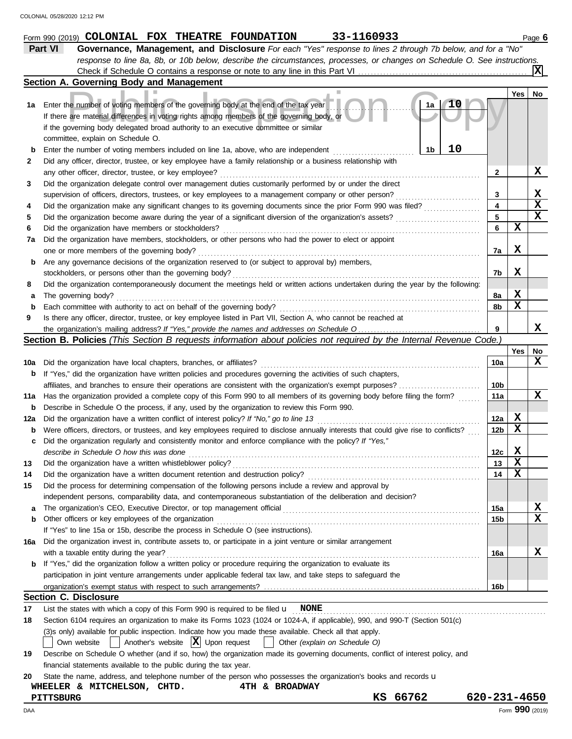|     | 33-1160933<br>Form 990 (2019) COLONIAL FOX THEATRE FOUNDATION                                                                       |              |             | Page 6      |
|-----|-------------------------------------------------------------------------------------------------------------------------------------|--------------|-------------|-------------|
|     | Part VI<br>Governance, Management, and Disclosure For each "Yes" response to lines 2 through 7b below, and for a "No"               |              |             |             |
|     | response to line 8a, 8b, or 10b below, describe the circumstances, processes, or changes on Schedule O. See instructions.           |              |             |             |
|     |                                                                                                                                     |              |             |             |
|     | Section A. Governing Body and Management                                                                                            |              |             |             |
|     |                                                                                                                                     |              | Yes         | No          |
| 1a  | Enter the number of voting members of the governing body at the end of the tax year<br>1a                                           |              |             |             |
|     | If there are material differences in voting rights among members of the governing body, or                                          |              |             |             |
|     | if the governing body delegated broad authority to an executive committee or similar                                                |              |             |             |
|     | committee, explain on Schedule O.                                                                                                   |              |             |             |
| b   | 10<br>1b<br>Enter the number of voting members included on line 1a, above, who are independent                                      |              |             |             |
| 2   | Did any officer, director, trustee, or key employee have a family relationship or a business relationship with                      |              |             |             |
|     | any other officer, director, trustee, or key employee?                                                                              | $\mathbf{2}$ |             | X           |
| 3   | Did the organization delegate control over management duties customarily performed by or under the direct                           |              |             |             |
|     | supervision of officers, directors, trustees, or key employees to a management company or other person?                             | 3            |             | X           |
| 4   | Did the organization make any significant changes to its governing documents since the prior Form 990 was filed?                    | 4            |             | $\mathbf x$ |
| 5   | Did the organization become aware during the year of a significant diversion of the organization's assets?                          | 5            |             | $\mathbf x$ |
| 6   | Did the organization have members or stockholders?                                                                                  | 6            | X           |             |
| 7а  | Did the organization have members, stockholders, or other persons who had the power to elect or appoint                             |              |             |             |
|     | one or more members of the governing body?                                                                                          | 7а           | X           |             |
| b   | Are any governance decisions of the organization reserved to (or subject to approval by) members,                                   |              |             |             |
|     | stockholders, or persons other than the governing body?                                                                             | 7b           | X           |             |
| 8   | Did the organization contemporaneously document the meetings held or written actions undertaken during the year by the following:   |              |             |             |
|     |                                                                                                                                     |              | X           |             |
| а   | The governing body?                                                                                                                 | 8а           | X           |             |
| b   | Each committee with authority to act on behalf of the governing body?                                                               | 8b           |             |             |
| 9   | Is there any officer, director, trustee, or key employee listed in Part VII, Section A, who cannot be reached at                    |              |             | x           |
|     |                                                                                                                                     | 9            |             |             |
|     | Section B. Policies (This Section B requests information about policies not required by the Internal Revenue Code.)                 |              |             |             |
|     |                                                                                                                                     |              | Yes         | No<br>X     |
| 10a | Did the organization have local chapters, branches, or affiliates?                                                                  | 10a          |             |             |
| b   | If "Yes," did the organization have written policies and procedures governing the activities of such chapters,                      |              |             |             |
|     | affiliates, and branches to ensure their operations are consistent with the organization's exempt purposes?                         | 10b          |             |             |
| 11a | Has the organization provided a complete copy of this Form 990 to all members of its governing body before filing the form?         | 11a          |             | X           |
| b   | Describe in Schedule O the process, if any, used by the organization to review this Form 990.                                       |              |             |             |
| 12a | Did the organization have a written conflict of interest policy? If "No," go to line 13                                             | 12a          | X           |             |
| b   | Were officers, directors, or trustees, and key employees required to disclose annually interests that could give rise to conflicts? | 12b          | X           |             |
| c   | Did the organization regularly and consistently monitor and enforce compliance with the policy? If "Yes,"                           |              |             |             |
|     | describe in Schedule O how this was done                                                                                            | 12c          | $\mathbf x$ |             |
| 13  | Did the organization have a written whistleblower policy?                                                                           | 13           | X           |             |
| 14  | Did the organization have a written document retention and destruction policy?                                                      | 14           | х           |             |
| 15  | Did the process for determining compensation of the following persons include a review and approval by                              |              |             |             |
|     | independent persons, comparability data, and contemporaneous substantiation of the deliberation and decision?                       |              |             |             |
| а   | The organization's CEO, Executive Director, or top management official                                                              | 15a          |             | X           |
| b   | Other officers or key employees of the organization                                                                                 | 15b          |             | X           |
|     | If "Yes" to line 15a or 15b, describe the process in Schedule O (see instructions).                                                 |              |             |             |
| 16a | Did the organization invest in, contribute assets to, or participate in a joint venture or similar arrangement                      |              |             |             |
|     | with a taxable entity during the year?                                                                                              | 16a          |             | x           |
| b   | If "Yes," did the organization follow a written policy or procedure requiring the organization to evaluate its                      |              |             |             |
|     | participation in joint venture arrangements under applicable federal tax law, and take steps to safeguard the                       |              |             |             |
|     |                                                                                                                                     | 16b          |             |             |
|     | <b>Section C. Disclosure</b>                                                                                                        |              |             |             |
| 17  | List the states with which a copy of this Form 990 is required to be filed $\mathbf u$ NONE                                         |              |             |             |
| 18  | Section 6104 requires an organization to make its Forms 1023 (1024 or 1024-A, if applicable), 990, and 990-T (Section 501(c)        |              |             |             |
|     | (3)s only) available for public inspection. Indicate how you made these available. Check all that apply.                            |              |             |             |
|     | Another's website $ \mathbf{X} $ Upon request<br>Other (explain on Schedule O)<br>Own website                                       |              |             |             |
| 19  | Describe on Schedule O whether (and if so, how) the organization made its governing documents, conflict of interest policy, and     |              |             |             |
|     | financial statements available to the public during the tax year.                                                                   |              |             |             |
| 20  | State the name, address, and telephone number of the person who possesses the organization's books and records u                    |              |             |             |
|     | WHEELER & MITCHELSON, CHTD.<br>4TH & BROADWAY                                                                                       |              |             |             |
|     | 66762<br>кs<br><b>PITTSBURG</b>                                                                                                     | 620-231-4650 |             |             |
|     |                                                                                                                                     |              |             |             |

DAA Form **990** (2019)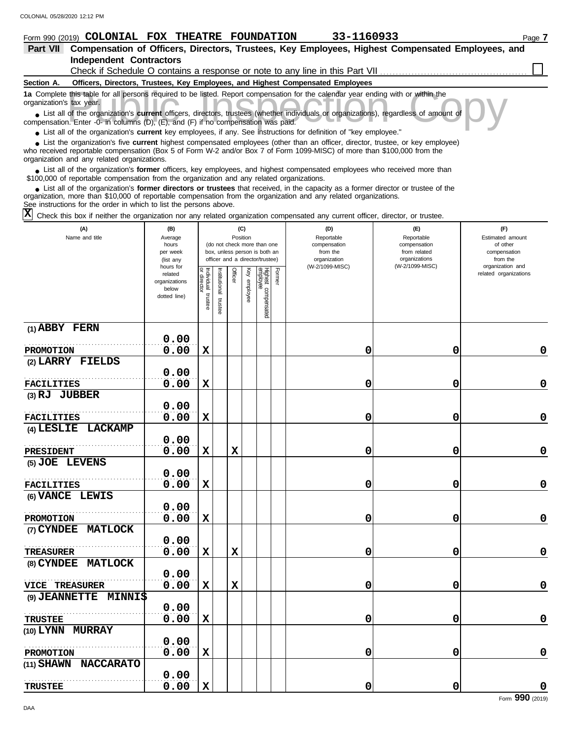# **Form 990 (2019) COLONIAL FOX THEATRE FOUNDATION** 33-1160933 Page 7

| Part VII Compensation of Officers, Directors, Trustees, Key Employees, Highest Compensated Employees, and |  |
|-----------------------------------------------------------------------------------------------------------|--|
| Independent Contractors                                                                                   |  |
| Check if Schedule O contains a response or note to any line in this Part VII                              |  |

#### **Section A. Officers, Directors, Trustees, Key Employees, and Highest Compensated Employees**

**1a** Complete this table for all persons required to be listed. Report compensation for the calendar year ending with or within the organization's tax year.

this table for all persons required to be listed. Report compensation for the calendar year ending with or within the tax year.<br>
of the organization's **current** officers, directors, trustees (whether individuals or organiz ■ List all of the organization's **current** officers, directors, trustees (whether individuals or organizations), regardless of amount of compensation. Enter -0- in columns (D), (E), and (F) if no compensation was paid.

● List all of the organization's **current** key employees, if any. See instructions for definition of "key employee."

who received reportable compensation (Box 5 of Form W-2 and/or Box 7 of Form 1099-MISC) of more than \$100,000 from the ■ List the organization's five **current** highest compensated employees (other than an officer, director, trustee, or key employee)<br> **•** Preceived reportable compensation (Box 5 of Form W.2 and/or Box 7 of Form 1000 MISC)

organization and any related organizations.

■ List all of the organization's **former** officers, key employees, and highest compensated employees who received more than<br> **•** 00,000 of reportable compensation from the ergonization and any related ergonizations \$100,000 of reportable compensation from the organization and any related organizations.

■ List all of the organization's **former directors or trustees** that received, in the capacity as a former director or trustee of the<br>paization, more than \$10,000 of reportable compensation from the organization and any r organization, more than \$10,000 of reportable compensation from the organization and any related organizations.

See instructions for the order in which to list the persons above.

 $\overline{X}$  Check this box if neither the organization nor any related organization compensated any current officer, director, or trustee.

| (A)<br>Name and title          | (B)<br>Average<br>hours<br>per week<br>(list any               |                                   | (C)<br>Position<br>(do not check more than one<br>box, unless person is both an<br>officer and a director/trustee) |             |              |                                           | (D)<br>Reportable<br>compensation<br>from the<br>organization | (E)<br>Reportable<br>compensation<br>from related<br>organizations<br>(W-2/1099-MISC) | (F)<br>Estimated amount<br>of other<br>compensation<br>from the<br>organization and |
|--------------------------------|----------------------------------------------------------------|-----------------------------------|--------------------------------------------------------------------------------------------------------------------|-------------|--------------|-------------------------------------------|---------------------------------------------------------------|---------------------------------------------------------------------------------------|-------------------------------------------------------------------------------------|
|                                | hours for<br>related<br>organizations<br>below<br>dotted line) | Individual trustee<br>or director | Institutional<br>trustee                                                                                           | Officer     | Key employee | Former<br>Highest compensated<br>employee | (W-2/1099-MISC)                                               |                                                                                       | related organizations                                                               |
| (1) ABBY FERN                  |                                                                |                                   |                                                                                                                    |             |              |                                           |                                                               |                                                                                       |                                                                                     |
| <b>PROMOTION</b>               | 0.00<br>0.00                                                   | $\mathbf x$                       |                                                                                                                    |             |              |                                           | 0                                                             | 0                                                                                     | 0                                                                                   |
| (2) LARRY FIELDS               |                                                                |                                   |                                                                                                                    |             |              |                                           |                                                               |                                                                                       |                                                                                     |
|                                | 0.00                                                           |                                   |                                                                                                                    |             |              |                                           |                                                               |                                                                                       |                                                                                     |
| <b>FACILITIES</b>              | 0.00                                                           | X                                 |                                                                                                                    |             |              |                                           | 0                                                             | 0                                                                                     | $\mathbf 0$                                                                         |
| (3) RJ JUBBER                  |                                                                |                                   |                                                                                                                    |             |              |                                           |                                                               |                                                                                       |                                                                                     |
|                                | 0.00                                                           |                                   |                                                                                                                    |             |              |                                           |                                                               |                                                                                       |                                                                                     |
| <b>FACILITIES</b>              | 0.00                                                           | $\mathbf x$                       |                                                                                                                    |             |              |                                           | 0                                                             | 0                                                                                     | $\pmb{0}$                                                                           |
| <b>LACKAMP</b><br>$(4)$ LESLIE |                                                                |                                   |                                                                                                                    |             |              |                                           |                                                               |                                                                                       |                                                                                     |
|                                | 0.00                                                           |                                   |                                                                                                                    |             |              |                                           |                                                               |                                                                                       |                                                                                     |
| <b>PRESIDENT</b>               | 0.00                                                           | $\mathbf x$                       |                                                                                                                    | $\mathbf x$ |              |                                           | 0                                                             | 0                                                                                     | $\mathbf 0$                                                                         |
| (5) JOE LEVENS                 | 0.00                                                           |                                   |                                                                                                                    |             |              |                                           |                                                               |                                                                                       |                                                                                     |
| <b>FACILITIES</b>              | 0.00                                                           | $\mathbf x$                       |                                                                                                                    |             |              |                                           | 0                                                             | 0                                                                                     | $\pmb{0}$                                                                           |
| (6) VANCE LEWIS                |                                                                |                                   |                                                                                                                    |             |              |                                           |                                                               |                                                                                       |                                                                                     |
|                                | 0.00                                                           |                                   |                                                                                                                    |             |              |                                           |                                                               |                                                                                       |                                                                                     |
| PROMOTION                      | 0.00                                                           | X                                 |                                                                                                                    |             |              |                                           | 0                                                             | 0                                                                                     | $\pmb{0}$                                                                           |
| <b>MATLOCK</b><br>(7) CYNDEE   |                                                                |                                   |                                                                                                                    |             |              |                                           |                                                               |                                                                                       |                                                                                     |
|                                | 0.00                                                           |                                   |                                                                                                                    |             |              |                                           |                                                               |                                                                                       |                                                                                     |
| TREASURER                      | 0.00                                                           | X                                 |                                                                                                                    | $\mathbf x$ |              |                                           | 0                                                             | 0                                                                                     | $\mathbf 0$                                                                         |
| (8) CYNDEE MATLOCK             |                                                                |                                   |                                                                                                                    |             |              |                                           |                                                               |                                                                                       |                                                                                     |
|                                | 0.00                                                           |                                   |                                                                                                                    |             |              |                                           |                                                               |                                                                                       |                                                                                     |
| <b>VICE TREASURER</b>          | 0.00                                                           | $\mathbf x$                       |                                                                                                                    | $\mathbf x$ |              |                                           | 0                                                             | 0                                                                                     | $\pmb{0}$                                                                           |
| (9) JEANNETTE MINNI\$          | 0.00                                                           |                                   |                                                                                                                    |             |              |                                           |                                                               |                                                                                       |                                                                                     |
| <b>TRUSTEE</b>                 | 0.00                                                           | $\mathbf x$                       |                                                                                                                    |             |              |                                           | 0                                                             | 0                                                                                     | 0                                                                                   |
| (10) LYNN MURRAY               |                                                                |                                   |                                                                                                                    |             |              |                                           |                                                               |                                                                                       |                                                                                     |
|                                | 0.00                                                           |                                   |                                                                                                                    |             |              |                                           |                                                               |                                                                                       |                                                                                     |
| <b>PROMOTION</b>               | 0.00                                                           | $\mathbf x$                       |                                                                                                                    |             |              |                                           | 0                                                             | 0                                                                                     | $\mathbf 0$                                                                         |
| (11) SHAWN NACCARATO           |                                                                |                                   |                                                                                                                    |             |              |                                           |                                                               |                                                                                       |                                                                                     |
|                                | 0.00                                                           |                                   |                                                                                                                    |             |              |                                           |                                                               |                                                                                       |                                                                                     |
| <b>TRUSTEE</b>                 | 0.00                                                           | $\mathbf x$                       |                                                                                                                    |             |              |                                           | 0                                                             | 0                                                                                     | $\pmb{0}$                                                                           |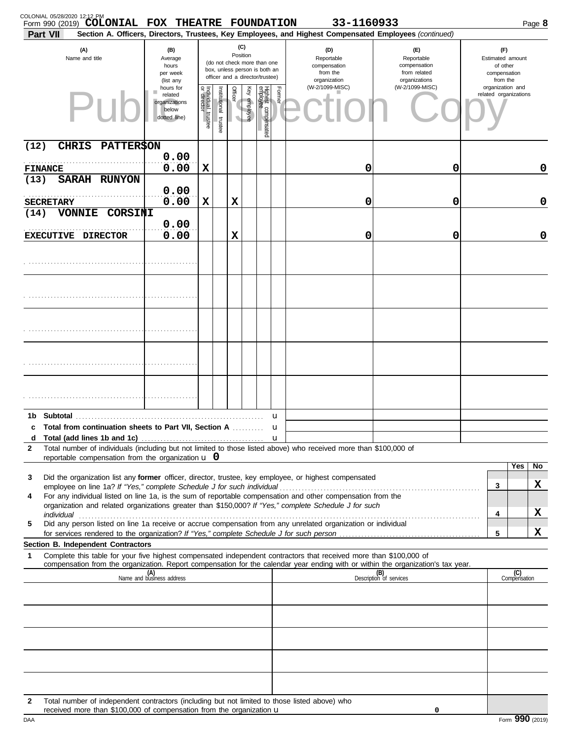| Form 990 (2019) COLONIAL FOX THEATRE FOUNDATION<br>Part VII                                                                                                                                                                                                 |                                                                |                                   |                       |         |                 |                                                                                                 |        | 33-1160933<br>Section A. Officers, Directors, Trustees, Key Employees, and Highest Compensated Employees (continued) |                                                                    |   | Page 8                                                          |
|-------------------------------------------------------------------------------------------------------------------------------------------------------------------------------------------------------------------------------------------------------------|----------------------------------------------------------------|-----------------------------------|-----------------------|---------|-----------------|-------------------------------------------------------------------------------------------------|--------|----------------------------------------------------------------------------------------------------------------------|--------------------------------------------------------------------|---|-----------------------------------------------------------------|
| (A)<br>Name and title                                                                                                                                                                                                                                       | (B)<br>Average<br>hours<br>per week<br>(list any               |                                   |                       |         | (C)<br>Position | (do not check more than one<br>box, unless person is both an<br>officer and a director/trustee) |        | (D)<br>Reportable<br>compensation<br>from the<br>organization                                                        | (E)<br>Reportable<br>compensation<br>from related<br>organizations |   | (F)<br>Estimated amount<br>of other<br>compensation<br>from the |
|                                                                                                                                                                                                                                                             | hours for<br>related<br>organizations<br>below<br>dotted line) | Individual trustee<br>or director | Institutional trustee | Officer | Key employee    | Highest compensated<br>employee                                                                 | Former | (W-2/1099-MISC)                                                                                                      | (W-2/1099-MISC)                                                    |   | organization and<br>related organizations                       |
| <b>PATTER\$ON</b><br>(12)<br><b>CHRIS</b>                                                                                                                                                                                                                   |                                                                |                                   |                       |         |                 |                                                                                                 |        |                                                                                                                      |                                                                    |   |                                                                 |
| <b>FINANCE</b>                                                                                                                                                                                                                                              | 0.00<br>0.00                                                   | X                                 |                       |         |                 |                                                                                                 |        | 0                                                                                                                    | 0                                                                  |   | $\mathbf 0$                                                     |
| <b>SARAH RUNYON</b><br>(13)                                                                                                                                                                                                                                 | 0.00                                                           |                                   |                       |         |                 |                                                                                                 |        |                                                                                                                      |                                                                    |   |                                                                 |
| <b>SECRETARY</b>                                                                                                                                                                                                                                            | 0.00                                                           | X                                 |                       | X       |                 |                                                                                                 |        | 0                                                                                                                    | 0                                                                  |   | $\mathbf 0$                                                     |
| <b>VONNIE</b><br><b>CORSINI</b><br>(14)                                                                                                                                                                                                                     | 0.00                                                           |                                   |                       |         |                 |                                                                                                 |        |                                                                                                                      |                                                                    |   | $\mathbf 0$                                                     |
| EXECUTIVE DIRECTOR                                                                                                                                                                                                                                          | 0.00                                                           |                                   |                       | X       |                 |                                                                                                 |        | 0                                                                                                                    | 0                                                                  |   |                                                                 |
|                                                                                                                                                                                                                                                             |                                                                |                                   |                       |         |                 |                                                                                                 |        |                                                                                                                      |                                                                    |   |                                                                 |
|                                                                                                                                                                                                                                                             |                                                                |                                   |                       |         |                 |                                                                                                 |        |                                                                                                                      |                                                                    |   |                                                                 |
|                                                                                                                                                                                                                                                             |                                                                |                                   |                       |         |                 |                                                                                                 |        |                                                                                                                      |                                                                    |   |                                                                 |
|                                                                                                                                                                                                                                                             |                                                                |                                   |                       |         |                 |                                                                                                 |        |                                                                                                                      |                                                                    |   |                                                                 |
|                                                                                                                                                                                                                                                             |                                                                |                                   |                       |         |                 |                                                                                                 |        |                                                                                                                      |                                                                    |   |                                                                 |
|                                                                                                                                                                                                                                                             |                                                                |                                   |                       |         |                 |                                                                                                 |        |                                                                                                                      |                                                                    |   |                                                                 |
| Subtotal<br>1b.<br>Total from continuation sheets to Part VII, Section A                                                                                                                                                                                    |                                                                |                                   |                       |         |                 |                                                                                                 | u<br>u |                                                                                                                      |                                                                    |   |                                                                 |
| d                                                                                                                                                                                                                                                           |                                                                |                                   |                       |         |                 |                                                                                                 | u      |                                                                                                                      |                                                                    |   |                                                                 |
| Total number of individuals (including but not limited to those listed above) who received more than \$100,000 of<br>2<br>reportable compensation from the organization $\bf{u}$ 0                                                                          |                                                                |                                   |                       |         |                 |                                                                                                 |        |                                                                                                                      |                                                                    |   |                                                                 |
| Did the organization list any former officer, director, trustee, key employee, or highest compensated<br>3                                                                                                                                                  |                                                                |                                   |                       |         |                 |                                                                                                 |        |                                                                                                                      |                                                                    |   | Yes<br>No.                                                      |
| For any individual listed on line 1a, is the sum of reportable compensation and other compensation from the<br>4                                                                                                                                            |                                                                |                                   |                       |         |                 |                                                                                                 |        |                                                                                                                      |                                                                    | 3 | X                                                               |
| organization and related organizations greater than \$150,000? If "Yes," complete Schedule J for such                                                                                                                                                       |                                                                |                                   |                       |         |                 |                                                                                                 |        |                                                                                                                      |                                                                    | 4 | X                                                               |
| individual communications and contact the contact of the contact of the contact of the contact of the contact o<br>Did any person listed on line 1a receive or accrue compensation from any unrelated organization or individual<br>5                       |                                                                |                                   |                       |         |                 |                                                                                                 |        |                                                                                                                      |                                                                    |   | x                                                               |
| Section B. Independent Contractors                                                                                                                                                                                                                          |                                                                |                                   |                       |         |                 |                                                                                                 |        |                                                                                                                      |                                                                    | 5 |                                                                 |
| Complete this table for your five highest compensated independent contractors that received more than \$100,000 of<br>1<br>compensation from the organization. Report compensation for the calendar year ending with or within the organization's tax year. |                                                                |                                   |                       |         |                 |                                                                                                 |        |                                                                                                                      |                                                                    |   |                                                                 |
|                                                                                                                                                                                                                                                             | (A)<br>Name and business address                               |                                   |                       |         |                 |                                                                                                 |        |                                                                                                                      | (B)<br>Description of services                                     |   | (C)<br>Compensation                                             |
|                                                                                                                                                                                                                                                             |                                                                |                                   |                       |         |                 |                                                                                                 |        |                                                                                                                      |                                                                    |   |                                                                 |
|                                                                                                                                                                                                                                                             |                                                                |                                   |                       |         |                 |                                                                                                 |        |                                                                                                                      |                                                                    |   |                                                                 |
|                                                                                                                                                                                                                                                             |                                                                |                                   |                       |         |                 |                                                                                                 |        |                                                                                                                      |                                                                    |   |                                                                 |
|                                                                                                                                                                                                                                                             |                                                                |                                   |                       |         |                 |                                                                                                 |        |                                                                                                                      |                                                                    |   |                                                                 |
|                                                                                                                                                                                                                                                             |                                                                |                                   |                       |         |                 |                                                                                                 |        |                                                                                                                      |                                                                    |   |                                                                 |
| Total number of independent contractors (including but not limited to those listed above) who<br>2<br>received more than \$100,000 of compensation from the organization $\mathbf u$                                                                        |                                                                |                                   |                       |         |                 |                                                                                                 |        |                                                                                                                      | 0                                                                  |   |                                                                 |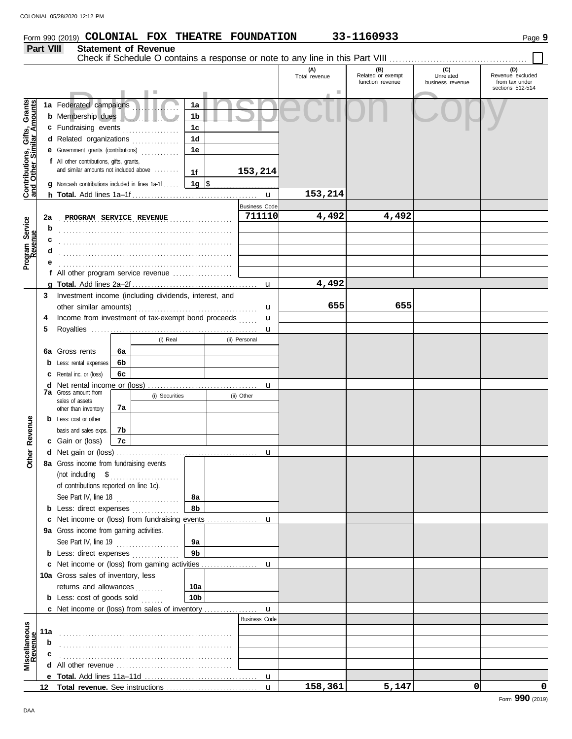### **Form 990 (2019) COLONIAL FOX THEATRE FOUNDATION** 33-1160933 Page 9 **Part VIII Statement of Revenue** Check if Schedule O contains a response or note to any line in this Part VIII. **(A) (B) (C) (D)** Total revenue Related or exempt Unrelated Revenue excluded function revenue business revenue from tax under sections 512-514 Public Inspection Copy Gifts, Grants<br>illar Amounts **Contributions, Gifts, Grants and Other Similar Amounts 1a 1a** Federated campaigns **. . . . . . . . . . . . 1b b** Membership dues . . . . . . . . . . . . . . . . . . . **1c c** Fundraising events **. . . . . . . . . . . . . .** . . **1d d** Related organizations . . . . . . . . . . . . . Contributions, **1e e** Government grants (contributions) . . . . . . . . . . . . **f** All other contributions, gifts, grants, and similar amounts not included above ....... **153,214 1f 1g g** Noncash contributions included in lines 1a-1f . . . . .  $\frac{\$}{\$}$ **153,214** u **h Total.** Add lines 1a–1f . . . . . . . . . . . . . . . . . . . . . . . . . . . . . . . . . . . . . . . . Business Code **PROGRAM SERVICE REVENUE 711110 4,492 4,492 2a** Program Service<br>Revenue **Program Service b** . . . . . . . . . . . . . . . . . . . . . . . . . . . . . . . . . . . . . . . . . . . . . . . . . . . . . . . **c** . . . . . . . . . . . . . . . . . . . . . . . . . . . . . . . . . . . . . . . . . . . . . . . . . . . . . . . **d** . . . . . . . . . . . . . . . . . . . . . . . . . . . . . . . . . . . . . . . . . . . . . . . . . . . . . . . **e** . . . . . . . . . . . . . . . . . . . . . . . . . . . . . . . . . . . . . . . . . . . . . . . . . . . . . . . **f** All other program service revenue . . . . . . . . . . . . . . . . . . . **4,492 g Total.** Add lines 2a–2f . . . . . . . . . . . . . . . . . . . . . . . . . . . . . . . . . . . . . . . . u **3** Investment income (including dividends, interest, and **655 655** other similar amounts) . . . . . . . . . . . . . . . . . . . . . . . . . . . . . . . . . . . . . . . u Income from investment of tax-exempt bond proceeds **4** u **5** Royalties ..... u (i) Real (ii) Personal **6a 6a** Gross rents **6b b** Less: rental expenses **6c c** Rental inc. or (loss) **d** Net rental income or (loss) . . . . . . . . . . . . . . . . . . . . . . . . . . . . . . . . . . . u **7a** Gross amount from (i) Securities (ii) Other sales of assets **7a** other than inventory **Other Revenue b** Less: cost or other **Other Revenue 7b** basis and sales exps. **7c c** Gain or (loss) **d** u Net gain or (loss) . . . . . . . . . . . . . . . . . . . . . . . . . . . . . . . . . . . . . . . . . . . . . **8a** Gross income from fundraising events (not including \$ . . . . . . . . . . . . . . . . . . . . . . of contributions reported on line 1c). See Part IV, line 18 . . . . . . . . . . . . . . . . . . . . **8a 8b b** Less: direct expenses . . . . . . . . . . . . . u **c** Net income or (loss) from fundraising events ............... **9a** Gross income from gaming activities. See Part IV, line 19 . . . . . . . . . . . . . . . . . . . . **9a 9b b** Less: direct expenses ............... u Net income or (loss) from gaming activities . . . . . . . . . . . . . . . . . . **c** 10a Gross sales of inventory, less returns and allowances ......... **10a 10b b** Less: cost of goods sold  $\ldots$ Net income or (loss) from sales of inventory . . . . . . . . . . . . . . . . . **c** u Business Code **Revenue Miscellaneous 11a** . . . . . . . . . . . . . . . . . . . . . . . . . . . . . . . . . . . . . . . . . . . . . . . . . . . . . . . **b c d** All other revenue . . . . . . . . . . . . . . . . . . . . . . . . . . . . . . . . . . . . . **e Total.** Add lines 11a–11d . . . . . . . . . . . . . . . . . . . . . . . . . . . . . . . . . . . . u **158,361 5,147 0 0**

u

**12**

**Total revenue.** See instructions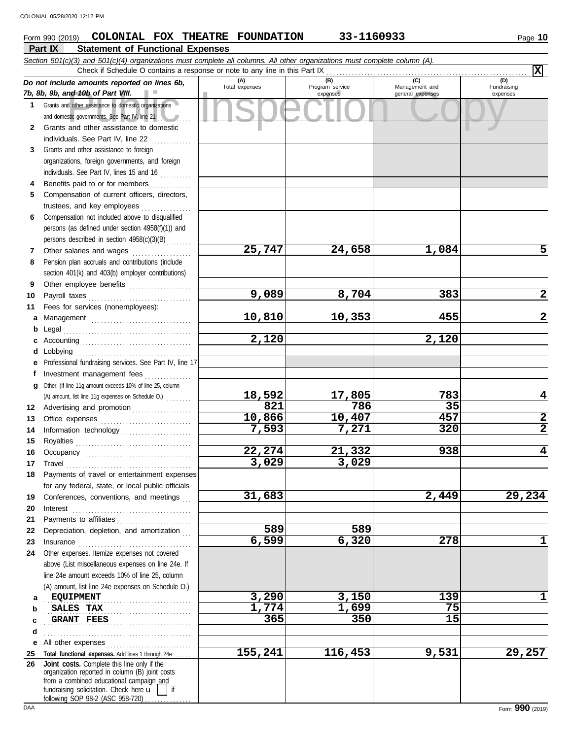### nd 10b of Part VIII.<br>
dother assistance to domestic organizations<br>
and other assistance to domestic<br>
and other assistance to domestic **Part IX Statement of Functional Expenses Form 990 (2019) COLONIAL FOX THEATRE FOUNDATION 33-1160933** Page 10 *Section 501(c)(3) and 501(c)(4) organizations must complete all columns. All other organizations must complete column (A). Do not include amounts reported on lines 6b, 7b, 8b, 9b, and 10b of Part VIII.* **1 2** Grants and other assistance to domestic **3** Grants and other assistance to foreign **4 5 6** Compensation not included above to disqualified **7** Other salaries and wages . . . . . . . . . . . . . . . . . . . **8** Pension plan accruals and contributions (include **9 10** Payroll taxes ................................... **11** Fees for services (nonemployees): **a** Management Grants and other assistance to domestic organizations and domestic governments. See Part IV, line 21  $\mathcal{F}_{\mathcal{F}}$ individuals. See Part IV, line 22 organizations, foreign governments, and foreign individuals. See Part IV, lines 15 and 16 .......... Benefits paid to or for members ............. Compensation of current officers, directors, trustees, and key employees ................ persons (as defined under section 4958(f)(1)) and persons described in section 4958(c)(3)(B) . . . . . . . . section 401(k) and 403(b) employer contributions) Other employee benefits .................... . . . . . . . . . . . . . . . . . . . . . . . . . . . . . . . . **(A) (B) (C) (D)** Total expenses<br>
expenses Program service<br>
Program service<br>
Service Management and<br>
general expenses expenses general expenses (D)<br>Fundraising expenses Check if Schedule O contains a response or note to any line in this Part IX **X 25,747 24,658 1,084 5 9,089 8,704 383 2 10,810 10,353 455 2** COLONIAL 05/28/2020 12:12 PM

|    |                                                                                                                                                                                                                                                                                                                                                                                                                                                                                                          | TO'OTA  | <b>TANS</b> | ະວວ   |                |
|----|----------------------------------------------------------------------------------------------------------------------------------------------------------------------------------------------------------------------------------------------------------------------------------------------------------------------------------------------------------------------------------------------------------------------------------------------------------------------------------------------------------|---------|-------------|-------|----------------|
|    |                                                                                                                                                                                                                                                                                                                                                                                                                                                                                                          |         |             |       |                |
|    |                                                                                                                                                                                                                                                                                                                                                                                                                                                                                                          | 2,120   |             | 2,120 |                |
|    |                                                                                                                                                                                                                                                                                                                                                                                                                                                                                                          |         |             |       |                |
|    | e Professional fundraising services. See Part IV, line 17                                                                                                                                                                                                                                                                                                                                                                                                                                                |         |             |       |                |
|    | f Investment management fees                                                                                                                                                                                                                                                                                                                                                                                                                                                                             |         |             |       |                |
|    | g Other. (If line 11g amount exceeds 10% of line 25, column                                                                                                                                                                                                                                                                                                                                                                                                                                              |         |             |       |                |
|    | (A) amount, list line 11g expenses on Schedule O.)                                                                                                                                                                                                                                                                                                                                                                                                                                                       | 18,592  | 17,805      | 783   | 4              |
|    | 12 Advertising and promotion [1] [1] Advertising and promotion                                                                                                                                                                                                                                                                                                                                                                                                                                           | 821     | 786         | 35    |                |
| 13 |                                                                                                                                                                                                                                                                                                                                                                                                                                                                                                          | 10,866  | 10,407      | 457   | $\overline{2}$ |
| 14 | Information technology                                                                                                                                                                                                                                                                                                                                                                                                                                                                                   | 7,593   | 7,271       | 320   | $\overline{2}$ |
| 15 |                                                                                                                                                                                                                                                                                                                                                                                                                                                                                                          |         |             |       |                |
| 16 |                                                                                                                                                                                                                                                                                                                                                                                                                                                                                                          | 22,274  | 21,332      | 938   | 4              |
| 17 |                                                                                                                                                                                                                                                                                                                                                                                                                                                                                                          | 3,029   | 3,029       |       |                |
| 18 | Payments of travel or entertainment expenses                                                                                                                                                                                                                                                                                                                                                                                                                                                             |         |             |       |                |
|    | for any federal, state, or local public officials                                                                                                                                                                                                                                                                                                                                                                                                                                                        |         |             |       |                |
| 19 | Conferences, conventions, and meetings                                                                                                                                                                                                                                                                                                                                                                                                                                                                   | 31,683  |             | 2,449 | 29,234         |
| 20 | Interest                                                                                                                                                                                                                                                                                                                                                                                                                                                                                                 |         |             |       |                |
| 21 |                                                                                                                                                                                                                                                                                                                                                                                                                                                                                                          |         |             |       |                |
| 22 | Depreciation, depletion, and amortization                                                                                                                                                                                                                                                                                                                                                                                                                                                                | 589     | 589         |       |                |
| 23 | $In \textbf{surance} \begin{tabular}{@{}l@{}} \hline \textbf{unsum} & \textbf{unsum} \\ \hline \textbf{unsum} & \textbf{unsum} \\ \hline \textbf{unsum} & \textbf{unsum} \\ \hline \textbf{unsum} & \textbf{unsum} \\ \hline \textbf{unsum} & \textbf{unsum} \\ \hline \textbf{unsum} & \textbf{unsum} \\ \hline \textbf{unsum} & \textbf{unsum} \\ \hline \textbf{unsum} & \textbf{unsum} \\ \hline \textbf{unsum} & \textbf{unsum} \\ \hline \textbf{unsum} & \textbf{unsum} \\ \hline \textbf{unsum}$ | 6,599   | 6,320       | 278   |                |
| 24 | Other expenses. Itemize expenses not covered                                                                                                                                                                                                                                                                                                                                                                                                                                                             |         |             |       |                |
|    | above (List miscellaneous expenses on line 24e. If                                                                                                                                                                                                                                                                                                                                                                                                                                                       |         |             |       |                |
|    | line 24e amount exceeds 10% of line 25, column                                                                                                                                                                                                                                                                                                                                                                                                                                                           |         |             |       |                |
|    | (A) amount, list line 24e expenses on Schedule O.)                                                                                                                                                                                                                                                                                                                                                                                                                                                       |         |             |       |                |
| a  | <b>EQUIPMENT</b>                                                                                                                                                                                                                                                                                                                                                                                                                                                                                         | 3,290   | 3,150       | 139   |                |
| b  | SALES TAX                                                                                                                                                                                                                                                                                                                                                                                                                                                                                                | 1,774   | 1,699       | 75    |                |
| c  | <b>GRANT FEES</b>                                                                                                                                                                                                                                                                                                                                                                                                                                                                                        | 365     | 350         | 15    |                |
| d  |                                                                                                                                                                                                                                                                                                                                                                                                                                                                                                          |         |             |       |                |
| е  |                                                                                                                                                                                                                                                                                                                                                                                                                                                                                                          |         |             |       |                |
| 25 | Total functional expenses. Add lines 1 through 24e                                                                                                                                                                                                                                                                                                                                                                                                                                                       | 155,241 | 116,453     | 9,531 | 29,257         |
| 26 | Joint costs. Complete this line only if the<br>organization reported in column (B) joint costs                                                                                                                                                                                                                                                                                                                                                                                                           |         |             |       |                |
|    | from a combined educational campaign and                                                                                                                                                                                                                                                                                                                                                                                                                                                                 |         |             |       |                |
|    | fundraising solicitation. Check here $\mathbf{u}$     if                                                                                                                                                                                                                                                                                                                                                                                                                                                 |         |             |       |                |
|    | following SOP 98-2 (ASC 958-720)                                                                                                                                                                                                                                                                                                                                                                                                                                                                         |         |             |       |                |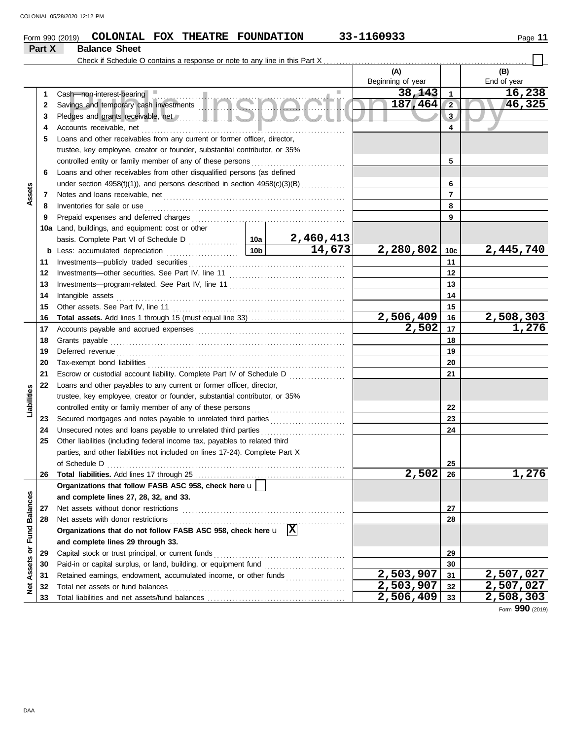### Form 990 (2019) **COLONIAL FOX THEATRE FOUNDATION** 33-1160933 **Part X Balance Sheet**

|                 |    | Check if Schedule O contains a response or note to any line in this Part $X_1, \ldots, X_n$                                                                                                                                         |                 |           |                          |            |                    |
|-----------------|----|-------------------------------------------------------------------------------------------------------------------------------------------------------------------------------------------------------------------------------------|-----------------|-----------|--------------------------|------------|--------------------|
|                 |    |                                                                                                                                                                                                                                     |                 |           | (A)<br>Beginning of year |            | (B)<br>End of year |
|                 | 1  | Cash-non-interest-bearing                                                                                                                                                                                                           |                 |           | 38,143                   | 1          | 16,238             |
|                 | 2  | Savings and temporary cash investments                                                                                                                                                                                              |                 |           | 187,464                  | $\sqrt{2}$ | 46,325             |
|                 | 3  |                                                                                                                                                                                                                                     |                 |           |                          | 3          |                    |
|                 | 4  | Accounts receivable, net                                                                                                                                                                                                            |                 | 4         |                          |            |                    |
|                 | 5  | Loans and other receivables from any current or former officer, director,                                                                                                                                                           |                 |           |                          |            |                    |
|                 |    | trustee, key employee, creator or founder, substantial contributor, or 35%                                                                                                                                                          |                 |           |                          |            |                    |
|                 |    | controlled entity or family member of any of these persons                                                                                                                                                                          |                 |           |                          | 5          |                    |
|                 | 6  | Loans and other receivables from other disqualified persons (as defined                                                                                                                                                             |                 |           |                          |            |                    |
|                 |    | under section 4958(f)(1)), and persons described in section 4958(c)(3)(B)                                                                                                                                                           |                 |           |                          | 6          |                    |
| Assets          | 7  |                                                                                                                                                                                                                                     |                 |           |                          | 7          |                    |
|                 | 8  | Inventories for sale or use                                                                                                                                                                                                         |                 |           |                          | 8          |                    |
|                 | 9  |                                                                                                                                                                                                                                     |                 |           |                          | 9          |                    |
|                 |    | 10a Land, buildings, and equipment: cost or other                                                                                                                                                                                   |                 |           |                          |            |                    |
|                 |    | basis. Complete Part VI of Schedule D                                                                                                                                                                                               | $\lfloor$ 10a   | 2,460,413 |                          |            |                    |
|                 |    | <b>b</b> Less: accumulated depreciation                                                                                                                                                                                             | 10 <sub>b</sub> | 14,673    | 2,280,802                | 10c        | 2,445,740          |
|                 | 11 |                                                                                                                                                                                                                                     |                 |           |                          | 11         |                    |
|                 | 12 |                                                                                                                                                                                                                                     |                 |           |                          | 12         |                    |
|                 | 13 |                                                                                                                                                                                                                                     |                 |           |                          | 13         |                    |
|                 | 14 | Intangible assets                                                                                                                                                                                                                   |                 |           |                          | 14         |                    |
|                 | 15 | Other assets. See Part IV, line 11                                                                                                                                                                                                  |                 |           |                          | 15         |                    |
|                 | 16 |                                                                                                                                                                                                                                     |                 |           | 2,506,409                | 16         | 2,508,303          |
|                 | 17 |                                                                                                                                                                                                                                     |                 |           | 2,502                    | 17         | 1,276              |
|                 | 18 | Grants payable <i>communication</i> and all the contract of the contract of the contract of the contract of the contract of the contract of the contract of the contract of the contract of the contract of the contract of the con |                 |           |                          | 18         |                    |
|                 | 19 | Deferred revenue                                                                                                                                                                                                                    |                 |           |                          | 19         |                    |
|                 | 20 |                                                                                                                                                                                                                                     |                 |           |                          | 20         |                    |
|                 | 21 | Escrow or custodial account liability. Complete Part IV of Schedule D                                                                                                                                                               |                 |           |                          | 21         |                    |
|                 | 22 | Loans and other payables to any current or former officer, director,                                                                                                                                                                |                 |           |                          |            |                    |
| Liabilities     |    | trustee, key employee, creator or founder, substantial contributor, or 35%                                                                                                                                                          |                 |           |                          |            |                    |
|                 |    | controlled entity or family member of any of these persons                                                                                                                                                                          |                 |           |                          | 22         |                    |
|                 | 23 | Secured mortgages and notes payable to unrelated third parties                                                                                                                                                                      |                 |           |                          | 23         |                    |
|                 | 24 | Unsecured notes and loans payable to unrelated third parties                                                                                                                                                                        |                 |           |                          | 24         |                    |
|                 | 25 | Other liabilities (including federal income tax, payables to related third                                                                                                                                                          |                 |           |                          |            |                    |
|                 |    | parties, and other liabilities not included on lines 17-24). Complete Part X                                                                                                                                                        |                 |           |                          |            |                    |
|                 |    |                                                                                                                                                                                                                                     |                 |           |                          | 25         |                    |
|                 |    | 26 Total liabilities. Add lines 17 through 25                                                                                                                                                                                       |                 |           | 2,502                    | 26         | 1,276              |
|                 |    | Organizations that follow FASB ASC 958, check here u                                                                                                                                                                                |                 |           |                          |            |                    |
| <b>Balances</b> |    | and complete lines 27, 28, 32, and 33.                                                                                                                                                                                              |                 |           |                          |            |                    |
|                 | 27 | Net assets without donor restrictions                                                                                                                                                                                               |                 |           |                          | 27         |                    |
|                 | 28 | Net assets with donor restrictions                                                                                                                                                                                                  |                 |           |                          | 28         |                    |
| Fund            |    | $T$ $R$ $R$ $R$ $S$ $C$ $958$ . check here $\mathbf{u}$ $\overline{X}$<br>Organizations that do not follow FASB ASC 958, check here u                                                                                               |                 |           |                          |            |                    |
|                 |    | and complete lines 29 through 33.                                                                                                                                                                                                   |                 |           |                          |            |                    |
| ŏ               | 29 | Capital stock or trust principal, or current funds                                                                                                                                                                                  |                 |           |                          | 29         |                    |
| Assets          | 30 | Paid-in or capital surplus, or land, building, or equipment fund                                                                                                                                                                    |                 |           |                          | 30         |                    |
|                 | 31 | Retained earnings, endowment, accumulated income, or other funds                                                                                                                                                                    |                 |           | 2,503,907                | 31         | 2,507,027          |
| ğ               | 32 | Total net assets or fund balances                                                                                                                                                                                                   |                 |           | 2,503,907                | 32         | 2,507,027          |
|                 | 33 |                                                                                                                                                                                                                                     |                 |           | 2,506,409                | 33         | 2,508,303          |

Form **990** (2019)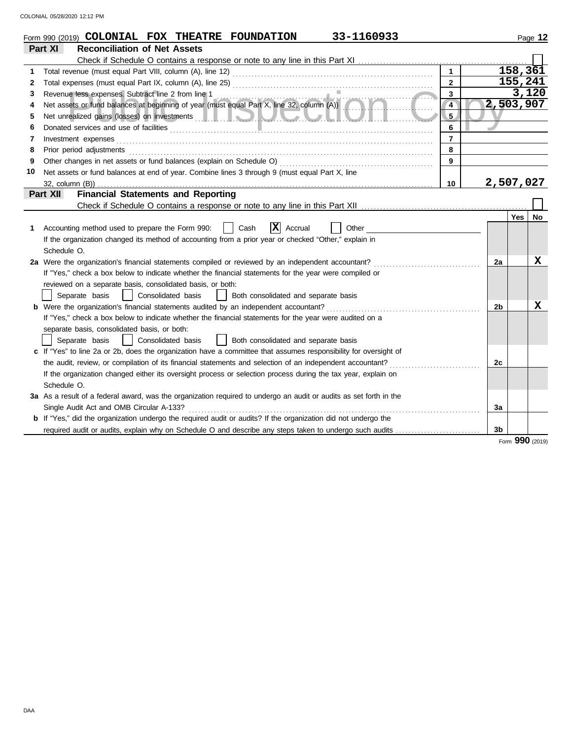|    | 33-1160933<br>Form 990 (2019) COLONIAL FOX THEATRE FOUNDATION                                                                                   |                |           |          | Page 12         |  |
|----|-------------------------------------------------------------------------------------------------------------------------------------------------|----------------|-----------|----------|-----------------|--|
|    | <b>Reconciliation of Net Assets</b><br>Part XI                                                                                                  |                |           |          |                 |  |
|    |                                                                                                                                                 |                |           |          |                 |  |
| 1  |                                                                                                                                                 |                |           | 158, 361 |                 |  |
| 2  |                                                                                                                                                 | $\mathbf{2}$   |           | 155,241  | 3,120           |  |
| 3  | Revenue less expenses. Subtract line 2 from line 1<br>3                                                                                         |                |           |          |                 |  |
| 4  | Revenue less expenses. Subtract line 2 from line 1<br>Net assets or fund balances at beginning of year (must equal Part X, line 32, column (A)) | $\overline{4}$ | 2,503,907 |          |                 |  |
| 5  |                                                                                                                                                 | 5.             |           |          |                 |  |
| 6  |                                                                                                                                                 | 6              |           |          |                 |  |
| 7  | Investment expenses                                                                                                                             | $\overline{7}$ |           |          |                 |  |
| 8  | Prior period adjustments                                                                                                                        | 8              |           |          |                 |  |
| 9  |                                                                                                                                                 | 9              |           |          |                 |  |
| 10 | Net assets or fund balances at end of year. Combine lines 3 through 9 (must equal Part X, line                                                  |                |           |          |                 |  |
|    |                                                                                                                                                 | 10             | 2,507,027 |          |                 |  |
|    | <b>Financial Statements and Reporting</b><br>Part XII                                                                                           |                |           |          |                 |  |
|    |                                                                                                                                                 |                |           |          |                 |  |
|    |                                                                                                                                                 |                |           | Yes I    | <b>No</b>       |  |
| 1. | <u> X </u><br>Accounting method used to prepare the Form 990:<br>Accrual<br>Cash<br>Other                                                       |                |           |          |                 |  |
|    | If the organization changed its method of accounting from a prior year or checked "Other," explain in                                           |                |           |          |                 |  |
|    | Schedule O.                                                                                                                                     |                |           |          |                 |  |
|    | 2a Were the organization's financial statements compiled or reviewed by an independent accountant?                                              |                | 2a        |          | x               |  |
|    | If "Yes," check a box below to indicate whether the financial statements for the year were compiled or                                          |                |           |          |                 |  |
|    | reviewed on a separate basis, consolidated basis, or both:                                                                                      |                |           |          |                 |  |
|    | Separate basis<br>Consolidated basis<br>Both consolidated and separate basis                                                                    |                |           |          |                 |  |
|    | <b>b</b> Were the organization's financial statements audited by an independent accountant?                                                     |                | 2b        |          | X               |  |
|    | If "Yes," check a box below to indicate whether the financial statements for the year were audited on a                                         |                |           |          |                 |  |
|    | separate basis, consolidated basis, or both:                                                                                                    |                |           |          |                 |  |
|    | Both consolidated and separate basis<br>Separate basis<br>Consolidated basis                                                                    |                |           |          |                 |  |
|    | c If "Yes" to line 2a or 2b, does the organization have a committee that assumes responsibility for oversight of                                |                |           |          |                 |  |
|    | the audit, review, or compilation of its financial statements and selection of an independent accountant?                                       |                | 2c        |          |                 |  |
|    | If the organization changed either its oversight process or selection process during the tax year, explain on                                   |                |           |          |                 |  |
|    | Schedule O.                                                                                                                                     |                |           |          |                 |  |
|    | 3a As a result of a federal award, was the organization required to undergo an audit or audits as set forth in the                              |                |           |          |                 |  |
|    | Single Audit Act and OMB Circular A-133?                                                                                                        |                | 3a        |          |                 |  |
|    | <b>b</b> If "Yes," did the organization undergo the required audit or audits? If the organization did not undergo the                           |                |           |          |                 |  |
|    | required audit or audits, explain why on Schedule O and describe any steps taken to undergo such audits                                         |                | 3b        |          |                 |  |
|    |                                                                                                                                                 |                |           |          | Form 990 (2019) |  |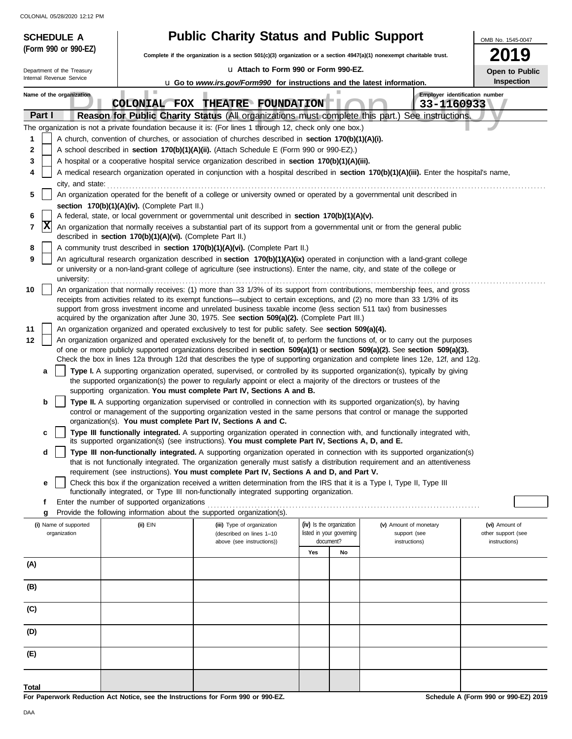| <b>SCHEDULE A</b>                     |                                                                                                                              | <b>Public Charity Status and Public Support</b>                                                                                                                                                                                                                 |                                                                   |                                                         | OMB No. 1545-0047                                     |  |  |  |  |
|---------------------------------------|------------------------------------------------------------------------------------------------------------------------------|-----------------------------------------------------------------------------------------------------------------------------------------------------------------------------------------------------------------------------------------------------------------|-------------------------------------------------------------------|---------------------------------------------------------|-------------------------------------------------------|--|--|--|--|
| (Form 990 or 990-EZ)                  | 2019<br>Complete if the organization is a section 501(c)(3) organization or a section 4947(a)(1) nonexempt charitable trust. |                                                                                                                                                                                                                                                                 |                                                                   |                                                         |                                                       |  |  |  |  |
| Department of the Treasury            |                                                                                                                              | La Attach to Form 990 or Form 990-EZ.                                                                                                                                                                                                                           |                                                                   |                                                         | Open to Public                                        |  |  |  |  |
| Internal Revenue Service              | Inspection<br><b>u</b> Go to www.irs.gov/Form990 for instructions and the latest information.                                |                                                                                                                                                                                                                                                                 |                                                                   |                                                         |                                                       |  |  |  |  |
| Name of the organization              | ш                                                                                                                            | COLONIAL FOX THEATRE FOUNDATION                                                                                                                                                                                                                                 |                                                                   | 33-1160933                                              | Employer identification number                        |  |  |  |  |
| Part I                                |                                                                                                                              | Reason for Public Charity Status (All organizations must complete this part.) See instructions.                                                                                                                                                                 |                                                                   |                                                         |                                                       |  |  |  |  |
|                                       |                                                                                                                              | The organization is not a private foundation because it is: (For lines 1 through 12, check only one box.)                                                                                                                                                       |                                                                   |                                                         |                                                       |  |  |  |  |
| 1                                     | A church, convention of churches, or association of churches described in section 170(b)(1)(A)(i).                           |                                                                                                                                                                                                                                                                 |                                                                   |                                                         |                                                       |  |  |  |  |
| 2                                     |                                                                                                                              | A school described in section 170(b)(1)(A)(ii). (Attach Schedule E (Form 990 or 990-EZ).)                                                                                                                                                                       |                                                                   |                                                         |                                                       |  |  |  |  |
| 3<br>4                                |                                                                                                                              | A hospital or a cooperative hospital service organization described in section 170(b)(1)(A)(iii).                                                                                                                                                               |                                                                   |                                                         |                                                       |  |  |  |  |
| city, and state:                      |                                                                                                                              | A medical research organization operated in conjunction with a hospital described in section 170(b)(1)(A)(iii). Enter the hospital's name,                                                                                                                      |                                                                   |                                                         |                                                       |  |  |  |  |
| 5                                     |                                                                                                                              | An organization operated for the benefit of a college or university owned or operated by a governmental unit described in                                                                                                                                       |                                                                   |                                                         |                                                       |  |  |  |  |
|                                       | section 170(b)(1)(A)(iv). (Complete Part II.)                                                                                |                                                                                                                                                                                                                                                                 |                                                                   |                                                         |                                                       |  |  |  |  |
| 6                                     |                                                                                                                              | A federal, state, or local government or governmental unit described in section 170(b)(1)(A)(v).                                                                                                                                                                |                                                                   |                                                         |                                                       |  |  |  |  |
| x<br>7                                | described in section 170(b)(1)(A)(vi). (Complete Part II.)                                                                   | An organization that normally receives a substantial part of its support from a governmental unit or from the general public                                                                                                                                    |                                                                   |                                                         |                                                       |  |  |  |  |
| 8                                     |                                                                                                                              | A community trust described in section 170(b)(1)(A)(vi). (Complete Part II.)                                                                                                                                                                                    |                                                                   |                                                         |                                                       |  |  |  |  |
| 9                                     |                                                                                                                              | An agricultural research organization described in section 170(b)(1)(A)(ix) operated in conjunction with a land-grant college<br>or university or a non-land-grant college of agriculture (see instructions). Enter the name, city, and state of the college or |                                                                   |                                                         |                                                       |  |  |  |  |
| university:<br>10                     |                                                                                                                              | An organization that normally receives: (1) more than 33 1/3% of its support from contributions, membership fees, and gross                                                                                                                                     |                                                                   |                                                         |                                                       |  |  |  |  |
|                                       |                                                                                                                              | receipts from activities related to its exempt functions—subject to certain exceptions, and (2) no more than 33 1/3% of its                                                                                                                                     |                                                                   |                                                         |                                                       |  |  |  |  |
|                                       |                                                                                                                              | support from gross investment income and unrelated business taxable income (less section 511 tax) from businesses                                                                                                                                               |                                                                   |                                                         |                                                       |  |  |  |  |
| 11                                    |                                                                                                                              | acquired by the organization after June 30, 1975. See section 509(a)(2). (Complete Part III.)<br>An organization organized and operated exclusively to test for public safety. See section 509(a)(4).                                                           |                                                                   |                                                         |                                                       |  |  |  |  |
| 12                                    |                                                                                                                              | An organization organized and operated exclusively for the benefit of, to perform the functions of, or to carry out the purposes                                                                                                                                |                                                                   |                                                         |                                                       |  |  |  |  |
|                                       |                                                                                                                              | of one or more publicly supported organizations described in section 509(a)(1) or section 509(a)(2). See section 509(a)(3).<br>Check the box in lines 12a through 12d that describes the type of supporting organization and complete lines 12e, 12f, and 12g.  |                                                                   |                                                         |                                                       |  |  |  |  |
| a                                     |                                                                                                                              | Type I. A supporting organization operated, supervised, or controlled by its supported organization(s), typically by giving                                                                                                                                     |                                                                   |                                                         |                                                       |  |  |  |  |
|                                       |                                                                                                                              | the supported organization(s) the power to regularly appoint or elect a majority of the directors or trustees of the<br>supporting organization. You must complete Part IV, Sections A and B.                                                                   |                                                                   |                                                         |                                                       |  |  |  |  |
| b                                     |                                                                                                                              | Type II. A supporting organization supervised or controlled in connection with its supported organization(s), by having                                                                                                                                         |                                                                   |                                                         |                                                       |  |  |  |  |
|                                       |                                                                                                                              | control or management of the supporting organization vested in the same persons that control or manage the supported                                                                                                                                            |                                                                   |                                                         |                                                       |  |  |  |  |
| c                                     |                                                                                                                              | organization(s). You must complete Part IV, Sections A and C.<br>Type III functionally integrated. A supporting organization operated in connection with, and functionally integrated with,                                                                     |                                                                   |                                                         |                                                       |  |  |  |  |
|                                       |                                                                                                                              | its supported organization(s) (see instructions). You must complete Part IV, Sections A, D, and E.                                                                                                                                                              |                                                                   |                                                         |                                                       |  |  |  |  |
| d                                     |                                                                                                                              | Type III non-functionally integrated. A supporting organization operated in connection with its supported organization(s)<br>that is not functionally integrated. The organization generally must satisfy a distribution requirement and an attentiveness       |                                                                   |                                                         |                                                       |  |  |  |  |
|                                       |                                                                                                                              | requirement (see instructions). You must complete Part IV, Sections A and D, and Part V.                                                                                                                                                                        |                                                                   |                                                         |                                                       |  |  |  |  |
| е                                     |                                                                                                                              | Check this box if the organization received a written determination from the IRS that it is a Type I, Type II, Type III<br>functionally integrated, or Type III non-functionally integrated supporting organization.                                            |                                                                   |                                                         |                                                       |  |  |  |  |
| f                                     | Enter the number of supported organizations                                                                                  |                                                                                                                                                                                                                                                                 |                                                                   |                                                         |                                                       |  |  |  |  |
| g                                     |                                                                                                                              | Provide the following information about the supported organization(s).                                                                                                                                                                                          |                                                                   |                                                         |                                                       |  |  |  |  |
| (i) Name of supported<br>organization | $(ii)$ EIN                                                                                                                   | (iii) Type of organization<br>(described on lines 1-10<br>above (see instructions))                                                                                                                                                                             | (iv) Is the organization<br>listed in your governing<br>document? | (v) Amount of monetary<br>support (see<br>instructions) | (vi) Amount of<br>other support (see<br>instructions) |  |  |  |  |
|                                       |                                                                                                                              |                                                                                                                                                                                                                                                                 | Yes<br>No                                                         |                                                         |                                                       |  |  |  |  |
| (A)                                   |                                                                                                                              |                                                                                                                                                                                                                                                                 |                                                                   |                                                         |                                                       |  |  |  |  |
| (B)                                   |                                                                                                                              |                                                                                                                                                                                                                                                                 |                                                                   |                                                         |                                                       |  |  |  |  |
|                                       |                                                                                                                              |                                                                                                                                                                                                                                                                 |                                                                   |                                                         |                                                       |  |  |  |  |
| (C)                                   |                                                                                                                              |                                                                                                                                                                                                                                                                 |                                                                   |                                                         |                                                       |  |  |  |  |
| (D)                                   |                                                                                                                              |                                                                                                                                                                                                                                                                 |                                                                   |                                                         |                                                       |  |  |  |  |
| (E)                                   |                                                                                                                              |                                                                                                                                                                                                                                                                 |                                                                   |                                                         |                                                       |  |  |  |  |
|                                       |                                                                                                                              |                                                                                                                                                                                                                                                                 |                                                                   |                                                         |                                                       |  |  |  |  |
| Total                                 |                                                                                                                              |                                                                                                                                                                                                                                                                 |                                                                   |                                                         |                                                       |  |  |  |  |

**For Paperwork Reduction Act Notice, see the Instructions for Form 990 or 990-EZ.**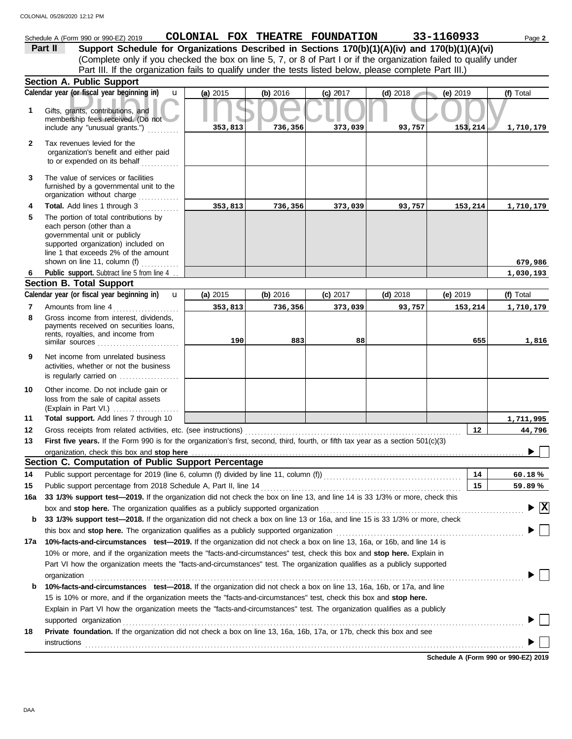|              | Schedule A (Form 990 or 990-EZ) 2019                                                                                                                                              | COLONIAL FOX THEATRE FOUNDATION |          |            |            | 33-1160933      | Page 2                                 |  |
|--------------|-----------------------------------------------------------------------------------------------------------------------------------------------------------------------------------|---------------------------------|----------|------------|------------|-----------------|----------------------------------------|--|
|              | Support Schedule for Organizations Described in Sections 170(b)(1)(A)(iv) and 170(b)(1)(A)(vi)<br>Part II                                                                         |                                 |          |            |            |                 |                                        |  |
|              | (Complete only if you checked the box on line 5, 7, or 8 of Part I or if the organization failed to qualify under                                                                 |                                 |          |            |            |                 |                                        |  |
|              | Part III. If the organization fails to qualify under the tests listed below, please complete Part III.)                                                                           |                                 |          |            |            |                 |                                        |  |
|              | Section A. Public Support                                                                                                                                                         |                                 |          |            |            |                 |                                        |  |
|              | Calendar year (or fiscal year beginning in)<br>$\mathbf{u}$                                                                                                                       | (a) 2015                        | (b) 2016 | $(c)$ 2017 | $(d)$ 2018 | (e) 2019        | (f) Total                              |  |
| 1.           | Gifts, grants, contributions, and                                                                                                                                                 |                                 |          |            |            |                 |                                        |  |
|              | membership fees received. (Do not                                                                                                                                                 |                                 |          |            |            |                 |                                        |  |
|              | include any "unusual grants.")                                                                                                                                                    | 353,813                         | 736,356  | 373,039    | 93,757     | 153,214         | 1,710,179                              |  |
| $\mathbf{2}$ | Tax revenues levied for the                                                                                                                                                       |                                 |          |            |            |                 |                                        |  |
|              | organization's benefit and either paid<br>to or expended on its behalf                                                                                                            |                                 |          |            |            |                 |                                        |  |
|              |                                                                                                                                                                                   |                                 |          |            |            |                 |                                        |  |
| 3            | The value of services or facilities                                                                                                                                               |                                 |          |            |            |                 |                                        |  |
|              | furnished by a governmental unit to the<br>organization without charge                                                                                                            |                                 |          |            |            |                 |                                        |  |
| 4            | Total. Add lines 1 through 3                                                                                                                                                      | 353,813                         | 736,356  | 373,039    | 93,757     | 153,214         | 1,710,179                              |  |
| 5            | The portion of total contributions by                                                                                                                                             |                                 |          |            |            |                 |                                        |  |
|              | each person (other than a                                                                                                                                                         |                                 |          |            |            |                 |                                        |  |
|              | governmental unit or publicly<br>supported organization) included on                                                                                                              |                                 |          |            |            |                 |                                        |  |
|              | line 1 that exceeds 2% of the amount                                                                                                                                              |                                 |          |            |            |                 |                                        |  |
|              | shown on line 11, column (f) $\ldots$                                                                                                                                             |                                 |          |            |            |                 | 679,986                                |  |
| 6            | Public support. Subtract line 5 from line 4                                                                                                                                       |                                 |          |            |            |                 | 1,030,193                              |  |
|              | <b>Section B. Total Support</b><br>Calendar year (or fiscal year beginning in)                                                                                                    |                                 |          |            |            |                 |                                        |  |
|              | $\mathbf{u}$                                                                                                                                                                      | (a) 2015                        | (b) 2016 | $(c)$ 2017 | $(d)$ 2018 | (e) 2019        | (f) Total                              |  |
| 7            | Amounts from line 4                                                                                                                                                               | 353,813                         | 736,356  | 373,039    | 93,757     | 153,214         | 1,710,179                              |  |
| 8            | Gross income from interest, dividends,<br>payments received on securities loans,                                                                                                  |                                 |          |            |            |                 |                                        |  |
|              | rents, royalties, and income from                                                                                                                                                 | 190                             | 883      | 88         |            | 655             | 1,816                                  |  |
|              | similar sources                                                                                                                                                                   |                                 |          |            |            |                 |                                        |  |
| 9            | Net income from unrelated business                                                                                                                                                |                                 |          |            |            |                 |                                        |  |
|              | activities, whether or not the business<br>is regularly carried on                                                                                                                |                                 |          |            |            |                 |                                        |  |
|              |                                                                                                                                                                                   |                                 |          |            |            |                 |                                        |  |
| 10           | Other income. Do not include gain or<br>loss from the sale of capital assets                                                                                                      |                                 |          |            |            |                 |                                        |  |
|              | (Explain in Part VI.)                                                                                                                                                             |                                 |          |            |            |                 |                                        |  |
| 11           | Total support. Add lines 7 through 10                                                                                                                                             |                                 |          |            |            |                 | 1,711,995                              |  |
| 12           | Gross receipts from related activities, etc. (see instructions)                                                                                                                   |                                 |          |            |            | 12 <sup>2</sup> | 44,796                                 |  |
| 13           | First five years. If the Form 990 is for the organization's first, second, third, fourth, or fifth tax year as a section 501(c)(3)                                                |                                 |          |            |            |                 |                                        |  |
|              | organization, check this box and stop here                                                                                                                                        |                                 |          |            |            |                 |                                        |  |
|              | Section C. Computation of Public Support Percentage                                                                                                                               |                                 |          |            |            |                 |                                        |  |
| 14<br>15     | Public support percentage for 2019 (line 6, column (f) divided by line 11, column (f)) [[[[[[[[[[[[[[[[[[[[[[<br>Public support percentage from 2018 Schedule A, Part II, line 14 |                                 |          |            |            | 14<br>15        | 60.18%<br>59.89%                       |  |
| 16a          | 33 1/3% support test-2019. If the organization did not check the box on line 13, and line 14 is 33 1/3% or more, check this                                                       |                                 |          |            |            |                 |                                        |  |
|              | box and stop here. The organization qualifies as a publicly supported organization                                                                                                |                                 |          |            |            |                 | $\blacktriangleright \boxed{\text{X}}$ |  |
| b            | 33 1/3% support test-2018. If the organization did not check a box on line 13 or 16a, and line 15 is 33 1/3% or more, check                                                       |                                 |          |            |            |                 |                                        |  |
|              | this box and stop here. The organization qualifies as a publicly supported organization                                                                                           |                                 |          |            |            |                 |                                        |  |
| 17a          | 10%-facts-and-circumstances test-2019. If the organization did not check a box on line 13, 16a, or 16b, and line 14 is                                                            |                                 |          |            |            |                 |                                        |  |
|              | 10% or more, and if the organization meets the "facts-and-circumstances" test, check this box and stop here. Explain in                                                           |                                 |          |            |            |                 |                                        |  |
|              | Part VI how the organization meets the "facts-and-circumstances" test. The organization qualifies as a publicly supported                                                         |                                 |          |            |            |                 |                                        |  |
|              | organization                                                                                                                                                                      |                                 |          |            |            |                 |                                        |  |
| b            | 10%-facts-and-circumstances test-2018. If the organization did not check a box on line 13, 16a, 16b, or 17a, and line                                                             |                                 |          |            |            |                 |                                        |  |
|              | 15 is 10% or more, and if the organization meets the "facts-and-circumstances" test, check this box and stop here.                                                                |                                 |          |            |            |                 |                                        |  |
|              | Explain in Part VI how the organization meets the "facts-and-circumstances" test. The organization qualifies as a publicly                                                        |                                 |          |            |            |                 |                                        |  |
|              | supported organization                                                                                                                                                            |                                 |          |            |            |                 |                                        |  |
| 18           | Private foundation. If the organization did not check a box on line 13, 16a, 16b, 17a, or 17b, check this box and see                                                             |                                 |          |            |            |                 |                                        |  |
|              | <b>instructions</b>                                                                                                                                                               |                                 |          |            |            |                 |                                        |  |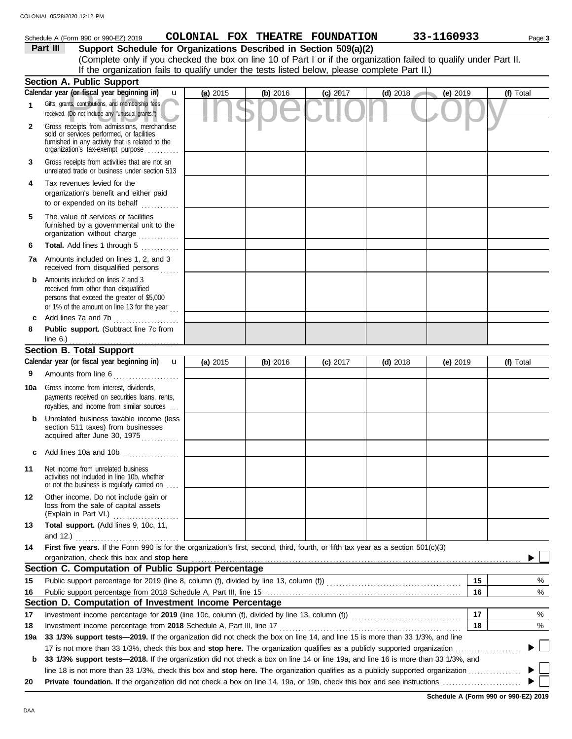|              |                                                                                                                                                                                                                                     | COLONIAL FOX THEATRE FOUNDATION |            |            |            | 33-1160933 |           |  |  |
|--------------|-------------------------------------------------------------------------------------------------------------------------------------------------------------------------------------------------------------------------------------|---------------------------------|------------|------------|------------|------------|-----------|--|--|
|              | Schedule A (Form 990 or 990-EZ) 2019<br>Support Schedule for Organizations Described in Section 509(a)(2)<br>Part III                                                                                                               |                                 |            |            |            |            | Page 3    |  |  |
|              |                                                                                                                                                                                                                                     |                                 |            |            |            |            |           |  |  |
|              | (Complete only if you checked the box on line 10 of Part I or if the organization failed to qualify under Part II.<br>If the organization fails to qualify under the tests listed below, please complete Part II.)                  |                                 |            |            |            |            |           |  |  |
|              | <b>Section A. Public Support</b>                                                                                                                                                                                                    |                                 |            |            |            |            |           |  |  |
|              | Calendar year (or fiscal year beginning in)<br>u                                                                                                                                                                                    |                                 |            |            |            |            |           |  |  |
|              | Gifts, grants, contributions, and membership fees                                                                                                                                                                                   | (a) 2015                        | (b) $2016$ | $(c)$ 2017 | $(d)$ 2018 | $(e)$ 2019 | (f) Total |  |  |
| 1            | received. (Do not include any "unusual grants.")                                                                                                                                                                                    |                                 |            |            |            |            |           |  |  |
| $\mathbf{2}$ | Gross receipts from admissions, merchandise<br>sold or services performed, or facilities<br>furnished in any activity that is related to the<br>organization's tax-exempt purpose                                                   |                                 |            |            |            |            |           |  |  |
| 3            | Gross receipts from activities that are not an<br>unrelated trade or business under section 513                                                                                                                                     |                                 |            |            |            |            |           |  |  |
| 4            | Tax revenues levied for the<br>organization's benefit and either paid<br>to or expended on its behalf<br>.                                                                                                                          |                                 |            |            |            |            |           |  |  |
| 5            | The value of services or facilities<br>furnished by a governmental unit to the<br>organization without charge                                                                                                                       |                                 |            |            |            |            |           |  |  |
| 6            | Total. Add lines 1 through 5                                                                                                                                                                                                        |                                 |            |            |            |            |           |  |  |
| 7a           | Amounts included on lines 1, 2, and 3<br>received from disqualified persons                                                                                                                                                         |                                 |            |            |            |            |           |  |  |
| b            | Amounts included on lines 2 and 3<br>received from other than disqualified<br>persons that exceed the greater of \$5,000<br>or 1% of the amount on line 13 for the year $\frac{1}{11}$                                              |                                 |            |            |            |            |           |  |  |
|              | Add lines 7a and 7b                                                                                                                                                                                                                 |                                 |            |            |            |            |           |  |  |
| 8            | Public support. (Subtract line 7c from<br>line $6.$ )                                                                                                                                                                               |                                 |            |            |            |            |           |  |  |
|              | <b>Section B. Total Support</b>                                                                                                                                                                                                     |                                 |            |            |            |            |           |  |  |
|              | Calendar year (or fiscal year beginning in)<br>$\mathbf u$                                                                                                                                                                          | (a) 2015                        | (b) 2016   | $(c)$ 2017 | $(d)$ 2018 | (e) $2019$ | (f) Total |  |  |
| 9            | Amounts from line 6                                                                                                                                                                                                                 |                                 |            |            |            |            |           |  |  |
| 10a          | Gross income from interest, dividends,<br>payments received on securities loans, rents,<br>royalties, and income from similar sources                                                                                               |                                 |            |            |            |            |           |  |  |
| b            | Unrelated business taxable income (less<br>section 511 taxes) from businesses<br>acquired after June 30, 1975                                                                                                                       |                                 |            |            |            |            |           |  |  |
| c            |                                                                                                                                                                                                                                     |                                 |            |            |            |            |           |  |  |
| 11           | Net income from unrelated business<br>activities not included in line 10b, whether<br>or not the business is regularly carried on                                                                                                   |                                 |            |            |            |            |           |  |  |
| 12           | Other income. Do not include gain or<br>loss from the sale of capital assets<br>(Explain in Part VI.)                                                                                                                               |                                 |            |            |            |            |           |  |  |
| 13           | Total support. (Add lines 9, 10c, 11,<br>and 12.) $\qquad \qquad$                                                                                                                                                                   |                                 |            |            |            |            |           |  |  |
| 14           | First five years. If the Form 990 is for the organization's first, second, third, fourth, or fifth tax year as a section 501(c)(3)                                                                                                  |                                 |            |            |            |            |           |  |  |
|              | organization, check this box and stop here <b>contained</b> and contained a state of the contained and stop here and stop here are all the contained a state of the contained and stop here are all the contained and stop here are |                                 |            |            |            |            |           |  |  |
|              | Section C. Computation of Public Support Percentage                                                                                                                                                                                 |                                 |            |            |            |            |           |  |  |
| 15           |                                                                                                                                                                                                                                     |                                 |            |            |            | 15         | %         |  |  |
| 16           |                                                                                                                                                                                                                                     |                                 |            |            |            | 16         | %         |  |  |
|              | Section D. Computation of Investment Income Percentage                                                                                                                                                                              |                                 |            |            |            |            |           |  |  |
| 17           | Investment income percentage for 2019 (line 10c, column (f), divided by line 13, column (f)) [[[[[[[[[[[[[[[[[                                                                                                                      |                                 |            |            |            | 17         | %         |  |  |
| 18           |                                                                                                                                                                                                                                     |                                 |            |            |            | 18         | %         |  |  |
| 19a          | 33 1/3% support tests—2019. If the organization did not check the box on line 14, and line 15 is more than 33 1/3%, and line                                                                                                        |                                 |            |            |            |            |           |  |  |
|              | 17 is not more than 33 1/3%, check this box and stop here. The organization qualifies as a publicly supported organization                                                                                                          |                                 |            |            |            |            |           |  |  |

**b 33 1/3% support tests—2018.** If the organization did not check a box on line 14 or line 19a, and line 16 is more than 33 1/3%, and line 18 is not more than 33 1/3%, check this box and **stop here.** The organization qualifies as a publicly supported organization . . . . . . . . . . . . . . . . .  $\blacktriangleright$ 

**20 Private foundation.** If the organization did not check a box on line 14, 19a, or 19b, check this box and see instructions . . . . . . . . . . . . . . . . . . . . . . . . .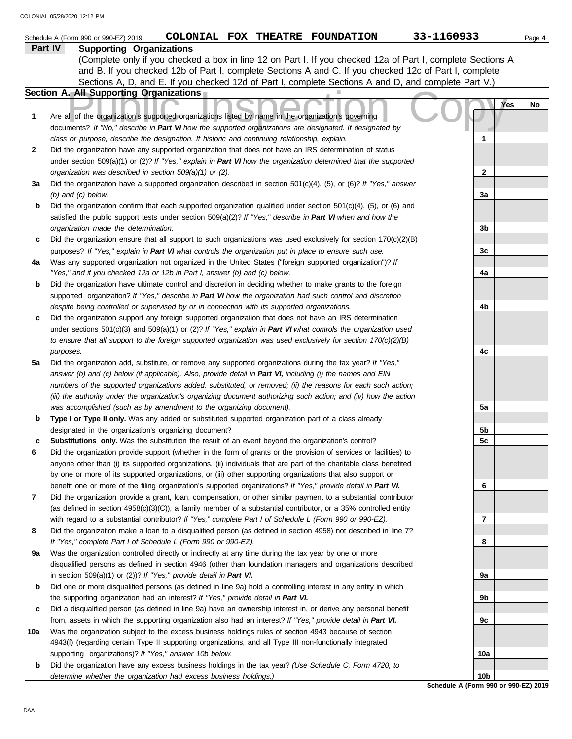|         | COLONIAL FOX THEATRE FOUNDATION<br>Schedule A (Form 990 or 990-EZ) 2019                                                  | 33-1160933                                  | Page 4 |
|---------|--------------------------------------------------------------------------------------------------------------------------|---------------------------------------------|--------|
| Part IV | <b>Supporting Organizations</b>                                                                                          |                                             |        |
|         | (Complete only if you checked a box in line 12 on Part I. If you checked 12a of Part I, complete Sections A              |                                             |        |
|         | and B. If you checked 12b of Part I, complete Sections A and C. If you checked 12c of Part I, complete                   |                                             |        |
|         | Sections A, D, and E. If you checked 12d of Part I, complete Sections A and D, and complete Part V.)                     |                                             |        |
|         | <b>Section A. All Supporting Organizations</b>                                                                           |                                             |        |
|         |                                                                                                                          | Yes                                         | No     |
| 1       | Are all of the organization's supported organizations listed by name in the organization's governing                     |                                             |        |
|         | documents? If "No," describe in Part VI how the supported organizations are designated. If designated by                 |                                             |        |
|         | class or purpose, describe the designation. If historic and continuing relationship, explain.                            | 1                                           |        |
| 2       | Did the organization have any supported organization that does not have an IRS determination of status                   |                                             |        |
|         | under section 509(a)(1) or (2)? If "Yes," explain in Part VI how the organization determined that the supported          |                                             |        |
|         | organization was described in section 509(a)(1) or (2).                                                                  | 2                                           |        |
| За      | Did the organization have a supported organization described in section $501(c)(4)$ , $(5)$ , or $(6)?$ If "Yes," answer |                                             |        |
|         | $(b)$ and $(c)$ below.                                                                                                   | 3a                                          |        |
| b       | Did the organization confirm that each supported organization qualified under section $501(c)(4)$ , $(5)$ , or $(6)$ and |                                             |        |
|         | satisfied the public support tests under section 509(a)(2)? If "Yes," describe in Part VI when and how the               |                                             |        |
|         | organization made the determination.                                                                                     | 3b                                          |        |
| c       | Did the organization ensure that all support to such organizations was used exclusively for section $170(c)(2)(B)$       |                                             |        |
|         | purposes? If "Yes," explain in Part VI what controls the organization put in place to ensure such use.                   | 3c                                          |        |
| 4a      | Was any supported organization not organized in the United States ("foreign supported organization")? If                 |                                             |        |
|         | "Yes," and if you checked 12a or 12b in Part I, answer (b) and (c) below.                                                | 4a                                          |        |
| b       | Did the organization have ultimate control and discretion in deciding whether to make grants to the foreign              |                                             |        |
|         | supported organization? If "Yes," describe in Part VI how the organization had such control and discretion               |                                             |        |
|         | despite being controlled or supervised by or in connection with its supported organizations.                             | 4b                                          |        |
| c       | Did the organization support any foreign supported organization that does not have an IRS determination                  |                                             |        |
|         | under sections $501(c)(3)$ and $509(a)(1)$ or (2)? If "Yes," explain in Part VI what controls the organization used      |                                             |        |
|         | to ensure that all support to the foreign supported organization was used exclusively for section $170(c)(2)(B)$         |                                             |        |
|         | purposes.                                                                                                                | 4c                                          |        |
| 5a      | Did the organization add, substitute, or remove any supported organizations during the tax year? If "Yes,"               |                                             |        |
|         | answer (b) and (c) below (if applicable). Also, provide detail in Part VI, including (i) the names and EIN               |                                             |        |
|         | numbers of the supported organizations added, substituted, or removed; (ii) the reasons for each such action;            |                                             |        |
|         | (iii) the authority under the organization's organizing document authorizing such action; and (iv) how the action        |                                             |        |
|         | was accomplished (such as by amendment to the organizing document).                                                      | 5а                                          |        |
| b       | Type I or Type II only. Was any added or substituted supported organization part of a class already                      |                                             |        |
|         | designated in the organization's organizing document?                                                                    | 5b                                          |        |
| с       | Substitutions only. Was the substitution the result of an event beyond the organization's control?                       | 5c                                          |        |
| 6       | Did the organization provide support (whether in the form of grants or the provision of services or facilities) to       |                                             |        |
|         | anyone other than (i) its supported organizations, (ii) individuals that are part of the charitable class benefited      |                                             |        |
|         | by one or more of its supported organizations, or (iii) other supporting organizations that also support or              |                                             |        |
|         | benefit one or more of the filing organization's supported organizations? If "Yes," provide detail in Part VI.           | 6                                           |        |
| 7       | Did the organization provide a grant, loan, compensation, or other similar payment to a substantial contributor          |                                             |        |
|         | (as defined in section 4958(c)(3)(C)), a family member of a substantial contributor, or a 35% controlled entity          |                                             |        |
|         | with regard to a substantial contributor? If "Yes," complete Part I of Schedule L (Form 990 or 990-EZ).                  | 7                                           |        |
| 8       | Did the organization make a loan to a disqualified person (as defined in section 4958) not described in line 7?          |                                             |        |
|         | If "Yes," complete Part I of Schedule L (Form 990 or 990-EZ).                                                            | 8                                           |        |
| 9а      | Was the organization controlled directly or indirectly at any time during the tax year by one or more                    |                                             |        |
|         | disqualified persons as defined in section 4946 (other than foundation managers and organizations described              |                                             |        |
|         | in section $509(a)(1)$ or $(2)$ ? If "Yes," provide detail in Part VI.                                                   | 9а                                          |        |
| b       | Did one or more disqualified persons (as defined in line 9a) hold a controlling interest in any entity in which          |                                             |        |
|         | the supporting organization had an interest? If "Yes," provide detail in Part VI.                                        | 9b                                          |        |
| c       | Did a disqualified person (as defined in line 9a) have an ownership interest in, or derive any personal benefit          |                                             |        |
|         | from, assets in which the supporting organization also had an interest? If "Yes," provide detail in Part VI.             | 9с                                          |        |
| 10a     | Was the organization subject to the excess business holdings rules of section 4943 because of section                    |                                             |        |
|         | 4943(f) (regarding certain Type II supporting organizations, and all Type III non-functionally integrated                |                                             |        |
|         | supporting organizations)? If "Yes," answer 10b below.                                                                   | 10a                                         |        |
| b       | Did the organization have any excess business holdings in the tax year? (Use Schedule C, Form 4720, to                   |                                             |        |
|         | determine whether the organization had excess business holdings.)                                                        | 10b<br>Schodule A (Form 000 or 000-F7) 2010 |        |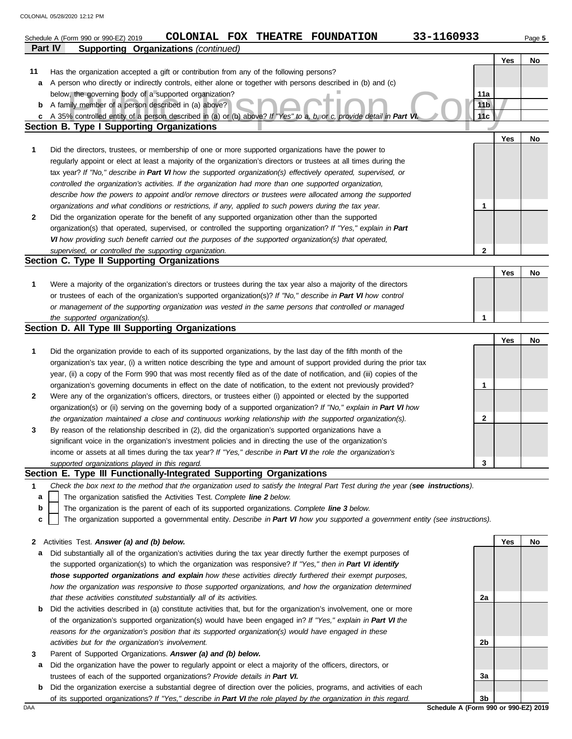|              | 33-1160933<br><b>COLONIAL FOX</b><br>THEATRE FOUNDATION<br>Schedule A (Form 990 or 990-EZ) 2019                                                                            |                 |     | Page 5 |
|--------------|----------------------------------------------------------------------------------------------------------------------------------------------------------------------------|-----------------|-----|--------|
|              | Part IV<br><b>Supporting Organizations (continued)</b>                                                                                                                     |                 |     |        |
|              |                                                                                                                                                                            |                 | Yes | No     |
| 11           | Has the organization accepted a gift or contribution from any of the following persons?                                                                                    |                 |     |        |
| a            | A person who directly or indirectly controls, either alone or together with persons described in (b) and (c)                                                               |                 |     |        |
|              | below, the governing body of a supported organization?                                                                                                                     | 11a             |     |        |
| b            | A family member of a person described in (a) above?                                                                                                                        | 11 <sub>b</sub> |     |        |
| c            | A 35% controlled entity of a person described in (a) or (b) above? If "Yes" to a, b, or c, provide detail in Part VI.<br><b>Section B. Type I Supporting Organizations</b> | 11c             |     |        |
|              |                                                                                                                                                                            |                 | Yes |        |
| 1            | Did the directors, trustees, or membership of one or more supported organizations have the power to                                                                        |                 |     | No     |
|              | regularly appoint or elect at least a majority of the organization's directors or trustees at all times during the                                                         |                 |     |        |
|              | tax year? If "No," describe in Part VI how the supported organization(s) effectively operated, supervised, or                                                              |                 |     |        |
|              | controlled the organization's activities. If the organization had more than one supported organization,                                                                    |                 |     |        |
|              | describe how the powers to appoint and/or remove directors or trustees were allocated among the supported                                                                  |                 |     |        |
|              | organizations and what conditions or restrictions, if any, applied to such powers during the tax year.                                                                     | 1               |     |        |
| 2            | Did the organization operate for the benefit of any supported organization other than the supported                                                                        |                 |     |        |
|              | organization(s) that operated, supervised, or controlled the supporting organization? If "Yes," explain in Part                                                            |                 |     |        |
|              | VI how providing such benefit carried out the purposes of the supported organization(s) that operated,                                                                     |                 |     |        |
|              | supervised, or controlled the supporting organization.                                                                                                                     | 2               |     |        |
|              | Section C. Type II Supporting Organizations                                                                                                                                |                 |     |        |
|              |                                                                                                                                                                            |                 | Yes | No     |
| 1            | Were a majority of the organization's directors or trustees during the tax year also a majority of the directors                                                           |                 |     |        |
|              | or trustees of each of the organization's supported organization(s)? If "No," describe in Part VI how control                                                              |                 |     |        |
|              | or management of the supporting organization was vested in the same persons that controlled or managed                                                                     |                 |     |        |
|              | the supported organization(s).                                                                                                                                             | 1               |     |        |
|              | Section D. All Type III Supporting Organizations                                                                                                                           |                 |     |        |
|              |                                                                                                                                                                            |                 | Yes | No     |
| 1            | Did the organization provide to each of its supported organizations, by the last day of the fifth month of the                                                             |                 |     |        |
|              | organization's tax year, (i) a written notice describing the type and amount of support provided during the prior tax                                                      |                 |     |        |
|              | year, (ii) a copy of the Form 990 that was most recently filed as of the date of notification, and (iii) copies of the                                                     |                 |     |        |
|              | organization's governing documents in effect on the date of notification, to the extent not previously provided?                                                           | 1               |     |        |
| 2            | Were any of the organization's officers, directors, or trustees either (i) appointed or elected by the supported                                                           |                 |     |        |
|              | organization(s) or (ii) serving on the governing body of a supported organization? If "No," explain in Part VI how                                                         |                 |     |        |
|              | the organization maintained a close and continuous working relationship with the supported organization(s).                                                                | 2               |     |        |
| 3            | By reason of the relationship described in (2), did the organization's supported organizations have a                                                                      |                 |     |        |
|              | significant voice in the organization's investment policies and in directing the use of the organization's                                                                 |                 |     |        |
|              | income or assets at all times during the tax year? If "Yes," describe in Part VI the role the organization's                                                               |                 |     |        |
|              | supported organizations played in this regard.                                                                                                                             | 3               |     |        |
|              | Section E. Type III Functionally-Integrated Supporting Organizations                                                                                                       |                 |     |        |
| 1            | Check the box next to the method that the organization used to satisfy the Integral Part Test during the year (see instructions).                                          |                 |     |        |
| a            | The organization satisfied the Activities Test. Complete line 2 below.                                                                                                     |                 |     |        |
| b            | The organization is the parent of each of its supported organizations. Complete line 3 below.                                                                              |                 |     |        |
| C            | The organization supported a governmental entity. Describe in Part VI how you supported a government entity (see instructions).                                            |                 |     |        |
|              |                                                                                                                                                                            |                 |     |        |
| $\mathbf{z}$ | Activities Test. Answer (a) and (b) below.                                                                                                                                 |                 | Yes | No     |
| a            | Did substantially all of the organization's activities during the tax year directly further the exempt purposes of                                                         |                 |     |        |
|              | the supported organization(s) to which the organization was responsive? If "Yes," then in Part VI identify                                                                 |                 |     |        |
|              | those supported organizations and explain how these activities directly furthered their exempt purposes,                                                                   |                 |     |        |
|              | how the organization was responsive to those supported organizations, and how the organization determined                                                                  |                 |     |        |
|              | that these activities constituted substantially all of its activities.                                                                                                     | 2a              |     |        |
| b            | Did the activities described in (a) constitute activities that, but for the organization's involvement, one or more                                                        |                 |     |        |
|              | of the organization's supported organization(s) would have been engaged in? If "Yes," explain in Part VI the                                                               |                 |     |        |
|              | reasons for the organization's position that its supported organization(s) would have engaged in these                                                                     |                 |     |        |
|              | activities but for the organization's involvement.                                                                                                                         | 2b              |     |        |
| З            | Parent of Supported Organizations. Answer (a) and (b) below.                                                                                                               |                 |     |        |

- **a** Did the organization have the power to regularly appoint or elect a majority of the officers, directors, or trustees of each of the supported organizations? *Provide details in Part VI.*
- **b** Did the organization exercise a substantial degree of direction over the policies, programs, and activities of each of its supported organizations? *If "Yes," describe in Part VI the role played by the organization in this regard.*

DAA **Schedule A (Form 990 or 990-EZ) 2019 3b**

**3a**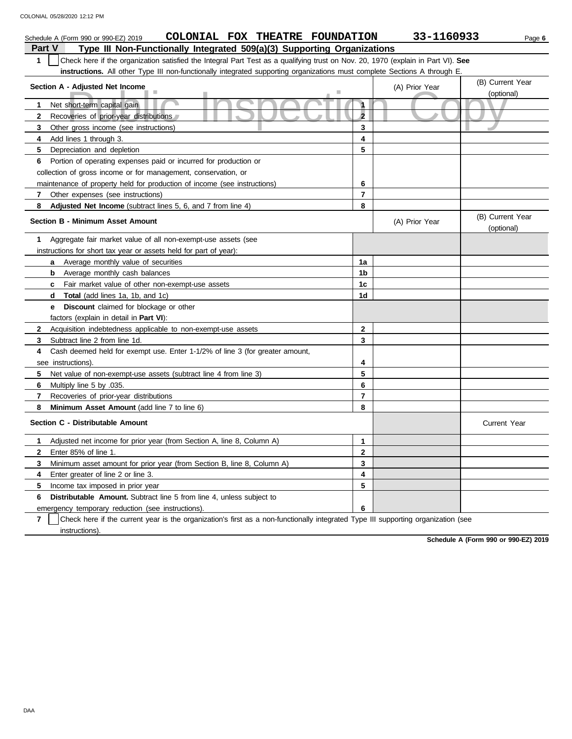| COLONIAL FOX THEATRE FOUNDATION<br>Schedule A (Form 990 or 990-EZ) 2019                                                                          |                         | 33-1160933     | Page 6                         |
|--------------------------------------------------------------------------------------------------------------------------------------------------|-------------------------|----------------|--------------------------------|
| Type III Non-Functionally Integrated 509(a)(3) Supporting Organizations<br>Part V                                                                |                         |                |                                |
| Check here if the organization satisfied the Integral Part Test as a qualifying trust on Nov. 20, 1970 (explain in Part VI). See<br>$\mathbf{1}$ |                         |                |                                |
| instructions. All other Type III non-functionally integrated supporting organizations must complete Sections A through E.                        |                         |                |                                |
| Section A - Adjusted Net Income                                                                                                                  |                         | (A) Prior Year | (B) Current Year               |
|                                                                                                                                                  |                         |                | (optional)                     |
| Net short-term capital gain<br>1                                                                                                                 | $\ddot{\mathbf{1}}$     |                |                                |
| Recoveries of prior-year distributions<br>$\mathbf{2}$                                                                                           | $\overline{\mathbf{2}}$ |                |                                |
| 3<br>Other gross income (see instructions)                                                                                                       | 3                       |                |                                |
| Add lines 1 through 3.<br>4                                                                                                                      | 4                       |                |                                |
| 5<br>Depreciation and depletion                                                                                                                  | 5                       |                |                                |
| Portion of operating expenses paid or incurred for production or<br>6                                                                            |                         |                |                                |
| collection of gross income or for management, conservation, or                                                                                   |                         |                |                                |
| maintenance of property held for production of income (see instructions)                                                                         | 6                       |                |                                |
| 7<br>Other expenses (see instructions)                                                                                                           | $\overline{7}$          |                |                                |
| 8<br><b>Adjusted Net Income</b> (subtract lines 5, 6, and 7 from line 4)                                                                         | 8                       |                |                                |
| <b>Section B - Minimum Asset Amount</b>                                                                                                          |                         | (A) Prior Year | (B) Current Year<br>(optional) |
| Aggregate fair market value of all non-exempt-use assets (see<br>1                                                                               |                         |                |                                |
| instructions for short tax year or assets held for part of year):                                                                                |                         |                |                                |
| Average monthly value of securities<br>a                                                                                                         | 1a                      |                |                                |
| <b>b</b> Average monthly cash balances                                                                                                           | 1b                      |                |                                |
| Fair market value of other non-exempt-use assets<br>c.                                                                                           | 1 <sub>c</sub>          |                |                                |
| <b>Total</b> (add lines 1a, 1b, and 1c)<br>d                                                                                                     | 1d                      |                |                                |
| <b>Discount</b> claimed for blockage or other<br>е                                                                                               |                         |                |                                |
| factors (explain in detail in Part VI):                                                                                                          |                         |                |                                |
| $\mathbf{2}$<br>Acquisition indebtedness applicable to non-exempt-use assets                                                                     | $\mathbf{2}$            |                |                                |
| 3<br>Subtract line 2 from line 1d.                                                                                                               | 3                       |                |                                |
| Cash deemed held for exempt use. Enter 1-1/2% of line 3 (for greater amount,<br>4                                                                |                         |                |                                |
| see instructions).                                                                                                                               | 4                       |                |                                |
| 5<br>Net value of non-exempt-use assets (subtract line 4 from line 3)                                                                            | 5                       |                |                                |
| Multiply line 5 by .035.<br>6                                                                                                                    | 6                       |                |                                |
| $\overline{7}$<br>Recoveries of prior-year distributions                                                                                         | $\overline{7}$          |                |                                |
| 8<br>Minimum Asset Amount (add line 7 to line 6)                                                                                                 | 8                       |                |                                |
| Section C - Distributable Amount                                                                                                                 |                         |                | <b>Current Year</b>            |
| Adjusted net income for prior year (from Section A, line 8, Column A)<br>1                                                                       | 1                       |                |                                |
| $\mathbf{2}$<br>Enter 85% of line 1.                                                                                                             | $\mathbf{2}$            |                |                                |
| 3<br>Minimum asset amount for prior year (from Section B, line 8, Column A)                                                                      | 3                       |                |                                |
| 4<br>Enter greater of line 2 or line 3.                                                                                                          | $\overline{\mathbf{4}}$ |                |                                |
| 5<br>Income tax imposed in prior year                                                                                                            | 5                       |                |                                |
| <b>Distributable Amount.</b> Subtract line 5 from line 4, unless subject to<br>6                                                                 |                         |                |                                |
| emergency temporary reduction (see instructions).                                                                                                | 6                       |                |                                |

**7** | Check here if the current year is the organization's first as a non-functionally integrated Type III supporting organization (see instructions).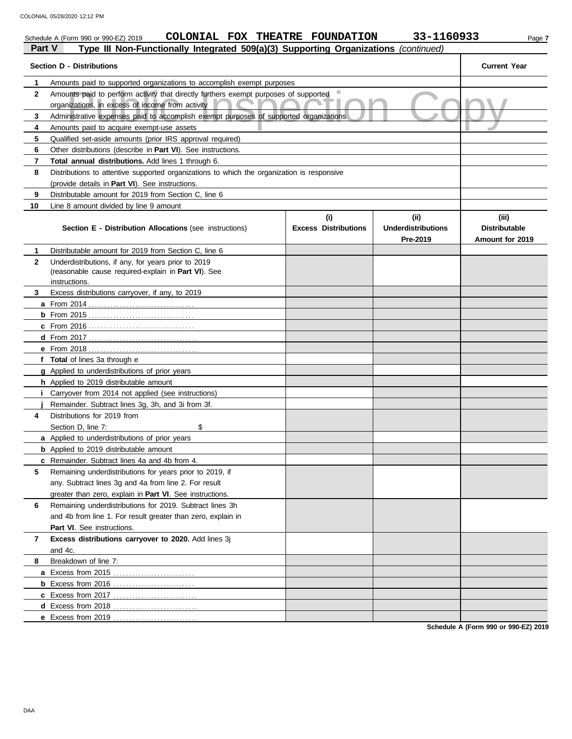|              | 33-1160933<br>COLONIAL FOX THEATRE FOUNDATION<br>Schedule A (Form 990 or 990-EZ) 2019<br>Page 7                                          |                                    |                                               |                                                  |  |  |  |  |
|--------------|------------------------------------------------------------------------------------------------------------------------------------------|------------------------------------|-----------------------------------------------|--------------------------------------------------|--|--|--|--|
| Part V       | Type III Non-Functionally Integrated 509(a)(3) Supporting Organizations (continued)                                                      |                                    |                                               |                                                  |  |  |  |  |
|              | <b>Section D - Distributions</b>                                                                                                         |                                    |                                               | <b>Current Year</b>                              |  |  |  |  |
| 1            | Amounts paid to supported organizations to accomplish exempt purposes                                                                    |                                    |                                               |                                                  |  |  |  |  |
| $\mathbf{2}$ | Amounts paid to perform activity that directly furthers exempt purposes of supported<br>organizations, in excess of income from activity |                                    |                                               |                                                  |  |  |  |  |
| 3            | Administrative expenses paid to accomplish exempt purposes of supported organizations                                                    |                                    |                                               |                                                  |  |  |  |  |
| 4            |                                                                                                                                          |                                    |                                               |                                                  |  |  |  |  |
| 5            | Qualified set-aside amounts (prior IRS approval required)                                                                                |                                    |                                               |                                                  |  |  |  |  |
| 6            | Other distributions (describe in Part VI). See instructions.                                                                             |                                    |                                               |                                                  |  |  |  |  |
| 7            | Total annual distributions. Add lines 1 through 6.                                                                                       |                                    |                                               |                                                  |  |  |  |  |
| 8            | Distributions to attentive supported organizations to which the organization is responsive                                               |                                    |                                               |                                                  |  |  |  |  |
|              | (provide details in Part VI). See instructions.                                                                                          |                                    |                                               |                                                  |  |  |  |  |
| 9            | Distributable amount for 2019 from Section C, line 6                                                                                     |                                    |                                               |                                                  |  |  |  |  |
| 10           | Line 8 amount divided by line 9 amount                                                                                                   |                                    |                                               |                                                  |  |  |  |  |
|              | <b>Section E - Distribution Allocations</b> (see instructions)                                                                           | (i)<br><b>Excess Distributions</b> | (ii)<br><b>Underdistributions</b><br>Pre-2019 | (iii)<br><b>Distributable</b><br>Amount for 2019 |  |  |  |  |
| 1            | Distributable amount for 2019 from Section C, line 6                                                                                     |                                    |                                               |                                                  |  |  |  |  |
| $\mathbf{2}$ | Underdistributions, if any, for years prior to 2019<br>(reasonable cause required-explain in Part VI). See<br>instructions.              |                                    |                                               |                                                  |  |  |  |  |
| 3            | Excess distributions carryover, if any, to 2019                                                                                          |                                    |                                               |                                                  |  |  |  |  |
|              |                                                                                                                                          |                                    |                                               |                                                  |  |  |  |  |
|              |                                                                                                                                          |                                    |                                               |                                                  |  |  |  |  |
|              |                                                                                                                                          |                                    |                                               |                                                  |  |  |  |  |
|              |                                                                                                                                          |                                    |                                               |                                                  |  |  |  |  |
|              |                                                                                                                                          |                                    |                                               |                                                  |  |  |  |  |
|              | f Total of lines 3a through e                                                                                                            |                                    |                                               |                                                  |  |  |  |  |
|              | g Applied to underdistributions of prior years                                                                                           |                                    |                                               |                                                  |  |  |  |  |
|              | h Applied to 2019 distributable amount                                                                                                   |                                    |                                               |                                                  |  |  |  |  |
|              | <i>i</i> Carryover from 2014 not applied (see instructions)                                                                              |                                    |                                               |                                                  |  |  |  |  |
|              | Remainder. Subtract lines 3g, 3h, and 3i from 3f.                                                                                        |                                    |                                               |                                                  |  |  |  |  |
| 4            | Distributions for 2019 from                                                                                                              |                                    |                                               |                                                  |  |  |  |  |
|              | Section D, line 7:<br>\$                                                                                                                 |                                    |                                               |                                                  |  |  |  |  |
|              | a Applied to underdistributions of prior years                                                                                           |                                    |                                               |                                                  |  |  |  |  |
|              | <b>b</b> Applied to 2019 distributable amount                                                                                            |                                    |                                               |                                                  |  |  |  |  |
|              | c Remainder. Subtract lines 4a and 4b from 4.                                                                                            |                                    |                                               |                                                  |  |  |  |  |
| 5            | Remaining underdistributions for years prior to 2019, if                                                                                 |                                    |                                               |                                                  |  |  |  |  |
|              | any. Subtract lines 3g and 4a from line 2. For result                                                                                    |                                    |                                               |                                                  |  |  |  |  |
|              | greater than zero, explain in Part VI. See instructions.                                                                                 |                                    |                                               |                                                  |  |  |  |  |
| 6            | Remaining underdistributions for 2019. Subtract lines 3h                                                                                 |                                    |                                               |                                                  |  |  |  |  |
|              | and 4b from line 1. For result greater than zero, explain in                                                                             |                                    |                                               |                                                  |  |  |  |  |
|              | Part VI. See instructions.                                                                                                               |                                    |                                               |                                                  |  |  |  |  |
| 7            | Excess distributions carryover to 2020. Add lines 3j                                                                                     |                                    |                                               |                                                  |  |  |  |  |
|              | and 4c.                                                                                                                                  |                                    |                                               |                                                  |  |  |  |  |
| 8            | Breakdown of line 7:                                                                                                                     |                                    |                                               |                                                  |  |  |  |  |
|              |                                                                                                                                          |                                    |                                               |                                                  |  |  |  |  |
|              |                                                                                                                                          |                                    |                                               |                                                  |  |  |  |  |
|              |                                                                                                                                          |                                    |                                               |                                                  |  |  |  |  |
|              |                                                                                                                                          |                                    |                                               |                                                  |  |  |  |  |
|              | e Excess from 2019                                                                                                                       |                                    |                                               |                                                  |  |  |  |  |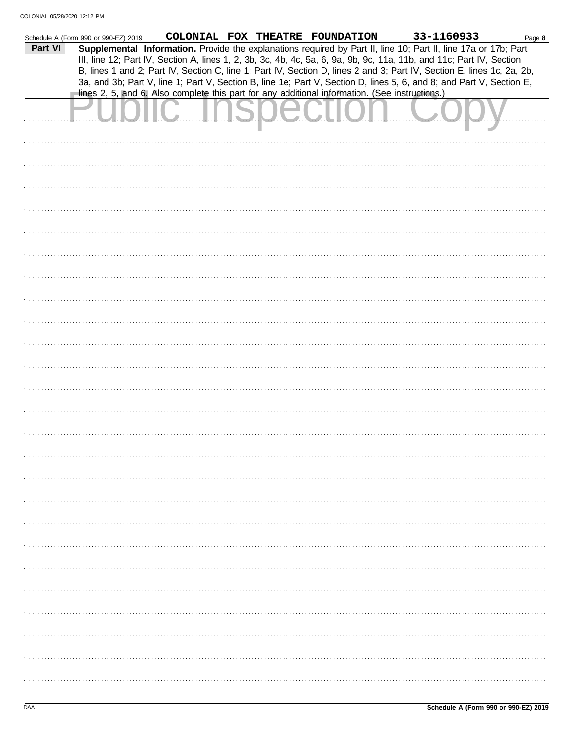|         | Schedule A (Form 990 or 990-EZ) 2019<br>COLONIAL FOX THEATRE FOUNDATION<br>33-1160933<br>Page 8                        |
|---------|------------------------------------------------------------------------------------------------------------------------|
| Part VI | Supplemental Information. Provide the explanations required by Part II, line 10; Part II, line 17a or 17b; Part        |
|         | III, line 12; Part IV, Section A, lines 1, 2, 3b, 3c, 4b, 4c, 5a, 6, 9a, 9b, 9c, 11a, 11b, and 11c; Part IV, Section   |
|         | B, lines 1 and 2; Part IV, Section C, line 1; Part IV, Section D, lines 2 and 3; Part IV, Section E, lines 1c, 2a, 2b, |
|         | 3a, and 3b; Part V, line 1; Part V, Section B, line 1e; Part V, Section D, lines 5, 6, and 8; and Part V, Section E,   |
|         | lines 2, 5, and 6. Also complete this part for any additional information. (See instructions.)                         |
|         |                                                                                                                        |
|         |                                                                                                                        |
|         | <b>DUCTIL</b>                                                                                                          |
|         |                                                                                                                        |
|         |                                                                                                                        |
|         |                                                                                                                        |
|         |                                                                                                                        |
|         |                                                                                                                        |
|         |                                                                                                                        |
|         |                                                                                                                        |
|         |                                                                                                                        |
|         |                                                                                                                        |
|         |                                                                                                                        |
|         |                                                                                                                        |
|         |                                                                                                                        |
|         |                                                                                                                        |
|         |                                                                                                                        |
|         |                                                                                                                        |
|         |                                                                                                                        |
|         |                                                                                                                        |
|         |                                                                                                                        |
|         |                                                                                                                        |
|         |                                                                                                                        |
|         |                                                                                                                        |
|         |                                                                                                                        |
|         |                                                                                                                        |
|         |                                                                                                                        |
|         |                                                                                                                        |
|         |                                                                                                                        |
|         |                                                                                                                        |
|         |                                                                                                                        |
|         |                                                                                                                        |
|         |                                                                                                                        |
|         |                                                                                                                        |
|         |                                                                                                                        |
|         |                                                                                                                        |
|         |                                                                                                                        |
|         |                                                                                                                        |
|         |                                                                                                                        |
|         |                                                                                                                        |
|         |                                                                                                                        |
|         |                                                                                                                        |
|         |                                                                                                                        |
|         |                                                                                                                        |
|         |                                                                                                                        |
|         |                                                                                                                        |
|         |                                                                                                                        |
|         |                                                                                                                        |
|         |                                                                                                                        |
|         |                                                                                                                        |
|         |                                                                                                                        |
|         |                                                                                                                        |
|         |                                                                                                                        |
|         |                                                                                                                        |
|         |                                                                                                                        |
|         |                                                                                                                        |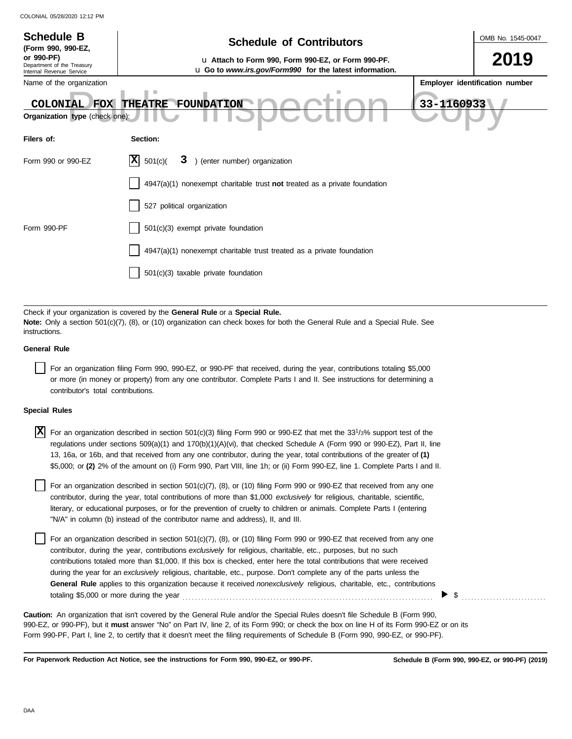| <b>Schedule B</b><br>(Form 990, 990-EZ,<br>or 990-PF)<br>Department of the Treasury<br>Internal Revenue Service<br>Name of the organization<br><b>FOX</b><br><b>COLONIAL</b><br><b>Organization type (check one)</b>         | <b>Schedule of Contributors</b><br>u Attach to Form 990, Form 990-EZ, or Form 990-PF.<br>u Go to www.irs.gov/Form990 for the latest information.<br><b>FOUNDATION</b><br>33-1160933<br><b>THEATRE</b>                                                                               | OMB No. 1545-0047<br>2019<br>Employer identification number |  |  |  |  |  |  |
|------------------------------------------------------------------------------------------------------------------------------------------------------------------------------------------------------------------------------|-------------------------------------------------------------------------------------------------------------------------------------------------------------------------------------------------------------------------------------------------------------------------------------|-------------------------------------------------------------|--|--|--|--|--|--|
| Filers of:                                                                                                                                                                                                                   | Section:                                                                                                                                                                                                                                                                            |                                                             |  |  |  |  |  |  |
| Form 990 or 990-EZ                                                                                                                                                                                                           | X<br>) (enter number) organization<br>501(c)<br>3                                                                                                                                                                                                                                   |                                                             |  |  |  |  |  |  |
|                                                                                                                                                                                                                              | $4947(a)(1)$ nonexempt charitable trust not treated as a private foundation                                                                                                                                                                                                         |                                                             |  |  |  |  |  |  |
|                                                                                                                                                                                                                              | 527 political organization                                                                                                                                                                                                                                                          |                                                             |  |  |  |  |  |  |
| Form 990-PF                                                                                                                                                                                                                  | 501(c)(3) exempt private foundation                                                                                                                                                                                                                                                 |                                                             |  |  |  |  |  |  |
|                                                                                                                                                                                                                              | 4947(a)(1) nonexempt charitable trust treated as a private foundation                                                                                                                                                                                                               |                                                             |  |  |  |  |  |  |
|                                                                                                                                                                                                                              | 501(c)(3) taxable private foundation                                                                                                                                                                                                                                                |                                                             |  |  |  |  |  |  |
|                                                                                                                                                                                                                              |                                                                                                                                                                                                                                                                                     |                                                             |  |  |  |  |  |  |
| Check if your organization is covered by the General Rule or a Special Rule.<br>Note: Only a section 501(c)(7), (8), or (10) organization can check boxes for both the General Rule and a Special Rule. See<br>instructions. |                                                                                                                                                                                                                                                                                     |                                                             |  |  |  |  |  |  |
| <b>General Rule</b>                                                                                                                                                                                                          |                                                                                                                                                                                                                                                                                     |                                                             |  |  |  |  |  |  |
|                                                                                                                                                                                                                              | For an organization filing Form 990, 990-EZ, or 990-PF that received, during the year, contributions totaling \$5,000<br>or more (in money or property) from any one contributor. Complete Parts I and II. See instructions for determining a<br>contributor's total contributions. |                                                             |  |  |  |  |  |  |
| Special Pulge                                                                                                                                                                                                                |                                                                                                                                                                                                                                                                                     |                                                             |  |  |  |  |  |  |

| <b>Special Rules</b> |  |  |
|----------------------|--|--|
|----------------------|--|--|

| <b>X</b> For an organization described in section 501(c)(3) filing Form 990 or 990-EZ that met the 33 <sup>1</sup> /3% support test of the |
|--------------------------------------------------------------------------------------------------------------------------------------------|
| regulations under sections 509(a)(1) and 170(b)(1)(A)(vi), that checked Schedule A (Form 990 or 990-EZ), Part II, line                     |
| 13, 16a, or 16b, and that received from any one contributor, during the year, total contributions of the greater of (1)                    |
| \$5,000; or (2) 2% of the amount on (i) Form 990, Part VIII, line 1h; or (ii) Form 990-EZ, line 1. Complete Parts I and II.                |

literary, or educational purposes, or for the prevention of cruelty to children or animals. Complete Parts I (entering For an organization described in section 501(c)(7), (8), or (10) filing Form 990 or 990-EZ that received from any one contributor, during the year, total contributions of more than \$1,000 *exclusively* for religious, charitable, scientific, "N/A" in column (b) instead of the contributor name and address), II, and III.

For an organization described in section 501(c)(7), (8), or (10) filing Form 990 or 990-EZ that received from any one contributor, during the year, contributions *exclusively* for religious, charitable, etc., purposes, but no such contributions totaled more than \$1,000. If this box is checked, enter here the total contributions that were received during the year for an *exclusively* religious, charitable, etc., purpose. Don't complete any of the parts unless the **General Rule** applies to this organization because it received *nonexclusively* religious, charitable, etc., contributions totaling \$5,000 or more during the year . . . . . . . . . . . . . . . . . . . . . . . . . . . . . . . . . . . . . . . . . . . . . . . . . . . . . . . . . . . . . . . . . . . . . . . . . . . . . . . .

990-EZ, or 990-PF), but it **must** answer "No" on Part IV, line 2, of its Form 990; or check the box on line H of its Form 990-EZ or on its Form 990-PF, Part I, line 2, to certify that it doesn't meet the filing requirements of Schedule B (Form 990, 990-EZ, or 990-PF). **Caution:** An organization that isn't covered by the General Rule and/or the Special Rules doesn't file Schedule B (Form 990,

**For Paperwork Reduction Act Notice, see the instructions for Form 990, 990-EZ, or 990-PF.**

 $\triangleright$  \$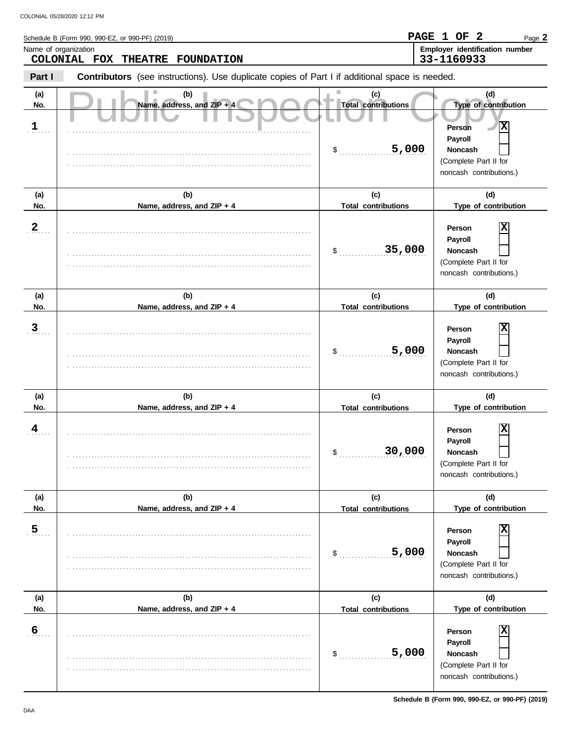|                                     | Schedule B (Form 990, 990-EZ, or 990-PF) (2019)                                                       |                                                  | PAGE 1 OF 2<br>Page 2                                                                                                       |
|-------------------------------------|-------------------------------------------------------------------------------------------------------|--------------------------------------------------|-----------------------------------------------------------------------------------------------------------------------------|
| Name of organization                | COLONIAL FOX<br><b>THEATRE</b><br><b>FOUNDATION</b>                                                   |                                                  | Employer identification number<br>33-1160933                                                                                |
| Part I                              | <b>Contributors</b> (see instructions). Use duplicate copies of Part I if additional space is needed. |                                                  |                                                                                                                             |
| (a)<br>No.<br>$\mathbf{1}_{\ldots}$ | (b)<br>Name, address, and ZIP + 4                                                                     | (c)<br><b>Total contributions</b><br>5,000<br>\$ | (d)<br>Type of contribution<br>X<br>Person<br>Payroll<br><b>Noncash</b><br>(Complete Part II for<br>noncash contributions.) |
| (a)<br>No.                          | (b)<br>Name, address, and ZIP + 4                                                                     | (c)<br><b>Total contributions</b>                | (d)<br>Type of contribution                                                                                                 |
| $2 \overline{a}$                    |                                                                                                       | 35,000<br>\$                                     | х<br>Person<br>Payroll<br><b>Noncash</b><br>(Complete Part II for<br>noncash contributions.)                                |
| (a)<br>No.                          | (b)<br>Name, address, and ZIP + 4                                                                     | (c)<br><b>Total contributions</b>                | (d)<br>Type of contribution                                                                                                 |
| $\overline{3}$                      |                                                                                                       | 5,000<br>\$                                      | X<br>Person<br>Payroll<br>Noncash<br>(Complete Part II for<br>noncash contributions.)                                       |
| (a)<br>No.                          | (b)<br>Name, address, and ZIP + 4                                                                     | (c)<br><b>Total contributions</b>                | (d)<br>Type of contribution                                                                                                 |
| $\frac{4}{1}$                       |                                                                                                       | 30,000<br>\$                                     | X<br>Person<br>Payroll<br>Noncash<br>(Complete Part II for<br>noncash contributions.)                                       |
| (a)<br>No.                          | (b)<br>Name, address, and ZIP + 4                                                                     | (c)<br><b>Total contributions</b>                | (d)<br>Type of contribution                                                                                                 |
| 5 <sub>1</sub>                      |                                                                                                       | 5,000<br>\$                                      | Person<br>Payroll<br>Noncash<br>(Complete Part II for<br>noncash contributions.)                                            |
| (a)<br>No.                          | (b)<br>Name, address, and ZIP + 4                                                                     | (c)<br><b>Total contributions</b>                | (d)<br>Type of contribution                                                                                                 |
| $6 \overline{6}$                    |                                                                                                       | 5,000<br>\$                                      | Person<br>Payroll<br>Noncash<br>(Complete Part II for<br>noncash contributions.)                                            |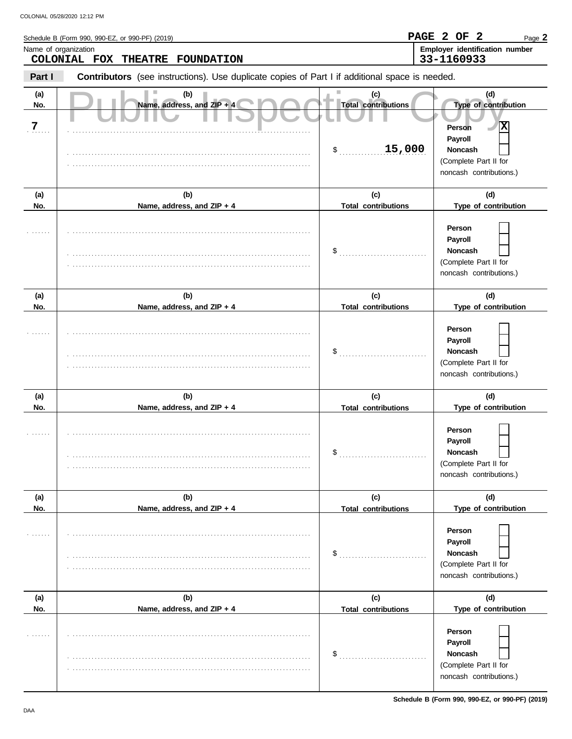| Name of organization         | Schedule B (Form 990, 990-EZ, or 990-PF) (2019)                                                       |                                                              | PAGE 2 OF<br>$\mathbf{2}$<br>Page 2<br>Employer identification number                                                        |
|------------------------------|-------------------------------------------------------------------------------------------------------|--------------------------------------------------------------|------------------------------------------------------------------------------------------------------------------------------|
|                              | COLONIAL FOX<br>THEATRE FOUNDATION                                                                    |                                                              | 33-1160933                                                                                                                   |
| Part I                       | <b>Contributors</b> (see instructions). Use duplicate copies of Part I if additional space is needed. |                                                              |                                                                                                                              |
| (a)<br>No.<br>$\overline{7}$ | (b)<br>Name, address, and ZIP + 4                                                                     | (c)<br><b>Total contributions</b><br>15,000<br>$\mathsf{\$}$ | (d)<br>Type of contribution<br>Ιx<br><b>Person</b><br>Payroll<br>Noncash<br>(Complete Part II for<br>noncash contributions.) |
| (a)<br>No.                   | (b)<br>Name, address, and ZIP + 4                                                                     | (c)<br><b>Total contributions</b>                            | (d)<br>Type of contribution                                                                                                  |
|                              |                                                                                                       | \$                                                           | Person<br>Payroll<br><b>Noncash</b><br>(Complete Part II for<br>noncash contributions.)                                      |
| (a)                          | (b)                                                                                                   | (c)                                                          | (d)                                                                                                                          |
| No.                          | Name, address, and ZIP + 4                                                                            | <b>Total contributions</b>                                   | Type of contribution                                                                                                         |
|                              |                                                                                                       | \$                                                           | Person<br>Payroll<br><b>Noncash</b><br>(Complete Part II for<br>noncash contributions.)                                      |
| (a)                          | (b)                                                                                                   | (c)                                                          | (d)                                                                                                                          |
| No.                          | Name, address, and ZIP + 4                                                                            | <b>Total contributions</b>                                   | Type of contribution                                                                                                         |
|                              |                                                                                                       | \$                                                           | Person<br><b>Payroll</b><br><b>Noncash</b><br>(Complete Part II for<br>noncash contributions.)                               |
| (a)                          | (b)                                                                                                   | (c)                                                          | (d)                                                                                                                          |
| No.                          | Name, address, and ZIP + 4                                                                            | <b>Total contributions</b><br>\$                             | Type of contribution<br>Person<br>Payroll<br>Noncash<br>(Complete Part II for<br>noncash contributions.)                     |
| (a)                          | (b)                                                                                                   | (c)                                                          | (d)                                                                                                                          |
| No.                          | Name, address, and ZIP + 4                                                                            | <b>Total contributions</b>                                   | Type of contribution                                                                                                         |
|                              |                                                                                                       | \$                                                           | Person<br>Payroll<br>Noncash<br>(Complete Part II for<br>noncash contributions.)                                             |

**Schedule B (Form 990, 990-EZ, or 990-PF) (2019)**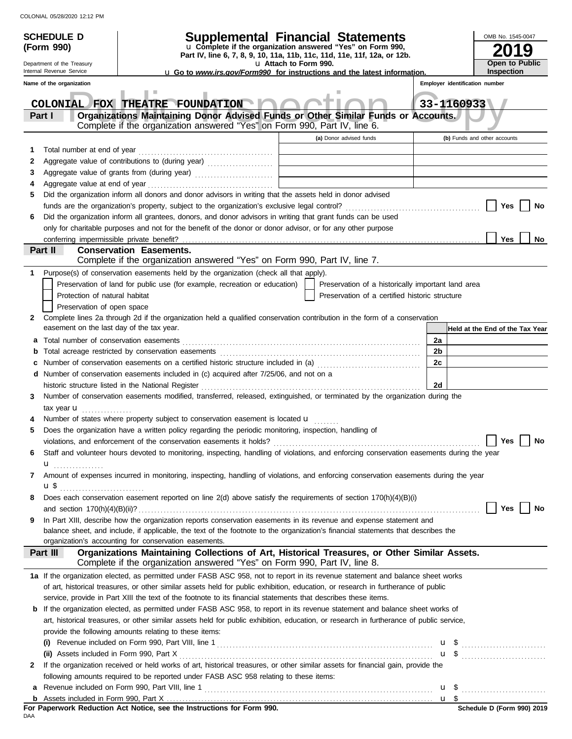|    | <b>SCHEDULE D</b>                                    | <b>Supplemental Financial Statements</b>                                                                                                                                                                                                                 |                                                                                                   |                         |                                                    |    |            | OMB No. 1545-0047               |
|----|------------------------------------------------------|----------------------------------------------------------------------------------------------------------------------------------------------------------------------------------------------------------------------------------------------------------|---------------------------------------------------------------------------------------------------|-------------------------|----------------------------------------------------|----|------------|---------------------------------|
|    | (Form 990)                                           |                                                                                                                                                                                                                                                          | u Complete if the organization answered "Yes" on Form 990,                                        |                         |                                                    |    |            | 19                              |
|    | Department of the Treasury                           |                                                                                                                                                                                                                                                          | Part IV, line 6, 7, 8, 9, 10, 11a, 11b, 11c, 11d, 11e, 11f, 12a, or 12b.<br>u Attach to Form 990. |                         |                                                    |    |            | Open to Public                  |
|    | Internal Revenue Service                             |                                                                                                                                                                                                                                                          | <b>u</b> Go to www.irs.gov/Form990 for instructions and the latest information.                   |                         |                                                    |    |            | <b>Inspection</b>               |
|    | Name of the organization                             | ш                                                                                                                                                                                                                                                        |                                                                                                   |                         |                                                    |    |            | Employer identification number  |
|    |                                                      | COLONIAL FOX THEATRE FOUNDATION                                                                                                                                                                                                                          |                                                                                                   |                         |                                                    |    | 33-1160933 |                                 |
|    | Part I                                               | Organizations Maintaining Donor Advised Funds or Other Similar Funds or Accounts.<br>Complete if the organization answered "Yes" on Form 990, Part IV, line 6.                                                                                           |                                                                                                   |                         |                                                    |    |            |                                 |
|    |                                                      |                                                                                                                                                                                                                                                          |                                                                                                   | (a) Donor advised funds |                                                    |    |            | (b) Funds and other accounts    |
| 1  | Total number at end of year                          |                                                                                                                                                                                                                                                          |                                                                                                   |                         |                                                    |    |            |                                 |
| 2  |                                                      | Aggregate value of contributions to (during year)                                                                                                                                                                                                        |                                                                                                   |                         |                                                    |    |            |                                 |
| 3  |                                                      |                                                                                                                                                                                                                                                          |                                                                                                   |                         |                                                    |    |            |                                 |
| 4  |                                                      |                                                                                                                                                                                                                                                          |                                                                                                   |                         |                                                    |    |            |                                 |
| 5  |                                                      | Did the organization inform all donors and donor advisors in writing that the assets held in donor advised                                                                                                                                               |                                                                                                   |                         |                                                    |    |            |                                 |
|    |                                                      |                                                                                                                                                                                                                                                          |                                                                                                   |                         |                                                    |    |            | Yes<br>No                       |
| 6  |                                                      | Did the organization inform all grantees, donors, and donor advisors in writing that grant funds can be used                                                                                                                                             |                                                                                                   |                         |                                                    |    |            |                                 |
|    |                                                      | only for charitable purposes and not for the benefit of the donor or donor advisor, or for any other purpose                                                                                                                                             |                                                                                                   |                         |                                                    |    |            |                                 |
|    | conferring impermissible private benefit?<br>Part II | <b>Conservation Easements.</b>                                                                                                                                                                                                                           |                                                                                                   |                         |                                                    |    |            | Yes<br>No                       |
|    |                                                      | Complete if the organization answered "Yes" on Form 990, Part IV, line 7.                                                                                                                                                                                |                                                                                                   |                         |                                                    |    |            |                                 |
| 1. |                                                      | Purpose(s) of conservation easements held by the organization (check all that apply).                                                                                                                                                                    |                                                                                                   |                         |                                                    |    |            |                                 |
|    |                                                      | Preservation of land for public use (for example, recreation or education)                                                                                                                                                                               |                                                                                                   |                         | Preservation of a historically important land area |    |            |                                 |
|    | Protection of natural habitat                        |                                                                                                                                                                                                                                                          |                                                                                                   |                         | Preservation of a certified historic structure     |    |            |                                 |
|    | Preservation of open space                           |                                                                                                                                                                                                                                                          |                                                                                                   |                         |                                                    |    |            |                                 |
| 2  |                                                      | Complete lines 2a through 2d if the organization held a qualified conservation contribution in the form of a conservation                                                                                                                                |                                                                                                   |                         |                                                    |    |            |                                 |
|    | easement on the last day of the tax year.            |                                                                                                                                                                                                                                                          |                                                                                                   |                         |                                                    |    |            | Held at the End of the Tax Year |
| а  |                                                      |                                                                                                                                                                                                                                                          |                                                                                                   |                         |                                                    | 2a |            |                                 |
| b  |                                                      |                                                                                                                                                                                                                                                          |                                                                                                   |                         |                                                    | 2b |            |                                 |
| с  |                                                      | Number of conservation easements on a certified historic structure included in (a) [[[[[[ [ ]]]]                                                                                                                                                         |                                                                                                   |                         |                                                    | 2c |            |                                 |
| d  |                                                      | Number of conservation easements included in (c) acquired after 7/25/06, and not on a                                                                                                                                                                    |                                                                                                   |                         |                                                    |    |            |                                 |
| 3  |                                                      | historic structure listed in the National Register<br>Number of conservation easements modified, transferred, released, extinguished, or terminated by the organization during the                                                                       |                                                                                                   |                         |                                                    | 2d |            |                                 |
|    | tax year $\mathbf{u}$                                |                                                                                                                                                                                                                                                          |                                                                                                   |                         |                                                    |    |            |                                 |
|    |                                                      | Number of states where property subject to conservation easement is located u                                                                                                                                                                            |                                                                                                   |                         |                                                    |    |            |                                 |
| 5  |                                                      | Does the organization have a written policy regarding the periodic monitoring, inspection, handling of                                                                                                                                                   |                                                                                                   |                         |                                                    |    |            |                                 |
|    |                                                      |                                                                                                                                                                                                                                                          |                                                                                                   |                         |                                                    |    |            | Yes<br>No                       |
| 6  |                                                      | Staff and volunteer hours devoted to monitoring, inspecting, handling of violations, and enforcing conservation easements during the year                                                                                                                |                                                                                                   |                         |                                                    |    |            |                                 |
|    | u <sub></sub>                                        |                                                                                                                                                                                                                                                          |                                                                                                   |                         |                                                    |    |            |                                 |
| 7  |                                                      | Amount of expenses incurred in monitoring, inspecting, handling of violations, and enforcing conservation easements during the year                                                                                                                      |                                                                                                   |                         |                                                    |    |            |                                 |
|    | $\mathbf{u}$ \$                                      |                                                                                                                                                                                                                                                          |                                                                                                   |                         |                                                    |    |            |                                 |
| 8  |                                                      | Does each conservation easement reported on line 2(d) above satisfy the requirements of section 170(h)(4)(B)(i)                                                                                                                                          |                                                                                                   |                         |                                                    |    |            |                                 |
|    |                                                      |                                                                                                                                                                                                                                                          |                                                                                                   |                         |                                                    |    |            | Yes  <br>No                     |
| 9  |                                                      | In Part XIII, describe how the organization reports conservation easements in its revenue and expense statement and<br>balance sheet, and include, if applicable, the text of the footnote to the organization's financial statements that describes the |                                                                                                   |                         |                                                    |    |            |                                 |
|    |                                                      | organization's accounting for conservation easements.                                                                                                                                                                                                    |                                                                                                   |                         |                                                    |    |            |                                 |
|    | Part III                                             | Organizations Maintaining Collections of Art, Historical Treasures, or Other Similar Assets.<br>Complete if the organization answered "Yes" on Form 990, Part IV, line 8.                                                                                |                                                                                                   |                         |                                                    |    |            |                                 |
|    |                                                      | 1a If the organization elected, as permitted under FASB ASC 958, not to report in its revenue statement and balance sheet works                                                                                                                          |                                                                                                   |                         |                                                    |    |            |                                 |
|    |                                                      | of art, historical treasures, or other similar assets held for public exhibition, education, or research in furtherance of public                                                                                                                        |                                                                                                   |                         |                                                    |    |            |                                 |
|    |                                                      | service, provide in Part XIII the text of the footnote to its financial statements that describes these items.                                                                                                                                           |                                                                                                   |                         |                                                    |    |            |                                 |
| b  |                                                      | If the organization elected, as permitted under FASB ASC 958, to report in its revenue statement and balance sheet works of                                                                                                                              |                                                                                                   |                         |                                                    |    |            |                                 |
|    |                                                      | art, historical treasures, or other similar assets held for public exhibition, education, or research in furtherance of public service,                                                                                                                  |                                                                                                   |                         |                                                    |    |            |                                 |
|    |                                                      | provide the following amounts relating to these items:                                                                                                                                                                                                   |                                                                                                   |                         |                                                    |    |            |                                 |
|    |                                                      |                                                                                                                                                                                                                                                          |                                                                                                   |                         |                                                    |    |            |                                 |
|    |                                                      |                                                                                                                                                                                                                                                          |                                                                                                   |                         |                                                    |    |            | $\mathbf{u}$ \$                 |
| 2  |                                                      | If the organization received or held works of art, historical treasures, or other similar assets for financial gain, provide the                                                                                                                         |                                                                                                   |                         |                                                    |    |            |                                 |
|    |                                                      | following amounts required to be reported under FASB ASC 958 relating to these items:                                                                                                                                                                    |                                                                                                   |                         |                                                    |    |            |                                 |
|    |                                                      |                                                                                                                                                                                                                                                          |                                                                                                   |                         |                                                    |    |            |                                 |
|    |                                                      |                                                                                                                                                                                                                                                          |                                                                                                   |                         |                                                    |    |            |                                 |

|     |  |  | For Paperwork Reduction Act Notice, see the Instructions for Form 990. |  |  |
|-----|--|--|------------------------------------------------------------------------|--|--|
| DAA |  |  |                                                                        |  |  |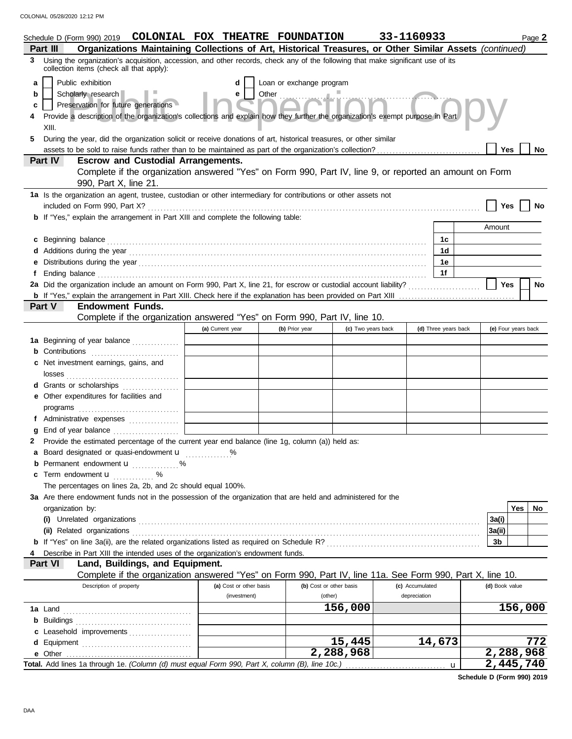| Schedule D (Form 990) 2019 COLONIAL FOX THEATRE FOUNDATION 33-1160933<br>Organizations Maintaining Collections of Art, Historical Treasures, or Other Similar Assets (continued)                                                           | Page 2              |  |  |  |  |  |  |  |  |  |  |
|--------------------------------------------------------------------------------------------------------------------------------------------------------------------------------------------------------------------------------------------|---------------------|--|--|--|--|--|--|--|--|--|--|
| Part III<br>3 Using the organization's acquisition, accession, and other records, check any of the following that make significant use of its                                                                                              |                     |  |  |  |  |  |  |  |  |  |  |
| collection items (check all that apply):                                                                                                                                                                                                   |                     |  |  |  |  |  |  |  |  |  |  |
| Public exhibition<br>Loan or exchange program<br>a<br>d                                                                                                                                                                                    |                     |  |  |  |  |  |  |  |  |  |  |
| Other martinn Col<br>Scholarly research<br><b>Contract Contract</b><br>e<br>b                                                                                                                                                              |                     |  |  |  |  |  |  |  |  |  |  |
| Preservation for future generations<br>Provide a description of the organization's collections and explain how they further the organization's exempt purpose in Part<br>c                                                                 |                     |  |  |  |  |  |  |  |  |  |  |
| XIII.                                                                                                                                                                                                                                      |                     |  |  |  |  |  |  |  |  |  |  |
| During the year, did the organization solicit or receive donations of art, historical treasures, or other similar<br>5                                                                                                                     |                     |  |  |  |  |  |  |  |  |  |  |
| Yes<br>No                                                                                                                                                                                                                                  |                     |  |  |  |  |  |  |  |  |  |  |
| <b>Escrow and Custodial Arrangements.</b><br>Part IV                                                                                                                                                                                       |                     |  |  |  |  |  |  |  |  |  |  |
| Complete if the organization answered "Yes" on Form 990, Part IV, line 9, or reported an amount on Form                                                                                                                                    |                     |  |  |  |  |  |  |  |  |  |  |
| 990, Part X, line 21.                                                                                                                                                                                                                      |                     |  |  |  |  |  |  |  |  |  |  |
| 1a Is the organization an agent, trustee, custodian or other intermediary for contributions or other assets not                                                                                                                            |                     |  |  |  |  |  |  |  |  |  |  |
|                                                                                                                                                                                                                                            | Yes<br>No           |  |  |  |  |  |  |  |  |  |  |
| b If "Yes," explain the arrangement in Part XIII and complete the following table:                                                                                                                                                         |                     |  |  |  |  |  |  |  |  |  |  |
|                                                                                                                                                                                                                                            | Amount              |  |  |  |  |  |  |  |  |  |  |
| c Beginning balance <b>contract to the contract of the set of the contract of the contract of the contract of the contract of the contract of the contract of the contract of the contract of the contract of the contract of th</b><br>1c |                     |  |  |  |  |  |  |  |  |  |  |
| 1d                                                                                                                                                                                                                                         |                     |  |  |  |  |  |  |  |  |  |  |
| 1e<br>е<br>1f<br>f                                                                                                                                                                                                                         |                     |  |  |  |  |  |  |  |  |  |  |
| Ending balance <b>constructs</b> and constructs and constructs and constructs and constructs and constructs and constructs and constructs and constructs and constructs and constructs and constructs and constructs and constructs        | Yes<br><b>No</b>    |  |  |  |  |  |  |  |  |  |  |
|                                                                                                                                                                                                                                            |                     |  |  |  |  |  |  |  |  |  |  |
| <b>Endowment Funds.</b><br>Part V                                                                                                                                                                                                          |                     |  |  |  |  |  |  |  |  |  |  |
| Complete if the organization answered "Yes" on Form 990, Part IV, line 10.                                                                                                                                                                 |                     |  |  |  |  |  |  |  |  |  |  |
| (a) Current year<br>(c) Two years back<br>(d) Three years back<br>(b) Prior year                                                                                                                                                           | (e) Four years back |  |  |  |  |  |  |  |  |  |  |
| 1a Beginning of year balance                                                                                                                                                                                                               |                     |  |  |  |  |  |  |  |  |  |  |
| <b>b</b> Contributions <b>contributions</b>                                                                                                                                                                                                |                     |  |  |  |  |  |  |  |  |  |  |
| c Net investment earnings, gains, and                                                                                                                                                                                                      |                     |  |  |  |  |  |  |  |  |  |  |
|                                                                                                                                                                                                                                            |                     |  |  |  |  |  |  |  |  |  |  |
| d Grants or scholarships                                                                                                                                                                                                                   |                     |  |  |  |  |  |  |  |  |  |  |
| e Other expenditures for facilities and                                                                                                                                                                                                    |                     |  |  |  |  |  |  |  |  |  |  |
| Administrative expenses                                                                                                                                                                                                                    |                     |  |  |  |  |  |  |  |  |  |  |
| a                                                                                                                                                                                                                                          |                     |  |  |  |  |  |  |  |  |  |  |
| Provide the estimated percentage of the current year end balance (line 1g, column (a)) held as:<br>2                                                                                                                                       |                     |  |  |  |  |  |  |  |  |  |  |
| a Board designated or quasi-endowment u                                                                                                                                                                                                    |                     |  |  |  |  |  |  |  |  |  |  |
| Permanent endowment <b>u</b> %<br>b                                                                                                                                                                                                        |                     |  |  |  |  |  |  |  |  |  |  |
| c Term endowment <b>u</b>                                                                                                                                                                                                                  |                     |  |  |  |  |  |  |  |  |  |  |
| The percentages on lines 2a, 2b, and 2c should equal 100%.                                                                                                                                                                                 |                     |  |  |  |  |  |  |  |  |  |  |
| 3a Are there endowment funds not in the possession of the organization that are held and administered for the                                                                                                                              |                     |  |  |  |  |  |  |  |  |  |  |
| organization by:                                                                                                                                                                                                                           | Yes<br>No           |  |  |  |  |  |  |  |  |  |  |
| (ii) Related organizations                                                                                                                                                                                                                 | 3a(i)<br>3a(ii)     |  |  |  |  |  |  |  |  |  |  |
|                                                                                                                                                                                                                                            | 3b                  |  |  |  |  |  |  |  |  |  |  |
| Describe in Part XIII the intended uses of the organization's endowment funds.                                                                                                                                                             |                     |  |  |  |  |  |  |  |  |  |  |
| Land, Buildings, and Equipment.<br><b>Part VI</b>                                                                                                                                                                                          |                     |  |  |  |  |  |  |  |  |  |  |
| Complete if the organization answered "Yes" on Form 990, Part IV, line 11a. See Form 990, Part X, line 10.                                                                                                                                 |                     |  |  |  |  |  |  |  |  |  |  |
| Description of property<br>(b) Cost or other basis<br>(c) Accumulated<br>(a) Cost or other basis                                                                                                                                           | (d) Book value      |  |  |  |  |  |  |  |  |  |  |
| (investment)<br>depreciation<br>(other)                                                                                                                                                                                                    |                     |  |  |  |  |  |  |  |  |  |  |
| 156,000                                                                                                                                                                                                                                    | 156,000             |  |  |  |  |  |  |  |  |  |  |
|                                                                                                                                                                                                                                            |                     |  |  |  |  |  |  |  |  |  |  |
| c Leasehold improvements<br>15,445<br>14,673                                                                                                                                                                                               | 772                 |  |  |  |  |  |  |  |  |  |  |
| d<br>2,288,968<br>e Other                                                                                                                                                                                                                  | 2,288,968           |  |  |  |  |  |  |  |  |  |  |
| Total. Add lines 1a through 1e. (Column (d) must equal Form 990, Part X, column (B), line 10c.)                                                                                                                                            | 2,445,740<br>u      |  |  |  |  |  |  |  |  |  |  |

**Schedule D (Form 990) 2019**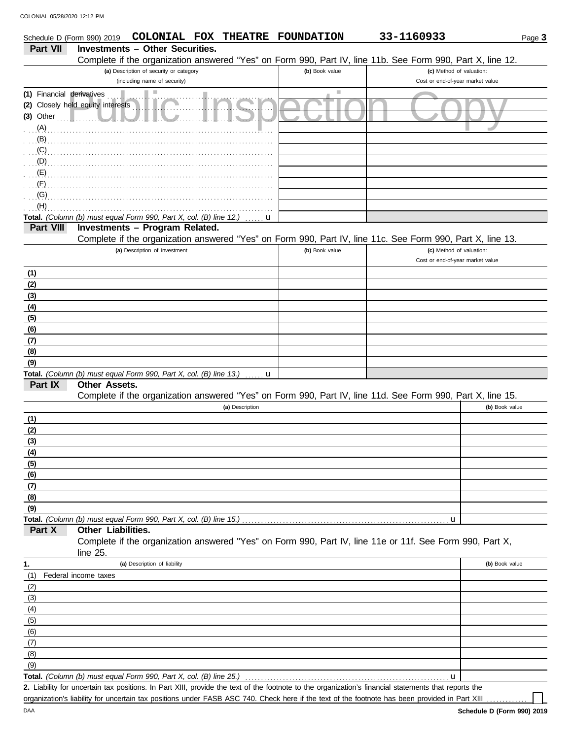DAA

|                           | Schedule D (Form 990) 2019        | COLONIAL FOX THEATRE                                               |                 | <b>FOUNDATION</b> | 33-1160933                                                                                                 | Page 3         |
|---------------------------|-----------------------------------|--------------------------------------------------------------------|-----------------|-------------------|------------------------------------------------------------------------------------------------------------|----------------|
| Part VII                  |                                   | <b>Investments - Other Securities.</b>                             |                 |                   |                                                                                                            |                |
|                           |                                   |                                                                    |                 |                   | Complete if the organization answered "Yes" on Form 990, Part IV, line 11b. See Form 990, Part X, line 12. |                |
|                           |                                   | (a) Description of security or category                            |                 | (b) Book value    | (c) Method of valuation:                                                                                   |                |
|                           |                                   | (including name of security)                                       |                 |                   | Cost or end-of-year market value                                                                           |                |
| (1) Financial derivatives |                                   | Ш                                                                  |                 | <b>College</b>    |                                                                                                            |                |
|                           | (2) Closely held equity interests |                                                                    |                 |                   |                                                                                                            |                |
| $(3)$ Other               |                                   |                                                                    |                 |                   |                                                                                                            |                |
| (A)                       |                                   |                                                                    |                 |                   |                                                                                                            |                |
| (B)                       |                                   |                                                                    |                 |                   |                                                                                                            |                |
| (C)<br>(D)                |                                   |                                                                    |                 |                   |                                                                                                            |                |
| (E)                       |                                   |                                                                    |                 |                   |                                                                                                            |                |
| (F)                       |                                   |                                                                    |                 |                   |                                                                                                            |                |
| (G)                       |                                   |                                                                    |                 |                   |                                                                                                            |                |
| (H)                       |                                   |                                                                    |                 |                   |                                                                                                            |                |
|                           |                                   | Total. (Column (b) must equal Form 990, Part X, col. (B) line 12.) | u               |                   |                                                                                                            |                |
| Part VIII                 |                                   | <b>Investments - Program Related.</b>                              |                 |                   |                                                                                                            |                |
|                           |                                   |                                                                    |                 |                   | Complete if the organization answered "Yes" on Form 990, Part IV, line 11c. See Form 990, Part X, line 13. |                |
|                           |                                   | (a) Description of investment                                      |                 | (b) Book value    | (c) Method of valuation:                                                                                   |                |
|                           |                                   |                                                                    |                 |                   | Cost or end-of-year market value                                                                           |                |
| (1)                       |                                   |                                                                    |                 |                   |                                                                                                            |                |
| (2)                       |                                   |                                                                    |                 |                   |                                                                                                            |                |
| (3)                       |                                   |                                                                    |                 |                   |                                                                                                            |                |
| (4)                       |                                   |                                                                    |                 |                   |                                                                                                            |                |
| (5)                       |                                   |                                                                    |                 |                   |                                                                                                            |                |
| (6)                       |                                   |                                                                    |                 |                   |                                                                                                            |                |
| (7)                       |                                   |                                                                    |                 |                   |                                                                                                            |                |
| (8)                       |                                   |                                                                    |                 |                   |                                                                                                            |                |
| (9)                       |                                   |                                                                    |                 |                   |                                                                                                            |                |
|                           |                                   | Total. (Column (b) must equal Form 990, Part X, col. (B) line 13.) | u               |                   |                                                                                                            |                |
| Part IX                   | <b>Other Assets.</b>              |                                                                    |                 |                   |                                                                                                            |                |
|                           |                                   |                                                                    |                 |                   | Complete if the organization answered "Yes" on Form 990, Part IV, line 11d. See Form 990, Part X, line 15. |                |
|                           |                                   |                                                                    | (a) Description |                   |                                                                                                            | (b) Book value |
| (1)                       |                                   |                                                                    |                 |                   |                                                                                                            |                |
| (2)                       |                                   |                                                                    |                 |                   |                                                                                                            |                |
| (3)                       |                                   |                                                                    |                 |                   |                                                                                                            |                |
| (4)                       |                                   |                                                                    |                 |                   |                                                                                                            |                |
| (5)                       |                                   |                                                                    |                 |                   |                                                                                                            |                |
| (6)                       |                                   |                                                                    |                 |                   |                                                                                                            |                |
| (7)                       |                                   |                                                                    |                 |                   |                                                                                                            |                |
| (8)<br>(9)                |                                   |                                                                    |                 |                   |                                                                                                            |                |
|                           |                                   | Total. (Column (b) must equal Form 990, Part X, col. (B) line 15.) |                 |                   | u                                                                                                          |                |
| Part X                    | Other Liabilities.                |                                                                    |                 |                   |                                                                                                            |                |
|                           |                                   |                                                                    |                 |                   | Complete if the organization answered "Yes" on Form 990, Part IV, line 11e or 11f. See Form 990, Part X,   |                |
|                           | line $25$ .                       |                                                                    |                 |                   |                                                                                                            |                |
| 1.                        |                                   | (a) Description of liability                                       |                 |                   |                                                                                                            | (b) Book value |
| (1)                       | Federal income taxes              |                                                                    |                 |                   |                                                                                                            |                |
| (2)                       |                                   |                                                                    |                 |                   |                                                                                                            |                |
| (3)                       |                                   |                                                                    |                 |                   |                                                                                                            |                |
| (4)                       |                                   |                                                                    |                 |                   |                                                                                                            |                |
| (5)                       |                                   |                                                                    |                 |                   |                                                                                                            |                |
| (6)                       |                                   |                                                                    |                 |                   |                                                                                                            |                |
| (7)                       |                                   |                                                                    |                 |                   |                                                                                                            |                |
| (8)                       |                                   |                                                                    |                 |                   |                                                                                                            |                |
| (9)                       |                                   |                                                                    |                 |                   |                                                                                                            |                |
|                           |                                   | Total. (Column (b) must equal Form 990, Part X, col. (B) line 25.) |                 |                   | u                                                                                                          |                |
|                           |                                   |                                                                    |                 |                   |                                                                                                            |                |

Liability for uncertain tax positions. In Part XIII, provide the text of the footnote to the organization's financial statements that reports the **2.** organization's liability for uncertain tax positions under FASB ASC 740. Check here if the text of the footnote has been provided in Part XIII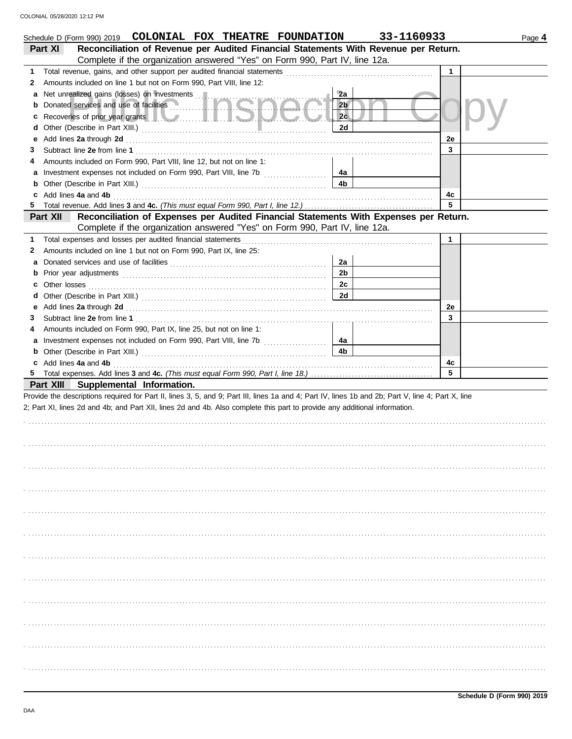|    | Schedule D (Form 990) 2019 COLONIAL FOX THEATRE FOUNDATION                                                                                                                                                                    |                | 33-1160933 |              | Page 4 |
|----|-------------------------------------------------------------------------------------------------------------------------------------------------------------------------------------------------------------------------------|----------------|------------|--------------|--------|
|    | Reconciliation of Revenue per Audited Financial Statements With Revenue per Return.<br>Part XI                                                                                                                                |                |            |              |        |
|    | Complete if the organization answered "Yes" on Form 990, Part IV, line 12a.                                                                                                                                                   |                |            |              |        |
| 1  |                                                                                                                                                                                                                               |                |            | $\mathbf{1}$ |        |
| 2  | Amounts included on line 1 but not on Form 990, Part VIII, line 12:                                                                                                                                                           |                |            |              |        |
| а  | Net unrealized gains (losses) on investments                                                                                                                                                                                  | 2a             |            |              |        |
| b  | Donated services and use of facilities                                                                                                                                                                                        | 2 <sub>b</sub> |            |              |        |
| с  | Recoveries of prior year grants <b>All Constitution Recoveries of prior</b>                                                                                                                                                   | 2c             |            |              |        |
| d  |                                                                                                                                                                                                                               | 2d             |            |              |        |
| е  | Add lines 2a through 2d [11] Add [12] Add [12] Add lines 2a through 2d [12] Add lines 2a through 2d [12] Add [12] Add [12] Add [12] Add [12] Add [12] Add [12] Add [12] Add [12] Add [12] Add [12] Add [12] Add [12] Add [12] |                |            | 2e           |        |
| 3  |                                                                                                                                                                                                                               |                |            | 3            |        |
|    | Amounts included on Form 990, Part VIII, line 12, but not on line 1:                                                                                                                                                          |                |            |              |        |
| а  |                                                                                                                                                                                                                               | 4a             |            |              |        |
| b  |                                                                                                                                                                                                                               | 4b             |            |              |        |
|    | Add lines 4a and 4b                                                                                                                                                                                                           |                |            | 4с           |        |
| 5  |                                                                                                                                                                                                                               |                |            | 5            |        |
|    | Reconciliation of Expenses per Audited Financial Statements With Expenses per Return.<br>Part XII                                                                                                                             |                |            |              |        |
|    | Complete if the organization answered "Yes" on Form 990, Part IV, line 12a.                                                                                                                                                   |                |            |              |        |
| 1  |                                                                                                                                                                                                                               |                |            | $\mathbf{1}$ |        |
| 2  | Amounts included on line 1 but not on Form 990, Part IX, line 25:                                                                                                                                                             |                |            |              |        |
| а  |                                                                                                                                                                                                                               | 2a             |            |              |        |
| b  |                                                                                                                                                                                                                               | 2 <sub>b</sub> |            |              |        |
| с  | Other losses                                                                                                                                                                                                                  | 2 <sub>c</sub> |            |              |        |
| d  |                                                                                                                                                                                                                               | 2d             |            |              |        |
| е  | Add lines 2a through 2d [11] Additional Property and Property and Property and Property and Property and Property and Property and Property and Property and Property and Property and Property and Property and Property and |                |            | 2e           |        |
| 3  |                                                                                                                                                                                                                               |                |            | 3            |        |
| 4  | Amounts included on Form 990, Part IX, line 25, but not on line 1:                                                                                                                                                            |                |            |              |        |
| а  |                                                                                                                                                                                                                               | 4a             |            |              |        |
| b  |                                                                                                                                                                                                                               | 4b             |            |              |        |
| c  | Add lines 4a and 4b                                                                                                                                                                                                           |                |            | 4c           |        |
| 5. |                                                                                                                                                                                                                               |                |            | 5            |        |
|    | Part XIII Supplemental Information.                                                                                                                                                                                           |                |            |              |        |
|    | Provide the descriptions required for Part II, lines 3, 5, and 9; Part III, lines 1a and 4; Part IV, lines 1b and 2b; Part V, line 4; Part X, line                                                                            |                |            |              |        |
|    | 2; Part XI, lines 2d and 4b; and Part XII, lines 2d and 4b. Also complete this part to provide any additional information.                                                                                                    |                |            |              |        |
|    |                                                                                                                                                                                                                               |                |            |              |        |
|    |                                                                                                                                                                                                                               |                |            |              |        |
|    |                                                                                                                                                                                                                               |                |            |              |        |
|    |                                                                                                                                                                                                                               |                |            |              |        |
|    |                                                                                                                                                                                                                               |                |            |              |        |
|    |                                                                                                                                                                                                                               |                |            |              |        |
|    |                                                                                                                                                                                                                               |                |            |              |        |
|    |                                                                                                                                                                                                                               |                |            |              |        |
|    |                                                                                                                                                                                                                               |                |            |              |        |
|    |                                                                                                                                                                                                                               |                |            |              |        |
|    |                                                                                                                                                                                                                               |                |            |              |        |
|    |                                                                                                                                                                                                                               |                |            |              |        |
|    |                                                                                                                                                                                                                               |                |            |              |        |
|    |                                                                                                                                                                                                                               |                |            |              |        |
|    |                                                                                                                                                                                                                               |                |            |              |        |
|    |                                                                                                                                                                                                                               |                |            |              |        |
|    |                                                                                                                                                                                                                               |                |            |              |        |
|    |                                                                                                                                                                                                                               |                |            |              |        |
|    |                                                                                                                                                                                                                               |                |            |              |        |
|    |                                                                                                                                                                                                                               |                |            |              |        |
|    |                                                                                                                                                                                                                               |                |            |              |        |
|    |                                                                                                                                                                                                                               |                |            |              |        |
|    |                                                                                                                                                                                                                               |                |            |              |        |
|    |                                                                                                                                                                                                                               |                |            |              |        |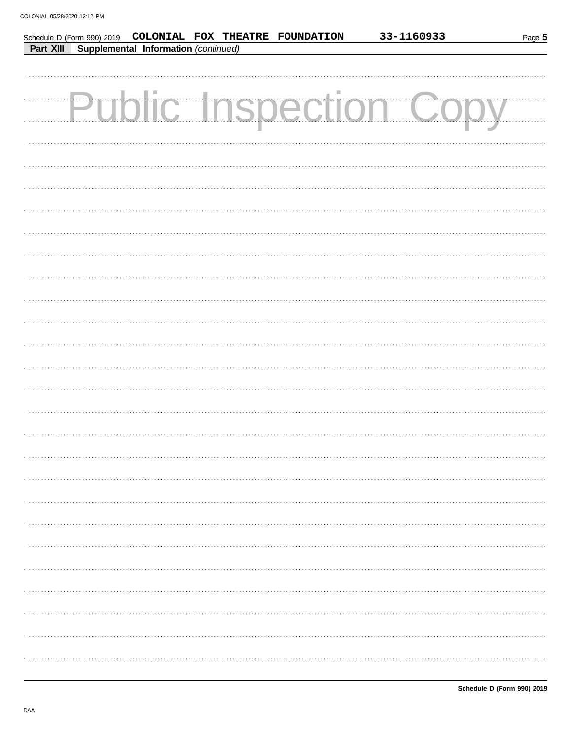|           | Schedule D (Form 990) 2019 COLONIAL FOX THEATRE FOUNDATION |  |  | 33-1160933                    | Page 5 |
|-----------|------------------------------------------------------------|--|--|-------------------------------|--------|
| Part XIII | Supplemental Information (continued)                       |  |  |                               |        |
|           |                                                            |  |  |                               |        |
|           |                                                            |  |  |                               |        |
|           |                                                            |  |  | <b>Public Inspection Copy</b> |        |
|           |                                                            |  |  |                               |        |
|           |                                                            |  |  |                               |        |
|           |                                                            |  |  |                               |        |
|           |                                                            |  |  |                               |        |
|           |                                                            |  |  |                               |        |
|           |                                                            |  |  |                               |        |
|           |                                                            |  |  |                               |        |
|           |                                                            |  |  |                               |        |
|           |                                                            |  |  |                               |        |
|           |                                                            |  |  |                               |        |
|           |                                                            |  |  |                               |        |
|           |                                                            |  |  |                               |        |
|           |                                                            |  |  |                               |        |
|           |                                                            |  |  |                               |        |
|           |                                                            |  |  |                               |        |
|           |                                                            |  |  |                               |        |
|           |                                                            |  |  |                               |        |
|           |                                                            |  |  |                               |        |
|           |                                                            |  |  |                               |        |
|           |                                                            |  |  |                               |        |
|           |                                                            |  |  |                               |        |
|           |                                                            |  |  |                               |        |
|           |                                                            |  |  |                               |        |
|           |                                                            |  |  |                               |        |
|           |                                                            |  |  |                               |        |
|           |                                                            |  |  |                               |        |
|           |                                                            |  |  |                               |        |
|           |                                                            |  |  |                               |        |
|           |                                                            |  |  |                               |        |
|           |                                                            |  |  |                               |        |
|           |                                                            |  |  |                               |        |
|           |                                                            |  |  |                               |        |
|           |                                                            |  |  |                               |        |
|           |                                                            |  |  |                               |        |
|           |                                                            |  |  |                               |        |
|           |                                                            |  |  |                               |        |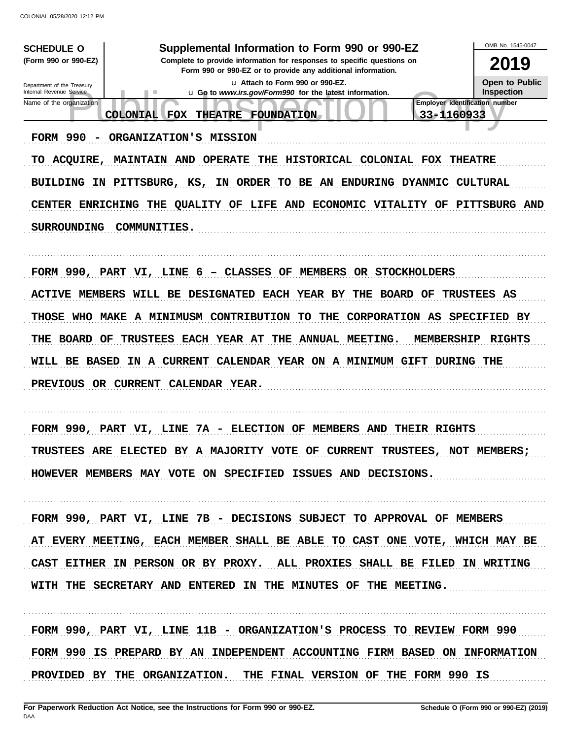| <b>SCHEDULE O</b>                                                                                | Supplemental Information to Form 990 or 990-EZ                             |                              |                                                     | OMB No. 1545-0047             |
|--------------------------------------------------------------------------------------------------|----------------------------------------------------------------------------|------------------------------|-----------------------------------------------------|-------------------------------|
| (Form 990 or 990-EZ)<br>Complete to provide information for responses to specific questions on   |                                                                            |                              |                                                     |                               |
| Form 990 or 990-EZ or to provide any additional information.<br>La Attach to Form 990 or 990-EZ. |                                                                            |                              |                                                     | 2019<br><b>Open to Public</b> |
| Department of the Treasury<br>Internal Revenue Service                                           | u Go to www.irs.gov/Form990 for the latest information.<br>ш               |                              |                                                     | <b>Inspection</b>             |
| Name of the organization                                                                         | THEATRE FOUNDATION<br><b>COLONIAL FOX</b>                                  |                              | <b>Employer identification number</b><br>33-1160933 |                               |
| <b>FORM 990</b><br>$\overline{\phantom{0}}$                                                      | ORGANIZATION'S MISSION                                                     |                              |                                                     |                               |
| ACOUIRE,<br>TO                                                                                   | MAINTAIN AND OPERATE THE HISTORICAL COLONIAL FOX                           |                              | <b>THEATRE</b>                                      |                               |
| <b>BUILDING</b>                                                                                  | IN PITTSBURG, KS, IN ORDER TO BE AN ENDURING DYANMIC                       |                              |                                                     | <b>CULTURAL</b>               |
|                                                                                                  | CENTER ENRICHING THE QUALITY OF LIFE AND ECONOMIC VITALITY OF              |                              |                                                     | PITTSBURG AND                 |
| <b>SURROUNDING</b>                                                                               | COMMUNITIES.                                                               |                              |                                                     |                               |
|                                                                                                  | FORM 990, PART VI, LINE $6$ - CLASSES OF                                   | MEMBERS OR STOCKHOLDERS      |                                                     |                               |
|                                                                                                  | <b>ACTIVE MEMBERS WILL BE DESIGNATED EACH YEAR BY</b>                      | THE BOARD OF                 |                                                     | TRUSTEES AS                   |
| <b>THOSE</b><br>WHO MAKE                                                                         | A MINIMUSM CONTRIBUTION<br>TO                                              | THE<br><b>CORPORATION AS</b> |                                                     | SPECIFIED BY                  |
| <b>BOARD</b><br>OF<br>THE                                                                        | TRUSTEES EACH YEAR AT<br>THE                                               | ANNUAL MEETING.              | <b>MEMBERSHIP</b>                                   | <b>RIGHTS</b>                 |
| WILL BE<br><b>BASED</b>                                                                          | IN A CURRENT CALENDAR YEAR ON A MINIMUM GIFT DURING                        |                              |                                                     | THE                           |
| <b>PREVIOUS</b>                                                                                  | OR CURRENT<br>CALENDAR YEAR.                                               |                              |                                                     |                               |
|                                                                                                  | FORM 990, PART VI, LINE 7A - ELECTION OF                                   | <b>MEMBERS AND</b>           | THEIR RIGHTS                                        |                               |
|                                                                                                  | TRUSTEES ARE ELECTED BY A MAJORITY VOTE OF CURRENT TRUSTEES, NOT MEMBERS;  |                              |                                                     |                               |
|                                                                                                  | HOWEVER MEMBERS MAY VOTE ON SPECIFIED ISSUES AND DECISIONS.                |                              |                                                     |                               |
|                                                                                                  |                                                                            |                              |                                                     |                               |
|                                                                                                  | FORM 990, PART VI, LINE 7B - DECISIONS SUBJECT TO APPROVAL OF MEMBERS      |                              |                                                     |                               |
|                                                                                                  | AT EVERY MEETING, EACH MEMBER SHALL BE ABLE TO CAST ONE VOTE, WHICH MAY BE |                              |                                                     |                               |
|                                                                                                  | CAST EITHER IN PERSON OR BY PROXY. ALL PROXIES SHALL BE FILED IN WRITING   |                              |                                                     |                               |
|                                                                                                  | WITH THE SECRETARY AND ENTERED IN THE MINUTES OF THE MEETING.              |                              |                                                     |                               |
|                                                                                                  |                                                                            |                              |                                                     |                               |
|                                                                                                  | FORM 990, PART VI, LINE 11B - ORGANIZATION'S PROCESS TO REVIEW FORM 990    |                              |                                                     |                               |
|                                                                                                  | FORM 990 IS PREPARD BY AN INDEPENDENT ACCOUNTING FIRM BASED ON INFORMATION |                              |                                                     |                               |
|                                                                                                  | PROVIDED BY THE ORGANIZATION. THE FINAL VERSION OF THE FORM 990 IS         |                              |                                                     |                               |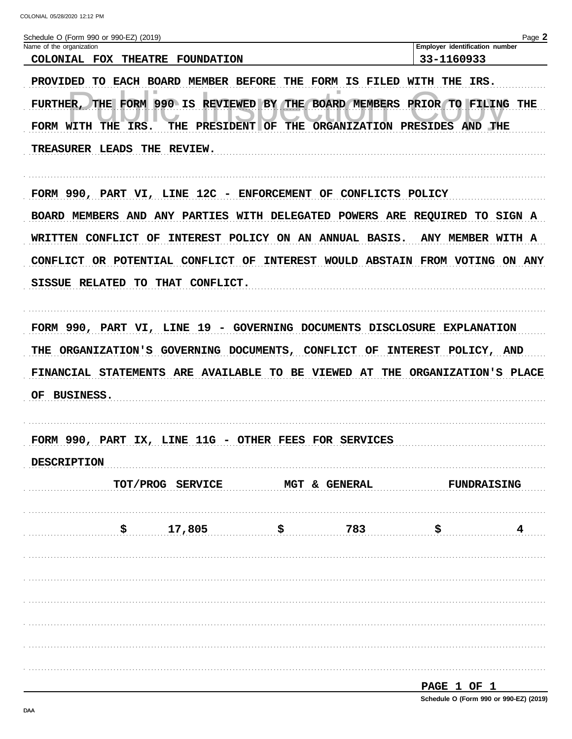|        | Page 2 |  |
|--------|--------|--|
| number |        |  |

| Schedule O (Form 990 or 990-EZ) (2019)                                      |                                         |                                                    |                                              | Page 2             |
|-----------------------------------------------------------------------------|-----------------------------------------|----------------------------------------------------|----------------------------------------------|--------------------|
| Name of the organization<br>COLONIAL FOX THEATRE                            | <b>FOUNDATION</b>                       |                                                    | Employer identification number<br>33-1160933 |                    |
| <b>PROVIDED</b>                                                             | TO EACH BOARD MEMBER BEFORE THE FORM IS | <b>FILED WITH</b>                                  | IRS.<br>THE                                  |                    |
| FURTHER, THE FORM 990 IS REVIEWED BY THE BOARD MEMBERS                      |                                         |                                                    | PRIOR TO FILING THE                          |                    |
| THE<br>IRS.<br><b>FORM WITH</b>                                             |                                         | THE PRESIDENT OF THE ORGANIZATION PRESIDES AND THE |                                              |                    |
| TREASURER LEADS THE                                                         | <b>REVIEW.</b>                          |                                                    |                                              |                    |
| FORM 990, PART VI, LINE 12C - ENFORCEMENT OF CONFLICTS POLICY               |                                         |                                                    |                                              |                    |
| BOARD MEMBERS AND ANY PARTIES                                               |                                         | WITH DELEGATED POWERS ARE REQUIRED                 |                                              | TO SIGN A          |
| WRITTEN CONFLICT OF                                                         |                                         | INTEREST POLICY ON AN ANNUAL BASIS.                | ANY MEMBER WITH A                            |                    |
| CONFLICT OR POTENTIAL CONFLICT OF INTEREST WOULD ABSTAIN FROM VOTING ON ANY |                                         |                                                    |                                              |                    |
| <b>SISSUE RELATED</b>                                                       | TO THAT CONFLICT.                       |                                                    |                                              |                    |
|                                                                             |                                         |                                                    |                                              |                    |
| FORM 990, PART VI, LINE 19 - GOVERNING DOCUMENTS DISCLOSURE EXPLANATION     |                                         |                                                    |                                              |                    |
| THE ORGANIZATION'S GOVERNING DOCUMENTS, CONFLICT OF                         |                                         |                                                    | INTEREST POLICY, AND                         |                    |
| FINANCIAL STATEMENTS ARE AVAILABLE TO BE VIEWED AT                          |                                         | THE                                                | ORGANIZATION'S PLACE                         |                    |
| OF BUSINESS.                                                                |                                         |                                                    |                                              |                    |
|                                                                             |                                         |                                                    |                                              |                    |
| FORM 990, PART IX, LINE 11G - OTHER FEES FOR SERVICES                       |                                         |                                                    |                                              |                    |
| <b>DESCRIPTION</b>                                                          |                                         |                                                    |                                              |                    |
|                                                                             | TOT/PROG SERVICE                        | MGT & GENERAL                                      |                                              | <b>FUNDRAISING</b> |
| \$                                                                          | 17,805                                  | \$<br>783                                          | \$                                           |                    |
|                                                                             |                                         |                                                    |                                              |                    |
|                                                                             |                                         |                                                    |                                              |                    |
|                                                                             |                                         |                                                    |                                              |                    |
|                                                                             |                                         |                                                    |                                              |                    |
|                                                                             |                                         |                                                    |                                              |                    |
|                                                                             |                                         |                                                    |                                              |                    |
|                                                                             |                                         |                                                    |                                              |                    |

| ----- |  |  |  |
|-------|--|--|--|
|       |  |  |  |